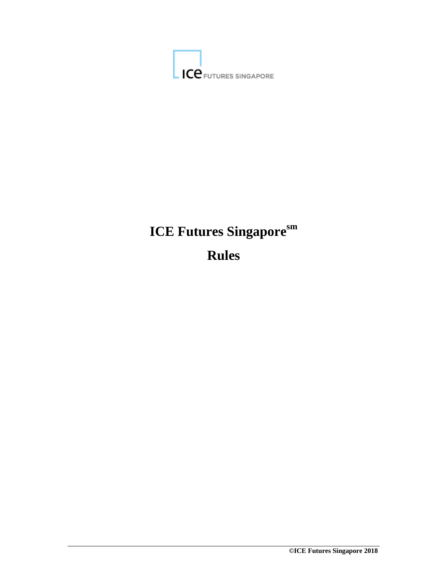ICO FUTURES SINGAPORE

# **ICE Futures Singaporesm**

**Rules**

**©ICE Futures Singapore 2018**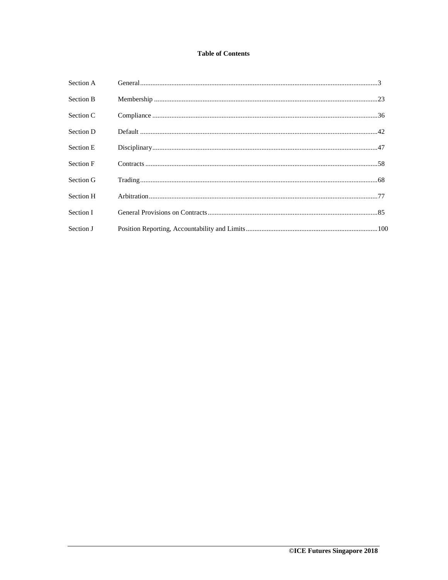## **Table of Contents**

| Section A        |  |
|------------------|--|
| <b>Section B</b> |  |
| Section C        |  |
| <b>Section D</b> |  |
| Section E        |  |
| Section F        |  |
| Section G        |  |
| Section H        |  |
| Section I        |  |
| Section J        |  |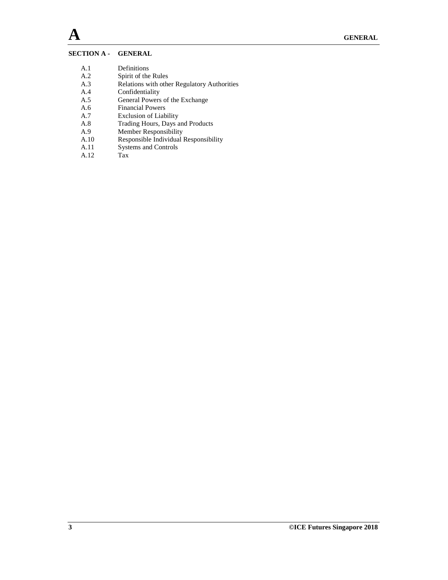# **SECTION A - GENERAL**

- A.1 Definitions
- A.2 Spirit of the Rules<br>A.3 Relations with other
- Relations with other Regulatory Authorities
- A.4 Confidentiality
- A.5 General Powers of the Exchange
- A.6 Financial Powers
- A.7 Exclusion of Liability
- A.8 Trading Hours, Days and Products
- A.9 Member Responsibility<br>A.10 Responsible Individual l
- Responsible Individual Responsibility
- A.11 Systems and Controls
- A.12 Tax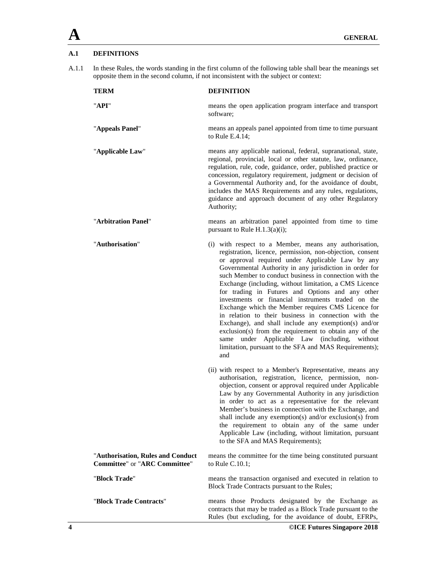## **A.1 DEFINITIONS**

A.1.1 In these Rules, the words standing in the first column of the following table shall bear the meanings set opposite them in the second column, if not inconsistent with the subject or context:

| <b>TERM</b>                                                               | <b>DEFINITION</b>                                                                                                                                                                                                                                                                                                                                                                                                                                                                                                                                                                                                                                                                                                                                                                                                     |
|---------------------------------------------------------------------------|-----------------------------------------------------------------------------------------------------------------------------------------------------------------------------------------------------------------------------------------------------------------------------------------------------------------------------------------------------------------------------------------------------------------------------------------------------------------------------------------------------------------------------------------------------------------------------------------------------------------------------------------------------------------------------------------------------------------------------------------------------------------------------------------------------------------------|
| "API"                                                                     | means the open application program interface and transport<br>software;                                                                                                                                                                                                                                                                                                                                                                                                                                                                                                                                                                                                                                                                                                                                               |
| "Appeals Panel"                                                           | means an appeals panel appointed from time to time pursuant<br>to Rule E.4.14;                                                                                                                                                                                                                                                                                                                                                                                                                                                                                                                                                                                                                                                                                                                                        |
| "Applicable Law"                                                          | means any applicable national, federal, supranational, state,<br>regional, provincial, local or other statute, law, ordinance,<br>regulation, rule, code, guidance, order, published practice or<br>concession, regulatory requirement, judgment or decision of<br>a Governmental Authority and, for the avoidance of doubt,<br>includes the MAS Requirements and any rules, regulations,<br>guidance and approach document of any other Regulatory<br>Authority;                                                                                                                                                                                                                                                                                                                                                     |
| "Arbitration Panel"                                                       | means an arbitration panel appointed from time to time<br>pursuant to Rule $H.1.3(a)(i)$ ;                                                                                                                                                                                                                                                                                                                                                                                                                                                                                                                                                                                                                                                                                                                            |
| "Authorisation"                                                           | (i) with respect to a Member, means any authorisation,<br>registration, licence, permission, non-objection, consent<br>or approval required under Applicable Law by any<br>Governmental Authority in any jurisdiction in order for<br>such Member to conduct business in connection with the<br>Exchange (including, without limitation, a CMS Licence<br>for trading in Futures and Options and any other<br>investments or financial instruments traded on the<br>Exchange which the Member requires CMS Licence for<br>in relation to their business in connection with the<br>Exchange), and shall include any exemption(s) and/or<br>exclusion(s) from the requirement to obtain any of the<br>same under Applicable Law (including,<br>without<br>limitation, pursuant to the SFA and MAS Requirements);<br>and |
|                                                                           | (ii) with respect to a Member's Representative, means any<br>authorisation, registration, licence, permission, non-<br>objection, consent or approval required under Applicable<br>Law by any Governmental Authority in any jurisdiction<br>in order to act as a representative for the relevant<br>Member's business in connection with the Exchange, and<br>shall include any exemption(s) and/or exclusion(s) from<br>the requirement to obtain any of the same under<br>Applicable Law (including, without limitation, pursuant<br>to the SFA and MAS Requirements);                                                                                                                                                                                                                                              |
| "Authorisation, Rules and Conduct<br><b>Committee" or "ARC Committee"</b> | means the committee for the time being constituted pursuant<br>to Rule C.10.1;                                                                                                                                                                                                                                                                                                                                                                                                                                                                                                                                                                                                                                                                                                                                        |
| "Block Trade"                                                             | means the transaction organised and executed in relation to<br>Block Trade Contracts pursuant to the Rules;                                                                                                                                                                                                                                                                                                                                                                                                                                                                                                                                                                                                                                                                                                           |
| "Block Trade Contracts"                                                   | means those Products designated by the Exchange as<br>contracts that may be traded as a Block Trade pursuant to the<br>Rules (but excluding, for the avoidance of doubt, EFRPs,                                                                                                                                                                                                                                                                                                                                                                                                                                                                                                                                                                                                                                       |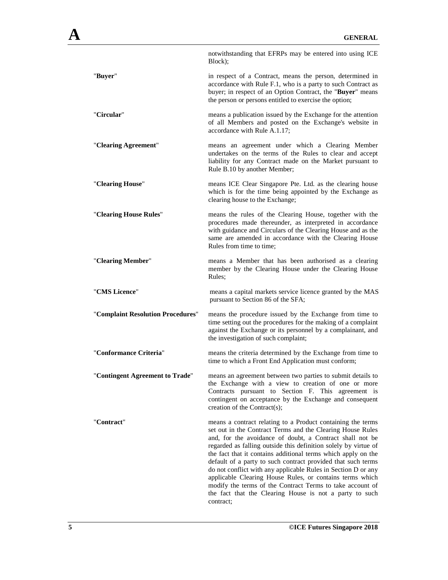|                                   | notwithstanding that EFRPs may be entered into using ICE<br>Block);                                                                                                                                                                                                                                                                                                                                                                                                                                                                                                                                                                                         |
|-----------------------------------|-------------------------------------------------------------------------------------------------------------------------------------------------------------------------------------------------------------------------------------------------------------------------------------------------------------------------------------------------------------------------------------------------------------------------------------------------------------------------------------------------------------------------------------------------------------------------------------------------------------------------------------------------------------|
| "Buyer"                           | in respect of a Contract, means the person, determined in<br>accordance with Rule F.1, who is a party to such Contract as<br>buyer; in respect of an Option Contract, the "Buyer" means<br>the person or persons entitled to exercise the option;                                                                                                                                                                                                                                                                                                                                                                                                           |
| "Circular"                        | means a publication issued by the Exchange for the attention<br>of all Members and posted on the Exchange's website in<br>accordance with Rule A.1.17;                                                                                                                                                                                                                                                                                                                                                                                                                                                                                                      |
| "Clearing Agreement"              | means an agreement under which a Clearing Member<br>undertakes on the terms of the Rules to clear and accept<br>liability for any Contract made on the Market pursuant to<br>Rule B.10 by another Member;                                                                                                                                                                                                                                                                                                                                                                                                                                                   |
| "Clearing House"                  | means ICE Clear Singapore Pte. Ltd. as the clearing house<br>which is for the time being appointed by the Exchange as<br>clearing house to the Exchange;                                                                                                                                                                                                                                                                                                                                                                                                                                                                                                    |
| "Clearing House Rules"            | means the rules of the Clearing House, together with the<br>procedures made thereunder, as interpreted in accordance<br>with guidance and Circulars of the Clearing House and as the<br>same are amended in accordance with the Clearing House<br>Rules from time to time;                                                                                                                                                                                                                                                                                                                                                                                  |
| "Clearing Member"                 | means a Member that has been authorised as a clearing<br>member by the Clearing House under the Clearing House<br>Rules;                                                                                                                                                                                                                                                                                                                                                                                                                                                                                                                                    |
| "CMS Licence"                     | means a capital markets service licence granted by the MAS<br>pursuant to Section 86 of the SFA;                                                                                                                                                                                                                                                                                                                                                                                                                                                                                                                                                            |
| "Complaint Resolution Procedures" | means the procedure issued by the Exchange from time to<br>time setting out the procedures for the making of a complaint<br>against the Exchange or its personnel by a complainant, and<br>the investigation of such complaint;                                                                                                                                                                                                                                                                                                                                                                                                                             |
| "Conformance Criteria"            | means the criteria determined by the Exchange from time to<br>time to which a Front End Application must conform;                                                                                                                                                                                                                                                                                                                                                                                                                                                                                                                                           |
| "Contingent Agreement to Trade"   | means an agreement between two parties to submit details to<br>the Exchange with a view to creation of one or more<br>Contracts pursuant to Section F. This agreement is<br>contingent on acceptance by the Exchange and consequent<br>creation of the Contract(s);                                                                                                                                                                                                                                                                                                                                                                                         |
| "Contract"                        | means a contract relating to a Product containing the terms<br>set out in the Contract Terms and the Clearing House Rules<br>and, for the avoidance of doubt, a Contract shall not be<br>regarded as falling outside this definition solely by virtue of<br>the fact that it contains additional terms which apply on the<br>default of a party to such contract provided that such terms<br>do not conflict with any applicable Rules in Section D or any<br>applicable Clearing House Rules, or contains terms which<br>modify the terms of the Contract Terms to take account of<br>the fact that the Clearing House is not a party to such<br>contract; |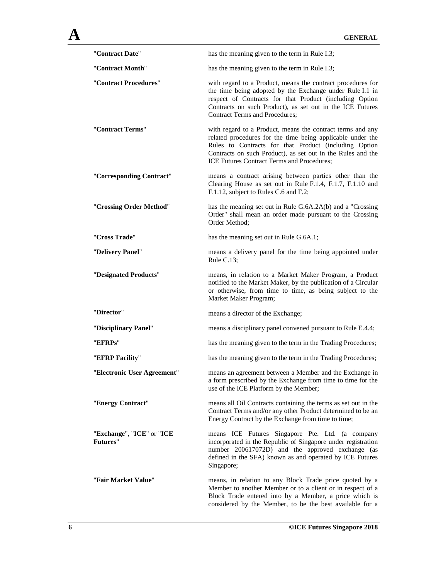| "Contract Date"                              | has the meaning given to the term in Rule I.3;                                                                                                                                                                                                                                                 |
|----------------------------------------------|------------------------------------------------------------------------------------------------------------------------------------------------------------------------------------------------------------------------------------------------------------------------------------------------|
| "Contract Month"                             | has the meaning given to the term in Rule I.3;                                                                                                                                                                                                                                                 |
| "Contract Procedures"                        | with regard to a Product, means the contract procedures for<br>the time being adopted by the Exchange under Rule I.1 in<br>respect of Contracts for that Product (including Option<br>Contracts on such Product), as set out in the ICE Futures<br><b>Contract Terms and Procedures:</b>       |
| "Contract Terms"                             | with regard to a Product, means the contract terms and any<br>related procedures for the time being applicable under the<br>Rules to Contracts for that Product (including Option<br>Contracts on such Product), as set out in the Rules and the<br>ICE Futures Contract Terms and Procedures; |
| "Corresponding Contract"                     | means a contract arising between parties other than the<br>Clearing House as set out in Rule F.1.4, F.1.7, F.1.10 and<br>F.1.12, subject to Rules C.6 and F.2;                                                                                                                                 |
| "Crossing Order Method"                      | has the meaning set out in Rule G.6A.2A(b) and a "Crossing<br>Order" shall mean an order made pursuant to the Crossing<br>Order Method:                                                                                                                                                        |
| "Cross Trade"                                | has the meaning set out in Rule G.6A.1;                                                                                                                                                                                                                                                        |
| "Delivery Panel"                             | means a delivery panel for the time being appointed under<br>Rule $C.13$ ;                                                                                                                                                                                                                     |
| "Designated Products"                        | means, in relation to a Market Maker Program, a Product<br>notified to the Market Maker, by the publication of a Circular<br>or otherwise, from time to time, as being subject to the<br>Market Maker Program;                                                                                 |
| "Director"                                   | means a director of the Exchange;                                                                                                                                                                                                                                                              |
| "Disciplinary Panel"                         | means a disciplinary panel convened pursuant to Rule E.4.4;                                                                                                                                                                                                                                    |
| "EFRPs"                                      | has the meaning given to the term in the Trading Procedures;                                                                                                                                                                                                                                   |
| "EFRP Facility"                              | has the meaning given to the term in the Trading Procedures;                                                                                                                                                                                                                                   |
| "Electronic User Agreement"                  | means an agreement between a Member and the Exchange in<br>a form prescribed by the Exchange from time to time for the<br>use of the ICE Platform by the Member;                                                                                                                               |
| "Energy Contract"                            | means all Oil Contracts containing the terms as set out in the<br>Contract Terms and/or any other Product determined to be an<br>Energy Contract by the Exchange from time to time;                                                                                                            |
| "Exchange", "ICE" or "ICE<br><b>Futures"</b> | means ICE Futures Singapore Pte. Ltd. (a company<br>incorporated in the Republic of Singapore under registration<br>number 200617072D) and the approved exchange (as<br>defined in the SFA) known as and operated by ICE Futures<br>Singapore;                                                 |
| "Fair Market Value"                          | means, in relation to any Block Trade price quoted by a<br>Member to another Member or to a client or in respect of a<br>Block Trade entered into by a Member, a price which is<br>considered by the Member, to be the best available for a                                                    |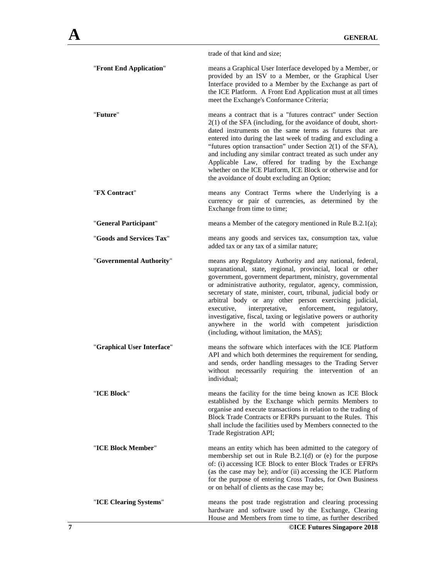|                            | trade of that kind and size;                                                                                                                                                                                                                                                                                                                                                                                                                                                                                                                                                                                           |
|----------------------------|------------------------------------------------------------------------------------------------------------------------------------------------------------------------------------------------------------------------------------------------------------------------------------------------------------------------------------------------------------------------------------------------------------------------------------------------------------------------------------------------------------------------------------------------------------------------------------------------------------------------|
| "Front End Application"    | means a Graphical User Interface developed by a Member, or<br>provided by an ISV to a Member, or the Graphical User<br>Interface provided to a Member by the Exchange as part of<br>the ICE Platform. A Front End Application must at all times<br>meet the Exchange's Conformance Criteria;                                                                                                                                                                                                                                                                                                                           |
| "Future"                   | means a contract that is a "futures contract" under Section<br>$2(1)$ of the SFA (including, for the avoidance of doubt, short-<br>dated instruments on the same terms as futures that are<br>entered into during the last week of trading and excluding a<br>"futures option transaction" under Section 2(1) of the SFA),<br>and including any similar contract treated as such under any<br>Applicable Law, offered for trading by the Exchange<br>whether on the ICE Platform, ICE Block or otherwise and for<br>the avoidance of doubt excluding an Option;                                                        |
| "FX Contract"              | means any Contract Terms where the Underlying is a<br>currency or pair of currencies, as determined by the<br>Exchange from time to time;                                                                                                                                                                                                                                                                                                                                                                                                                                                                              |
| "General Participant"      | means a Member of the category mentioned in Rule B.2.1(a);                                                                                                                                                                                                                                                                                                                                                                                                                                                                                                                                                             |
| "Goods and Services Tax"   | means any goods and services tax, consumption tax, value<br>added tax or any tax of a similar nature;                                                                                                                                                                                                                                                                                                                                                                                                                                                                                                                  |
| "Governmental Authority"   | means any Regulatory Authority and any national, federal,<br>supranational, state, regional, provincial, local or other<br>government, government department, ministry, governmental<br>or administrative authority, regulator, agency, commission,<br>secretary of state, minister, court, tribunal, judicial body or<br>arbitral body or any other person exercising judicial,<br>interpretative,<br>enforcement,<br>executive,<br>regulatory,<br>investigative, fiscal, taxing or legislative powers or authority<br>anywhere in the world with competent jurisdiction<br>(including, without limitation, the MAS); |
| "Graphical User Interface" | means the software which interfaces with the ICE Platform<br>API and which both determines the requirement for sending,<br>and sends, order handling messages to the Trading Server<br>without necessarily requiring the intervention of an<br>individual;                                                                                                                                                                                                                                                                                                                                                             |
| "ICE Block"                | means the facility for the time being known as ICE Block<br>established by the Exchange which permits Members to<br>organise and execute transactions in relation to the trading of<br>Block Trade Contracts or EFRPs pursuant to the Rules. This<br>shall include the facilities used by Members connected to the<br>Trade Registration API;                                                                                                                                                                                                                                                                          |
| "ICE Block Member"         | means an entity which has been admitted to the category of<br>membership set out in Rule B.2.1(d) or (e) for the purpose<br>of: (i) accessing ICE Block to enter Block Trades or EFRPs<br>(as the case may be); and/or (ii) accessing the ICE Platform<br>for the purpose of entering Cross Trades, for Own Business<br>or on behalf of clients as the case may be;                                                                                                                                                                                                                                                    |
| "ICE Clearing Systems"     | means the post trade registration and clearing processing<br>hardware and software used by the Exchange, Clearing<br>House and Members from time to time, as further described<br>©ICE Futures Singapore 2018                                                                                                                                                                                                                                                                                                                                                                                                          |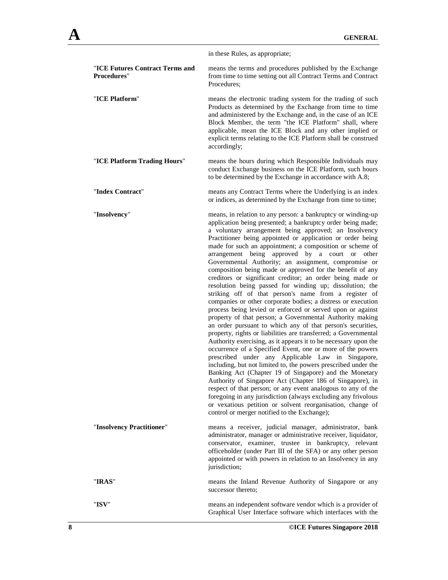|                                                | in these Rules, as appropriate;                                                                                                                                                                                                                                                                                                                                                                                                                                                                                                                                                                                                                                                                                                                                                                                                                                                                                                                                                                                                                                                                                                                                                                                                                                                                                                                                                                                                                                                                                                                                                                                                         |
|------------------------------------------------|-----------------------------------------------------------------------------------------------------------------------------------------------------------------------------------------------------------------------------------------------------------------------------------------------------------------------------------------------------------------------------------------------------------------------------------------------------------------------------------------------------------------------------------------------------------------------------------------------------------------------------------------------------------------------------------------------------------------------------------------------------------------------------------------------------------------------------------------------------------------------------------------------------------------------------------------------------------------------------------------------------------------------------------------------------------------------------------------------------------------------------------------------------------------------------------------------------------------------------------------------------------------------------------------------------------------------------------------------------------------------------------------------------------------------------------------------------------------------------------------------------------------------------------------------------------------------------------------------------------------------------------------|
| "ICE Futures Contract Terms and<br>Procedures" | means the terms and procedures published by the Exchange<br>from time to time setting out all Contract Terms and Contract<br>Procedures;                                                                                                                                                                                                                                                                                                                                                                                                                                                                                                                                                                                                                                                                                                                                                                                                                                                                                                                                                                                                                                                                                                                                                                                                                                                                                                                                                                                                                                                                                                |
| "ICE Platform"                                 | means the electronic trading system for the trading of such<br>Products as determined by the Exchange from time to time<br>and administered by the Exchange and, in the case of an ICE<br>Block Member, the term "the ICE Platform" shall, where<br>applicable, mean the ICE Block and any other implied or<br>explicit terms relating to the ICE Platform shall be construed<br>accordingly;                                                                                                                                                                                                                                                                                                                                                                                                                                                                                                                                                                                                                                                                                                                                                                                                                                                                                                                                                                                                                                                                                                                                                                                                                                           |
| "ICE Platform Trading Hours"                   | means the hours during which Responsible Individuals may<br>conduct Exchange business on the ICE Platform, such hours<br>to be determined by the Exchange in accordance with A.8;                                                                                                                                                                                                                                                                                                                                                                                                                                                                                                                                                                                                                                                                                                                                                                                                                                                                                                                                                                                                                                                                                                                                                                                                                                                                                                                                                                                                                                                       |
| "Index Contract"                               | means any Contract Terms where the Underlying is an index<br>or indices, as determined by the Exchange from time to time;                                                                                                                                                                                                                                                                                                                                                                                                                                                                                                                                                                                                                                                                                                                                                                                                                                                                                                                                                                                                                                                                                                                                                                                                                                                                                                                                                                                                                                                                                                               |
| "Insolvency"                                   | means, in relation to any person: a bankruptcy or winding-up<br>application being presented; a bankruptcy order being made;<br>a voluntary arrangement being approved; an Insolvency<br>Practitioner being appointed or application or order being<br>made for such an appointment; a composition or scheme of<br>being approved by a court or<br>arrangement<br>other<br>Governmental Authority; an assignment, compromise or<br>composition being made or approved for the benefit of any<br>creditors or significant creditor; an order being made or<br>resolution being passed for winding up; dissolution; the<br>striking off of that person's name from a register of<br>companies or other corporate bodies; a distress or execution<br>process being levied or enforced or served upon or against<br>property of that person; a Governmental Authority making<br>an order pursuant to which any of that person's securities,<br>property, rights or liabilities are transferred; a Governmental<br>Authority exercising, as it appears it to be necessary upon the<br>occurrence of a Specified Event, one or more of the powers<br>prescribed under any Applicable Law in Singapore,<br>including, but not limited to, the powers prescribed under the<br>Banking Act (Chapter 19 of Singapore) and the Monetary<br>Authority of Singapore Act (Chapter 186 of Singapore), in<br>respect of that person; or any event analogous to any of the<br>foregoing in any jurisdiction (always excluding any frivolous<br>or vexatious petition or solvent reorganisation, change of<br>control or merger notified to the Exchange); |
| "Insolvency Practitioner"                      | means a receiver, judicial manager, administrator, bank<br>administrator, manager or administrative receiver, liquidator,<br>conservator, examiner, trustee in bankruptcy, relevant<br>officeholder (under Part III of the SFA) or any other person<br>appointed or with powers in relation to an Insolvency in any<br>jurisdiction;                                                                                                                                                                                                                                                                                                                                                                                                                                                                                                                                                                                                                                                                                                                                                                                                                                                                                                                                                                                                                                                                                                                                                                                                                                                                                                    |
| "IRAS"                                         | means the Inland Revenue Authority of Singapore or any<br>successor thereto;                                                                                                                                                                                                                                                                                                                                                                                                                                                                                                                                                                                                                                                                                                                                                                                                                                                                                                                                                                                                                                                                                                                                                                                                                                                                                                                                                                                                                                                                                                                                                            |
| "ISV"                                          | means an independent software vendor which is a provider of<br>Graphical User Interface software which interfaces with the                                                                                                                                                                                                                                                                                                                                                                                                                                                                                                                                                                                                                                                                                                                                                                                                                                                                                                                                                                                                                                                                                                                                                                                                                                                                                                                                                                                                                                                                                                              |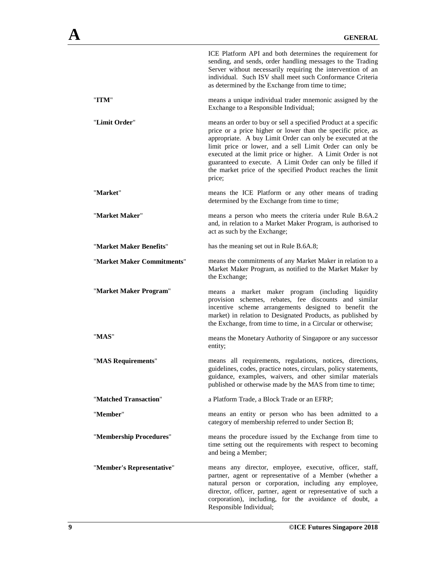|                            | ICE Platform API and both determines the requirement for<br>sending, and sends, order handling messages to the Trading<br>Server without necessarily requiring the intervention of an<br>individual. Such ISV shall meet such Conformance Criteria<br>as determined by the Exchange from time to time;                                                                                                                                                          |
|----------------------------|-----------------------------------------------------------------------------------------------------------------------------------------------------------------------------------------------------------------------------------------------------------------------------------------------------------------------------------------------------------------------------------------------------------------------------------------------------------------|
| "ITM"                      | means a unique individual trader mnemonic assigned by the<br>Exchange to a Responsible Individual;                                                                                                                                                                                                                                                                                                                                                              |
| "Limit Order"              | means an order to buy or sell a specified Product at a specific<br>price or a price higher or lower than the specific price, as<br>appropriate. A buy Limit Order can only be executed at the<br>limit price or lower, and a sell Limit Order can only be<br>executed at the limit price or higher. A Limit Order is not<br>guaranteed to execute. A Limit Order can only be filled if<br>the market price of the specified Product reaches the limit<br>price; |
| "Market"                   | means the ICE Platform or any other means of trading<br>determined by the Exchange from time to time;                                                                                                                                                                                                                                                                                                                                                           |
| "Market Maker"             | means a person who meets the criteria under Rule B.6A.2<br>and, in relation to a Market Maker Program, is authorised to<br>act as such by the Exchange;                                                                                                                                                                                                                                                                                                         |
| "Market Maker Benefits"    | has the meaning set out in Rule B.6A.8;                                                                                                                                                                                                                                                                                                                                                                                                                         |
| "Market Maker Commitments" | means the commitments of any Market Maker in relation to a<br>Market Maker Program, as notified to the Market Maker by<br>the Exchange;                                                                                                                                                                                                                                                                                                                         |
| "Market Maker Program"     | means a market maker program (including liquidity<br>provision schemes, rebates, fee discounts and similar<br>incentive scheme arrangements designed to benefit the<br>market) in relation to Designated Products, as published by<br>the Exchange, from time to time, in a Circular or otherwise;                                                                                                                                                              |
| "MAS"                      | means the Monetary Authority of Singapore or any successor<br>entity;                                                                                                                                                                                                                                                                                                                                                                                           |
| "MAS Requirements"         | means all requirements, regulations, notices, directions,<br>guidelines, codes, practice notes, circulars, policy statements,<br>guidance, examples, waivers, and other similar materials<br>published or otherwise made by the MAS from time to time;                                                                                                                                                                                                          |
| "Matched Transaction"      | a Platform Trade, a Block Trade or an EFRP;                                                                                                                                                                                                                                                                                                                                                                                                                     |
| "Member"                   | means an entity or person who has been admitted to a<br>category of membership referred to under Section B;                                                                                                                                                                                                                                                                                                                                                     |
| "Membership Procedures"    | means the procedure issued by the Exchange from time to<br>time setting out the requirements with respect to becoming<br>and being a Member;                                                                                                                                                                                                                                                                                                                    |
| "Member's Representative"  | means any director, employee, executive, officer, staff,<br>partner, agent or representative of a Member (whether a<br>natural person or corporation, including any employee,<br>director, officer, partner, agent or representative of such a<br>corporation), including, for the avoidance of doubt, a<br>Responsible Individual;                                                                                                                             |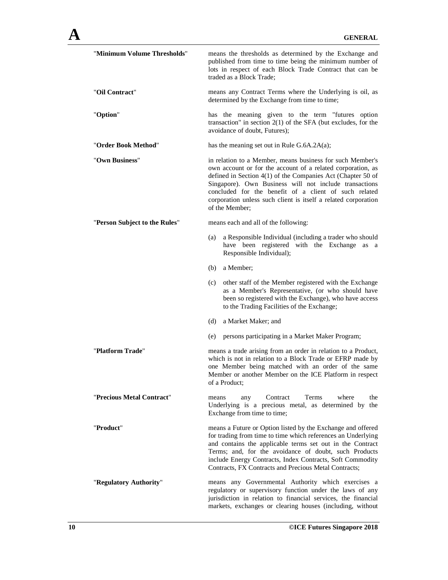| "Minimum Volume Thresholds"   | means the thresholds as determined by the Exchange and<br>published from time to time being the minimum number of<br>lots in respect of each Block Trade Contract that can be<br>traded as a Block Trade;                                                                                                                                                                                      |
|-------------------------------|------------------------------------------------------------------------------------------------------------------------------------------------------------------------------------------------------------------------------------------------------------------------------------------------------------------------------------------------------------------------------------------------|
| "Oil Contract"                | means any Contract Terms where the Underlying is oil, as<br>determined by the Exchange from time to time;                                                                                                                                                                                                                                                                                      |
| "Option"                      | has the meaning given to the term "futures option<br>transaction" in section $2(1)$ of the SFA (but excludes, for the<br>avoidance of doubt, Futures);                                                                                                                                                                                                                                         |
| "Order Book Method"           | has the meaning set out in Rule G.6A.2A(a);                                                                                                                                                                                                                                                                                                                                                    |
| "Own Business"                | in relation to a Member, means business for such Member's<br>own account or for the account of a related corporation, as<br>defined in Section 4(1) of the Companies Act (Chapter 50 of<br>Singapore). Own Business will not include transactions<br>concluded for the benefit of a client of such related<br>corporation unless such client is itself a related corporation<br>of the Member; |
| "Person Subject to the Rules" | means each and all of the following:                                                                                                                                                                                                                                                                                                                                                           |
|                               | a Responsible Individual (including a trader who should<br>(a)<br>have been registered with the Exchange as a<br>Responsible Individual);                                                                                                                                                                                                                                                      |
|                               | a Member;<br>(b)                                                                                                                                                                                                                                                                                                                                                                               |
|                               | other staff of the Member registered with the Exchange<br>(c)<br>as a Member's Representative, (or who should have<br>been so registered with the Exchange), who have access<br>to the Trading Facilities of the Exchange;                                                                                                                                                                     |
|                               | a Market Maker; and<br>(d)                                                                                                                                                                                                                                                                                                                                                                     |
|                               | (e)<br>persons participating in a Market Maker Program;                                                                                                                                                                                                                                                                                                                                        |
| "Platform Trade"              | means a trade arising from an order in relation to a Product,<br>which is not in relation to a Block Trade or EFRP made by<br>one Member being matched with an order of the same<br>Member or another Member on the ICE Platform in respect<br>of a Product;                                                                                                                                   |
| "Precious Metal Contract"     | the<br>Contract<br>Terms<br>where<br>means<br>any<br>Underlying is a precious metal, as determined by the<br>Exchange from time to time;                                                                                                                                                                                                                                                       |
| "Product"                     | means a Future or Option listed by the Exchange and offered<br>for trading from time to time which references an Underlying<br>and contains the applicable terms set out in the Contract<br>Terms; and, for the avoidance of doubt, such Products<br>include Energy Contracts, Index Contracts, Soft Commodity<br>Contracts, FX Contracts and Precious Metal Contracts;                        |
| "Regulatory Authority"        | means any Governmental Authority which exercises a<br>regulatory or supervisory function under the laws of any<br>jurisdiction in relation to financial services, the financial<br>markets, exchanges or clearing houses (including, without                                                                                                                                                   |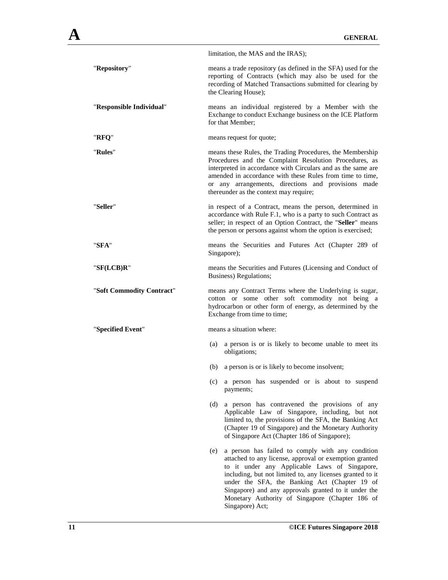|                           | limitation, the MAS and the IRAS);                                                                                                                                                                                                                                                                                                                                                                             |
|---------------------------|----------------------------------------------------------------------------------------------------------------------------------------------------------------------------------------------------------------------------------------------------------------------------------------------------------------------------------------------------------------------------------------------------------------|
| "Repository"              | means a trade repository (as defined in the SFA) used for the<br>reporting of Contracts (which may also be used for the<br>recording of Matched Transactions submitted for clearing by<br>the Clearing House);                                                                                                                                                                                                 |
| "Responsible Individual"  | means an individual registered by a Member with the<br>Exchange to conduct Exchange business on the ICE Platform<br>for that Member;                                                                                                                                                                                                                                                                           |
| "RFQ"                     | means request for quote;                                                                                                                                                                                                                                                                                                                                                                                       |
| "Rules"                   | means these Rules, the Trading Procedures, the Membership<br>Procedures and the Complaint Resolution Procedures, as<br>interpreted in accordance with Circulars and as the same are<br>amended in accordance with these Rules from time to time,<br>or any arrangements, directions and provisions made<br>thereunder as the context may require;                                                              |
| "Seller"                  | in respect of a Contract, means the person, determined in<br>accordance with Rule F.1, who is a party to such Contract as<br>seller; in respect of an Option Contract, the "Seller" means<br>the person or persons against whom the option is exercised;                                                                                                                                                       |
| "SFA"                     | means the Securities and Futures Act (Chapter 289 of<br>Singapore);                                                                                                                                                                                                                                                                                                                                            |
| "SF(LCB)R"                | means the Securities and Futures (Licensing and Conduct of<br>Business) Regulations;                                                                                                                                                                                                                                                                                                                           |
| "Soft Commodity Contract" | means any Contract Terms where the Underlying is sugar,<br>cotton or some other soft commodity not being a<br>hydrocarbon or other form of energy, as determined by the<br>Exchange from time to time;                                                                                                                                                                                                         |
| "Specified Event"         | means a situation where:                                                                                                                                                                                                                                                                                                                                                                                       |
|                           | a person is or is likely to become unable to meet its<br>(a)<br>obligations;                                                                                                                                                                                                                                                                                                                                   |
|                           | a person is or is likely to become insolvent;<br>(b)                                                                                                                                                                                                                                                                                                                                                           |
|                           | a person has suspended or is about to suspend<br>(c)<br>payments;                                                                                                                                                                                                                                                                                                                                              |
|                           | a person has contravened the provisions of any<br>(d)<br>Applicable Law of Singapore, including, but not<br>limited to, the provisions of the SFA, the Banking Act<br>(Chapter 19 of Singapore) and the Monetary Authority<br>of Singapore Act (Chapter 186 of Singapore);                                                                                                                                     |
|                           | a person has failed to comply with any condition<br>(e)<br>attached to any license, approval or exemption granted<br>to it under any Applicable Laws of Singapore,<br>including, but not limited to, any licenses granted to it<br>under the SFA, the Banking Act (Chapter 19 of<br>Singapore) and any approvals granted to it under the<br>Monetary Authority of Singapore (Chapter 186 of<br>Singapore) Act; |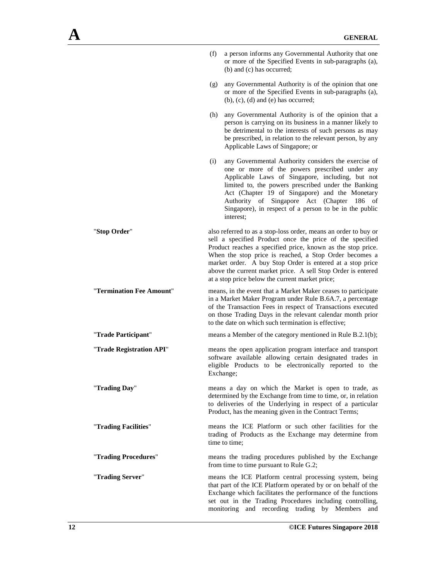|                          | (f)                                                                                                                                                                                                                                                                                                                                                                                                                                  | a person informs any Governmental Authority that one<br>or more of the Specified Events in sub-paragraphs (a),<br>(b) and (c) has occurred;                                                                                                                                                                                                                                              |
|--------------------------|--------------------------------------------------------------------------------------------------------------------------------------------------------------------------------------------------------------------------------------------------------------------------------------------------------------------------------------------------------------------------------------------------------------------------------------|------------------------------------------------------------------------------------------------------------------------------------------------------------------------------------------------------------------------------------------------------------------------------------------------------------------------------------------------------------------------------------------|
|                          | (g)                                                                                                                                                                                                                                                                                                                                                                                                                                  | any Governmental Authority is of the opinion that one<br>or more of the Specified Events in sub-paragraphs (a),<br>$(b)$ , $(c)$ , $(d)$ and $(e)$ has occurred;                                                                                                                                                                                                                         |
|                          | (h)                                                                                                                                                                                                                                                                                                                                                                                                                                  | any Governmental Authority is of the opinion that a<br>person is carrying on its business in a manner likely to<br>be detrimental to the interests of such persons as may<br>be prescribed, in relation to the relevant person, by any<br>Applicable Laws of Singapore; or                                                                                                               |
|                          | (i)                                                                                                                                                                                                                                                                                                                                                                                                                                  | any Governmental Authority considers the exercise of<br>one or more of the powers prescribed under any<br>Applicable Laws of Singapore, including, but not<br>limited to, the powers prescribed under the Banking<br>Act (Chapter 19 of Singapore) and the Monetary<br>Authority of Singapore Act (Chapter 186 of<br>Singapore), in respect of a person to be in the public<br>interest; |
| "Stop Order"             | also referred to as a stop-loss order, means an order to buy or<br>sell a specified Product once the price of the specified<br>Product reaches a specified price, known as the stop price.<br>When the stop price is reached, a Stop Order becomes a<br>market order. A buy Stop Order is entered at a stop price<br>above the current market price. A sell Stop Order is entered<br>at a stop price below the current market price; |                                                                                                                                                                                                                                                                                                                                                                                          |
| "Termination Fee Amount" | means, in the event that a Market Maker ceases to participate<br>in a Market Maker Program under Rule B.6A.7, a percentage<br>of the Transaction Fees in respect of Transactions executed<br>on those Trading Days in the relevant calendar month prior<br>to the date on which such termination is effective;                                                                                                                       |                                                                                                                                                                                                                                                                                                                                                                                          |
| "Trade Participant"      |                                                                                                                                                                                                                                                                                                                                                                                                                                      | means a Member of the category mentioned in Rule B.2.1(b);                                                                                                                                                                                                                                                                                                                               |
| "Trade Registration API" |                                                                                                                                                                                                                                                                                                                                                                                                                                      | means the open application program interface and transport<br>software available allowing certain designated trades in<br>eligible Products to be electronically reported to the<br>Exchange;                                                                                                                                                                                            |
| "Trading Day"            | means a day on which the Market is open to trade, as<br>determined by the Exchange from time to time, or, in relation<br>to deliveries of the Underlying in respect of a particular<br>Product, has the meaning given in the Contract Terms;                                                                                                                                                                                         |                                                                                                                                                                                                                                                                                                                                                                                          |
| "Trading Facilities"     |                                                                                                                                                                                                                                                                                                                                                                                                                                      | means the ICE Platform or such other facilities for the<br>trading of Products as the Exchange may determine from<br>time to time;                                                                                                                                                                                                                                                       |
| "Trading Procedures"     |                                                                                                                                                                                                                                                                                                                                                                                                                                      | means the trading procedures published by the Exchange<br>from time to time pursuant to Rule G.2;                                                                                                                                                                                                                                                                                        |
| "Trading Server"         |                                                                                                                                                                                                                                                                                                                                                                                                                                      | means the ICE Platform central processing system, being<br>that part of the ICE Platform operated by or on behalf of the<br>Exchange which facilitates the performance of the functions<br>set out in the Trading Procedures including controlling,<br>monitoring and recording trading by Members<br>and                                                                                |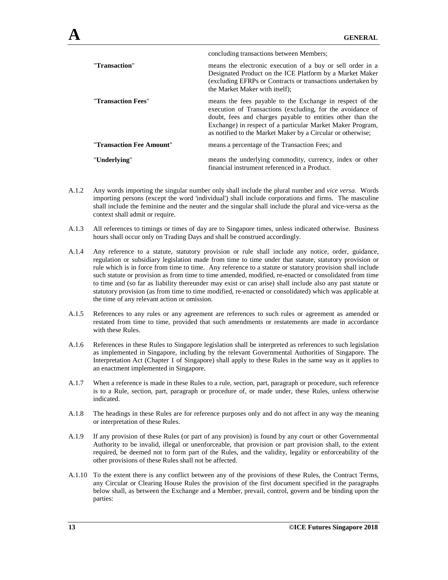|                          | concluding transactions between Members;                                                                                                                                                                                                                                                                          |
|--------------------------|-------------------------------------------------------------------------------------------------------------------------------------------------------------------------------------------------------------------------------------------------------------------------------------------------------------------|
| "Transaction"            | means the electronic execution of a buy or sell order in a<br>Designated Product on the ICE Platform by a Market Maker<br>(excluding EFRPs or Contracts or transactions undertaken by<br>the Market Maker with itself);                                                                                           |
| "Transaction Fees"       | means the fees payable to the Exchange in respect of the<br>execution of Transactions (excluding, for the avoidance of<br>doubt, fees and charges payable to entities other than the<br>Exchange) in respect of a particular Market Maker Program,<br>as notified to the Market Maker by a Circular or otherwise; |
| "Transaction Fee Amount" | means a percentage of the Transaction Fees; and                                                                                                                                                                                                                                                                   |
| "Underlying"             | means the underlying commodity, currency, index or other<br>financial instrument referenced in a Product.                                                                                                                                                                                                         |

- A.1.2 Any words importing the singular number only shall include the plural number and *vice versa*. Words importing persons (except the word 'individual') shall include corporations and firms. The masculine shall include the feminine and the neuter and the singular shall include the plural and vice-versa as the context shall admit or require.
- A.1.3 All references to timings or times of day are to Singapore times, unless indicated otherwise. Business hours shall occur only on Trading Days and shall be construed accordingly.
- A.1.4 Any reference to a statute, statutory provision or rule shall include any notice, order, guidance, regulation or subsidiary legislation made from time to time under that statute, statutory provision or rule which is in force from time to time. Any reference to a statute or statutory provision shall include such statute or provision as from time to time amended, modified, re-enacted or consolidated from time to time and (so far as liability thereunder may exist or can arise) shall include also any past statute or statutory provision (as from time to time modified, re-enacted or consolidated) which was applicable at the time of any relevant action or omission.
- A.1.5 References to any rules or any agreement are references to such rules or agreement as amended or restated from time to time, provided that such amendments or restatements are made in accordance with these Rules.
- A.1.6 References in these Rules to Singapore legislation shall be interpreted as references to such legislation as implemented in Singapore, including by the relevant Governmental Authorities of Singapore. The Interpretation Act (Chapter 1 of Singapore) shall apply to these Rules in the same way as it applies to an enactment implemented in Singapore.
- A.1.7 When a reference is made in these Rules to a rule, section, part, paragraph or procedure, such reference is to a Rule, section, part, paragraph or procedure of, or made under, these Rules, unless otherwise indicated.
- A.1.8 The headings in these Rules are for reference purposes only and do not affect in any way the meaning or interpretation of these Rules.
- A.1.9 If any provision of these Rules (or part of any provision) is found by any court or other Governmental Authority to be invalid, illegal or unenforceable, that provision or part provision shall, to the extent required, be deemed not to form part of the Rules, and the validity, legality or enforceability of the other provisions of these Rules shall not be affected.
- A.1.10 To the extent there is any conflict between any of the provisions of these Rules, the Contract Terms, any Circular or Clearing House Rules the provision of the first document specified in the paragraphs below shall, as between the Exchange and a Member, prevail, control, govern and be binding upon the parties: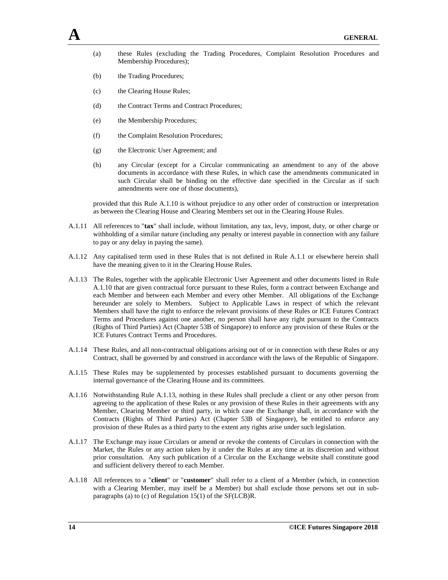- (a) these Rules (excluding the Trading Procedures, Complaint Resolution Procedures and Membership Procedures);
- (b) the Trading Procedures;
- (c) the Clearing House Rules;
- (d) the Contract Terms and Contract Procedures;
- (e) the Membership Procedures;
- (f) the Complaint Resolution Procedures;
- (g) the Electronic User Agreement; and
- (h) any Circular (except for a Circular communicating an amendment to any of the above documents in accordance with these Rules, in which case the amendments communicated in such Circular shall be binding on the effective date specified in the Circular as if such amendments were one of those documents),

provided that this Rule A.1.10 is without prejudice to any other order of construction or interpretation as between the Clearing House and Clearing Members set out in the Clearing House Rules.

- A.1.11 All references to "**tax**" shall include, without limitation, any tax, levy, impost, duty, or other charge or withholding of a similar nature (including any penalty or interest payable in connection with any failure to pay or any delay in paying the same).
- A.1.12 Any capitalised term used in these Rules that is not defined in Rule A.1.1 or elsewhere herein shall have the meaning given to it in the Clearing House Rules.
- A.1.13 The Rules, together with the applicable Electronic User Agreement and other documents listed in Rule A.1.10 that are given contractual force pursuant to these Rules, form a contract between Exchange and each Member and between each Member and every other Member. All obligations of the Exchange hereunder are solely to Members. Subject to Applicable Laws in respect of which the relevant Members shall have the right to enforce the relevant provisions of these Rules or ICE Futures Contract Terms and Procedures against one another, no person shall have any right pursuant to the Contracts (Rights of Third Parties) Act (Chapter 53B of Singapore) to enforce any provision of these Rules or the ICE Futures Contract Terms and Procedures.
- A.1.14 These Rules, and all non-contractual obligations arising out of or in connection with these Rules or any Contract, shall be governed by and construed in accordance with the laws of the Republic of Singapore.
- A.1.15 These Rules may be supplemented by processes established pursuant to documents governing the internal governance of the Clearing House and its committees.
- A.1.16 Notwithstanding Rule A.1.13, nothing in these Rules shall preclude a client or any other person from agreeing to the application of these Rules or any provision of these Rules in their agreements with any Member, Clearing Member or third party, in which case the Exchange shall, in accordance with the Contracts (Rights of Third Parties) Act (Chapter 53B of Singapore), be entitled to enforce any provision of these Rules as a third party to the extent any rights arise under such legislation.
- A.1.17 The Exchange may issue Circulars or amend or revoke the contents of Circulars in connection with the Market, the Rules or any action taken by it under the Rules at any time at its discretion and without prior consultation. Any such publication of a Circular on the Exchange website shall constitute good and sufficient delivery thereof to each Member.
- A.1.18 All references to a "**client**" or "**customer**" shall refer to a client of a Member (which, in connection with a Clearing Member, may itself be a Member) but shall exclude those persons set out in subparagraphs (a) to (c) of Regulation 15(1) of the SF(LCB)R.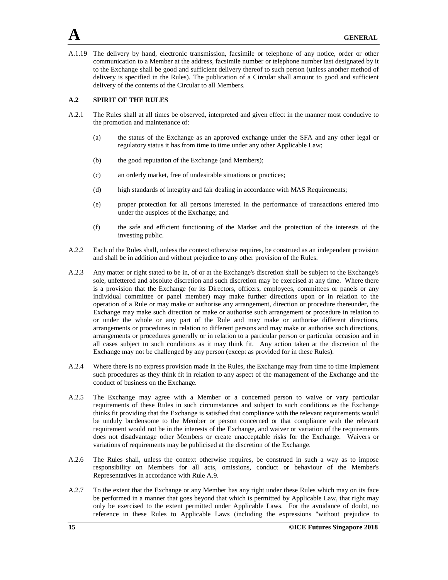A.1.19 The delivery by hand, electronic transmission, facsimile or telephone of any notice, order or other communication to a Member at the address, facsimile number or telephone number last designated by it to the Exchange shall be good and sufficient delivery thereof to such person (unless another method of delivery is specified in the Rules). The publication of a Circular shall amount to good and sufficient delivery of the contents of the Circular to all Members.

#### **A.2 SPIRIT OF THE RULES**

- A.2.1 The Rules shall at all times be observed, interpreted and given effect in the manner most conducive to the promotion and maintenance of:
	- (a) the status of the Exchange as an approved exchange under the SFA and any other legal or regulatory status it has from time to time under any other Applicable Law;
	- (b) the good reputation of the Exchange (and Members);
	- (c) an orderly market, free of undesirable situations or practices;
	- (d) high standards of integrity and fair dealing in accordance with MAS Requirements;
	- (e) proper protection for all persons interested in the performance of transactions entered into under the auspices of the Exchange; and
	- (f) the safe and efficient functioning of the Market and the protection of the interests of the investing public.
- A.2.2 Each of the Rules shall, unless the context otherwise requires, be construed as an independent provision and shall be in addition and without prejudice to any other provision of the Rules.
- A.2.3 Any matter or right stated to be in, of or at the Exchange's discretion shall be subject to the Exchange's sole, unfettered and absolute discretion and such discretion may be exercised at any time. Where there is a provision that the Exchange (or its Directors, officers, employees, committees or panels or any individual committee or panel member) may make further directions upon or in relation to the operation of a Rule or may make or authorise any arrangement, direction or procedure thereunder, the Exchange may make such direction or make or authorise such arrangement or procedure in relation to or under the whole or any part of the Rule and may make or authorise different directions, arrangements or procedures in relation to different persons and may make or authorise such directions, arrangements or procedures generally or in relation to a particular person or particular occasion and in all cases subject to such conditions as it may think fit. Any action taken at the discretion of the Exchange may not be challenged by any person (except as provided for in these Rules).
- A.2.4 Where there is no express provision made in the Rules, the Exchange may from time to time implement such procedures as they think fit in relation to any aspect of the management of the Exchange and the conduct of business on the Exchange.
- A.2.5 The Exchange may agree with a Member or a concerned person to waive or vary particular requirements of these Rules in such circumstances and subject to such conditions as the Exchange thinks fit providing that the Exchange is satisfied that compliance with the relevant requirements would be unduly burdensome to the Member or person concerned or that compliance with the relevant requirement would not be in the interests of the Exchange, and waiver or variation of the requirements does not disadvantage other Members or create unacceptable risks for the Exchange. Waivers or variations of requirements may be publicised at the discretion of the Exchange.
- A.2.6 The Rules shall, unless the context otherwise requires, be construed in such a way as to impose responsibility on Members for all acts, omissions, conduct or behaviour of the Member's Representatives in accordance with Rule A.9.
- A.2.7 To the extent that the Exchange or any Member has any right under these Rules which may on its face be performed in a manner that goes beyond that which is permitted by Applicable Law, that right may only be exercised to the extent permitted under Applicable Laws. For the avoidance of doubt, no reference in these Rules to Applicable Laws (including the expressions "without prejudice to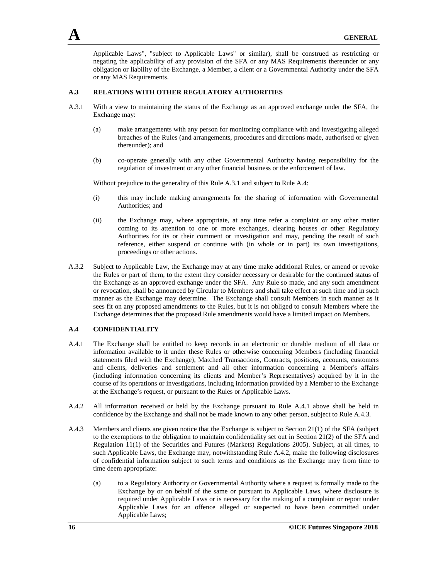Applicable Laws", "subject to Applicable Laws" or similar), shall be construed as restricting or negating the applicability of any provision of the SFA or any MAS Requirements thereunder or any obligation or liability of the Exchange, a Member, a client or a Governmental Authority under the SFA or any MAS Requirements.

#### **A.3 RELATIONS WITH OTHER REGULATORY AUTHORITIES**

- A.3.1 With a view to maintaining the status of the Exchange as an approved exchange under the SFA, the Exchange may:
	- (a) make arrangements with any person for monitoring compliance with and investigating alleged breaches of the Rules (and arrangements, procedures and directions made, authorised or given thereunder); and
	- (b) co-operate generally with any other Governmental Authority having responsibility for the regulation of investment or any other financial business or the enforcement of law.

Without prejudice to the generality of this Rule A.3.1 and subject to Rule A.4:

- (i) this may include making arrangements for the sharing of information with Governmental Authorities; and
- (ii) the Exchange may, where appropriate, at any time refer a complaint or any other matter coming to its attention to one or more exchanges, clearing houses or other Regulatory Authorities for its or their comment or investigation and may, pending the result of such reference, either suspend or continue with (in whole or in part) its own investigations, proceedings or other actions.
- A.3.2 Subject to Applicable Law, the Exchange may at any time make additional Rules, or amend or revoke the Rules or part of them, to the extent they consider necessary or desirable for the continued status of the Exchange as an approved exchange under the SFA. Any Rule so made, and any such amendment or revocation, shall be announced by Circular to Members and shall take effect at such time and in such manner as the Exchange may determine. The Exchange shall consult Members in such manner as it sees fit on any proposed amendments to the Rules, but it is not obliged to consult Members where the Exchange determines that the proposed Rule amendments would have a limited impact on Members.

#### **A.4 CONFIDENTIALITY**

- A.4.1 The Exchange shall be entitled to keep records in an electronic or durable medium of all data or information available to it under these Rules or otherwise concerning Members (including financial statements filed with the Exchange), Matched Transactions, Contracts, positions, accounts, customers and clients, deliveries and settlement and all other information concerning a Member's affairs (including information concerning its clients and Member's Representatives) acquired by it in the course of its operations or investigations, including information provided by a Member to the Exchange at the Exchange's request, or pursuant to the Rules or Applicable Laws.
- A.4.2 All information received or held by the Exchange pursuant to Rule A.4.1 above shall be held in confidence by the Exchange and shall not be made known to any other person, subject to Rule A.4.3.
- A.4.3 Members and clients are given notice that the Exchange is subject to Section 21(1) of the SFA (subject to the exemptions to the obligation to maintain confidentiality set out in Section 21(2) of the SFA and Regulation 11(1) of the Securities and Futures (Markets) Regulations 2005). Subject, at all times, to such Applicable Laws, the Exchange may, notwithstanding Rule A.4.2, make the following disclosures of confidential information subject to such terms and conditions as the Exchange may from time to time deem appropriate:
	- (a) to a Regulatory Authority or Governmental Authority where a request is formally made to the Exchange by or on behalf of the same or pursuant to Applicable Laws, where disclosure is required under Applicable Laws or is necessary for the making of a complaint or report under Applicable Laws for an offence alleged or suspected to have been committed under Applicable Laws;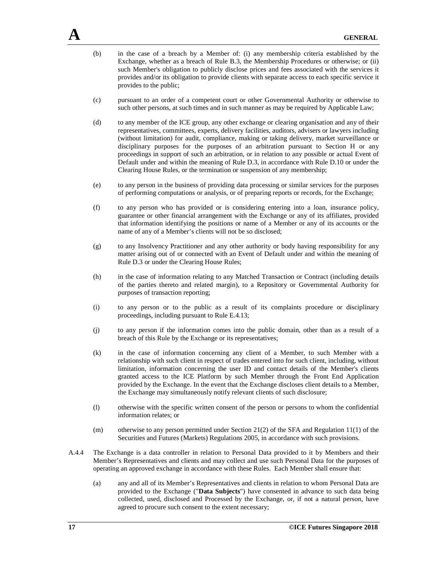- (b) in the case of a breach by a Member of: (i) any membership criteria established by the Exchange, whether as a breach of Rule B.3, the Membership Procedures or otherwise; or (ii) such Member's obligation to publicly disclose prices and fees associated with the services it provides and/or its obligation to provide clients with separate access to each specific service it provides to the public;
- (c) pursuant to an order of a competent court or other Governmental Authority or otherwise to such other persons, at such times and in such manner as may be required by Applicable Law;
- (d) to any member of the ICE group, any other exchange or clearing organisation and any of their representatives, committees, experts, delivery facilities, auditors, advisers or lawyers including (without limitation) for audit, compliance, making or taking delivery, market surveillance or disciplinary purposes for the purposes of an arbitration pursuant to Section H or any proceedings in support of such an arbitration, or in relation to any possible or actual Event of Default under and within the meaning of Rule D.3, in accordance with Rule D.10 or under the Clearing House Rules, or the termination or suspension of any membership;
- (e) to any person in the business of providing data processing or similar services for the purposes of performing computations or analysis, or of preparing reports or records, for the Exchange;
- (f) to any person who has provided or is considering entering into a loan, insurance policy, guarantee or other financial arrangement with the Exchange or any of its affiliates, provided that information identifying the positions or name of a Member or any of its accounts or the name of any of a Member's clients will not be so disclosed;
- (g) to any Insolvency Practitioner and any other authority or body having responsibility for any matter arising out of or connected with an Event of Default under and within the meaning of Rule D.3 or under the Clearing House Rules;
- (h) in the case of information relating to any Matched Transaction or Contract (including details of the parties thereto and related margin), to a Repository or Governmental Authority for purposes of transaction reporting;
- (i) to any person or to the public as a result of its complaints procedure or disciplinary proceedings, including pursuant to Rule E.4.13;
- (j) to any person if the information comes into the public domain, other than as a result of a breach of this Rule by the Exchange or its representatives;
- (k) in the case of information concerning any client of a Member, to such Member with a relationship with such client in respect of trades entered into for such client, including, without limitation, information concerning the user ID and contact details of the Member's clients granted access to the ICE Platform by such Member through the Front End Application provided by the Exchange. In the event that the Exchange discloses client details to a Member, the Exchange may simultaneously notify relevant clients of such disclosure;
- (l) otherwise with the specific written consent of the person or persons to whom the confidential information relates; or
- (m) otherwise to any person permitted under Section 21(2) of the SFA and Regulation 11(1) of the Securities and Futures (Markets) Regulations 2005, in accordance with such provisions.
- A.4.4 The Exchange is a data controller in relation to Personal Data provided to it by Members and their Member's Representatives and clients and may collect and use such Personal Data for the purposes of operating an approved exchange in accordance with these Rules. Each Member shall ensure that:
	- (a) any and all of its Member's Representatives and clients in relation to whom Personal Data are provided to the Exchange ("**Data Subjects**") have consented in advance to such data being collected, used, disclosed and Processed by the Exchange, or, if not a natural person, have agreed to procure such consent to the extent necessary;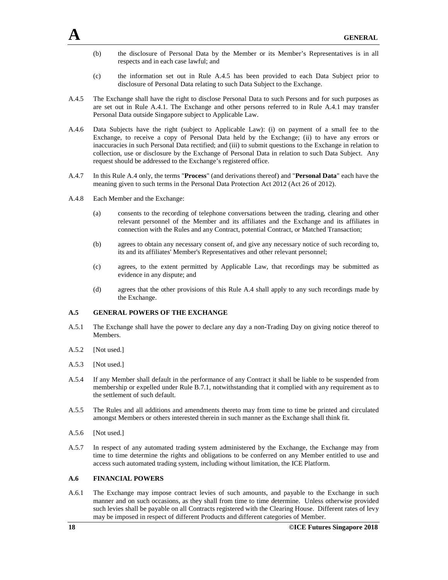

- (b) the disclosure of Personal Data by the Member or its Member's Representatives is in all respects and in each case lawful; and
- (c) the information set out in Rule A.4.5 has been provided to each Data Subject prior to disclosure of Personal Data relating to such Data Subject to the Exchange.
- A.4.5 The Exchange shall have the right to disclose Personal Data to such Persons and for such purposes as are set out in Rule A.4.1. The Exchange and other persons referred to in Rule A.4.1 may transfer Personal Data outside Singapore subject to Applicable Law.
- A.4.6 Data Subjects have the right (subject to Applicable Law): (i) on payment of a small fee to the Exchange, to receive a copy of Personal Data held by the Exchange; (ii) to have any errors or inaccuracies in such Personal Data rectified; and (iii) to submit questions to the Exchange in relation to collection, use or disclosure by the Exchange of Personal Data in relation to such Data Subject. Any request should be addressed to the Exchange's registered office.
- A.4.7 In this Rule A.4 only, the terms "**Process**" (and derivations thereof) and "**Personal Data**" each have the meaning given to such terms in the Personal Data Protection Act 2012 (Act 26 of 2012).
- A.4.8 Each Member and the Exchange:
	- (a) consents to the recording of telephone conversations between the trading, clearing and other relevant personnel of the Member and its affiliates and the Exchange and its affiliates in connection with the Rules and any Contract, potential Contract, or Matched Transaction;
	- (b) agrees to obtain any necessary consent of, and give any necessary notice of such recording to, its and its affiliates' Member's Representatives and other relevant personnel;
	- (c) agrees, to the extent permitted by Applicable Law, that recordings may be submitted as evidence in any dispute; and
	- (d) agrees that the other provisions of this Rule A.4 shall apply to any such recordings made by the Exchange.

## **A.5 GENERAL POWERS OF THE EXCHANGE**

- A.5.1 The Exchange shall have the power to declare any day a non-Trading Day on giving notice thereof to Members.
- A.5.2 [Not used.]
- A.5.3 [Not used.]
- A.5.4 If any Member shall default in the performance of any Contract it shall be liable to be suspended from membership or expelled under Rule B.7.1, notwithstanding that it complied with any requirement as to the settlement of such default.
- A.5.5 The Rules and all additions and amendments thereto may from time to time be printed and circulated amongst Members or others interested therein in such manner as the Exchange shall think fit.
- A.5.6 [Not used.]
- A.5.7 In respect of any automated trading system administered by the Exchange, the Exchange may from time to time determine the rights and obligations to be conferred on any Member entitled to use and access such automated trading system, including without limitation, the ICE Platform.

#### **A.6 FINANCIAL POWERS**

A.6.1 The Exchange may impose contract levies of such amounts, and payable to the Exchange in such manner and on such occasions, as they shall from time to time determine. Unless otherwise provided such levies shall be payable on all Contracts registered with the Clearing House. Different rates of levy may be imposed in respect of different Products and different categories of Member.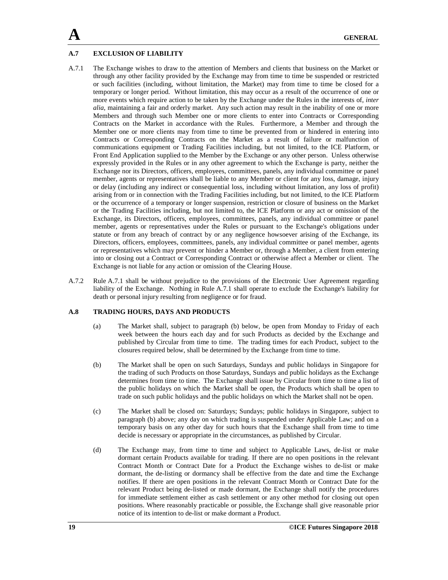## **A.7 EXCLUSION OF LIABILITY**

- A.7.1 The Exchange wishes to draw to the attention of Members and clients that business on the Market or through any other facility provided by the Exchange may from time to time be suspended or restricted or such facilities (including, without limitation, the Market) may from time to time be closed for a temporary or longer period. Without limitation, this may occur as a result of the occurrence of one or more events which require action to be taken by the Exchange under the Rules in the interests of, *inter alia*, maintaining a fair and orderly market. Any such action may result in the inability of one or more Members and through such Member one or more clients to enter into Contracts or Corresponding Contracts on the Market in accordance with the Rules. Furthermore, a Member and through the Member one or more clients may from time to time be prevented from or hindered in entering into Contracts or Corresponding Contracts on the Market as a result of failure or malfunction of communications equipment or Trading Facilities including, but not limited, to the ICE Platform, or Front End Application supplied to the Member by the Exchange or any other person. Unless otherwise expressly provided in the Rules or in any other agreement to which the Exchange is party, neither the Exchange nor its Directors, officers, employees, committees, panels, any individual committee or panel member, agents or representatives shall be liable to any Member or client for any loss, damage, injury or delay (including any indirect or consequential loss, including without limitation, any loss of profit) arising from or in connection with the Trading Facilities including, but not limited, to the ICE Platform or the occurrence of a temporary or longer suspension, restriction or closure of business on the Market or the Trading Facilities including, but not limited to, the ICE Platform or any act or omission of the Exchange, its Directors, officers, employees, committees, panels, any individual committee or panel member, agents or representatives under the Rules or pursuant to the Exchange's obligations under statute or from any breach of contract by or any negligence howsoever arising of the Exchange, its Directors, officers, employees, committees, panels, any individual committee or panel member, agents or representatives which may prevent or hinder a Member or, through a Member, a client from entering into or closing out a Contract or Corresponding Contract or otherwise affect a Member or client. The Exchange is not liable for any action or omission of the Clearing House.
- A.7.2 Rule A.7.1 shall be without prejudice to the provisions of the Electronic User Agreement regarding liability of the Exchange. Nothing in Rule A.7.1 shall operate to exclude the Exchange's liability for death or personal injury resulting from negligence or for fraud.

#### **A.8 TRADING HOURS, DAYS AND PRODUCTS**

- (a) The Market shall, subject to paragraph (b) below, be open from Monday to Friday of each week between the hours each day and for such Products as decided by the Exchange and published by Circular from time to time. The trading times for each Product, subject to the closures required below, shall be determined by the Exchange from time to time.
- (b) The Market shall be open on such Saturdays, Sundays and public holidays in Singapore for the trading of such Products on those Saturdays, Sundays and public holidays as the Exchange determines from time to time. The Exchange shall issue by Circular from time to time a list of the public holidays on which the Market shall be open, the Products which shall be open to trade on such public holidays and the public holidays on which the Market shall not be open.
- (c) The Market shall be closed on: Saturdays; Sundays; public holidays in Singapore, subject to paragraph (b) above; any day on which trading is suspended under Applicable Law; and on a temporary basis on any other day for such hours that the Exchange shall from time to time decide is necessary or appropriate in the circumstances, as published by Circular.
- (d) The Exchange may, from time to time and subject to Applicable Laws, de-list or make dormant certain Products available for trading. If there are no open positions in the relevant Contract Month or Contract Date for a Product the Exchange wishes to de-list or make dormant, the de-listing or dormancy shall be effective from the date and time the Exchange notifies. If there are open positions in the relevant Contract Month or Contract Date for the relevant Product being de-listed or made dormant, the Exchange shall notify the procedures for immediate settlement either as cash settlement or any other method for closing out open positions. Where reasonably practicable or possible, the Exchange shall give reasonable prior notice of its intention to de-list or make dormant a Product.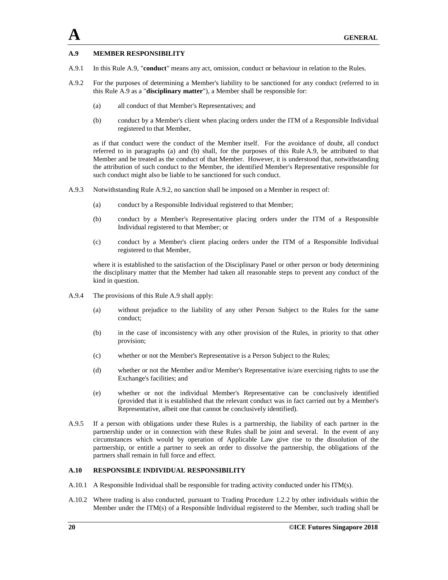

#### **A.9 MEMBER RESPONSIBILITY**

- A.9.1 In this Rule A.9, "**conduct**" means any act, omission, conduct or behaviour in relation to the Rules.
- A.9.2 For the purposes of determining a Member's liability to be sanctioned for any conduct (referred to in this Rule A.9 as a "**disciplinary matter**"), a Member shall be responsible for:
	- (a) all conduct of that Member's Representatives; and
	- (b) conduct by a Member's client when placing orders under the ITM of a Responsible Individual registered to that Member,

as if that conduct were the conduct of the Member itself. For the avoidance of doubt, all conduct referred to in paragraphs (a) and (b) shall, for the purposes of this Rule A.9, be attributed to that Member and be treated as the conduct of that Member. However, it is understood that, notwithstanding the attribution of such conduct to the Member, the identified Member's Representative responsible for such conduct might also be liable to be sanctioned for such conduct.

- A.9.3 Notwithstanding Rule A.9.2, no sanction shall be imposed on a Member in respect of:
	- (a) conduct by a Responsible Individual registered to that Member;
	- (b) conduct by a Member's Representative placing orders under the ITM of a Responsible Individual registered to that Member; or
	- (c) conduct by a Member's client placing orders under the ITM of a Responsible Individual registered to that Member,

where it is established to the satisfaction of the Disciplinary Panel or other person or body determining the disciplinary matter that the Member had taken all reasonable steps to prevent any conduct of the kind in question.

- A.9.4 The provisions of this Rule A.9 shall apply:
	- (a) without prejudice to the liability of any other Person Subject to the Rules for the same conduct;
	- (b) in the case of inconsistency with any other provision of the Rules, in priority to that other provision;
	- (c) whether or not the Member's Representative is a Person Subject to the Rules;
	- (d) whether or not the Member and/or Member's Representative is/are exercising rights to use the Exchange's facilities; and
	- (e) whether or not the individual Member's Representative can be conclusively identified (provided that it is established that the relevant conduct was in fact carried out by a Member's Representative, albeit one that cannot be conclusively identified).
- A.9.5 If a person with obligations under these Rules is a partnership, the liability of each partner in the partnership under or in connection with these Rules shall be joint and several. In the event of any circumstances which would by operation of Applicable Law give rise to the dissolution of the partnership, or entitle a partner to seek an order to dissolve the partnership, the obligations of the partners shall remain in full force and effect.

### **A.10 RESPONSIBLE INDIVIDUAL RESPONSIBILITY**

- A.10.1 A Responsible Individual shall be responsible for trading activity conducted under his ITM(s).
- A.10.2 Where trading is also conducted, pursuant to Trading Procedure 1.2.2 by other individuals within the Member under the ITM(s) of a Responsible Individual registered to the Member, such trading shall be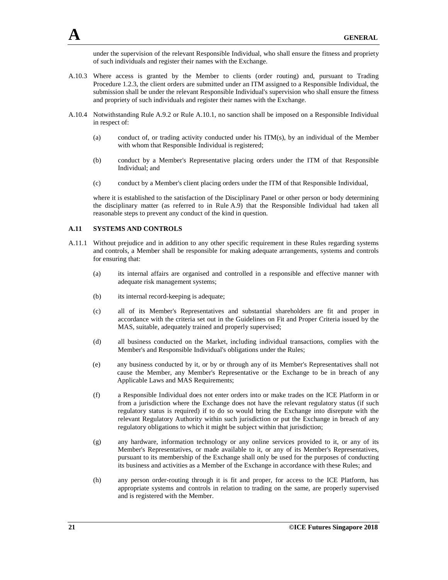under the supervision of the relevant Responsible Individual, who shall ensure the fitness and propriety of such individuals and register their names with the Exchange.

- A.10.3 Where access is granted by the Member to clients (order routing) and, pursuant to Trading Procedure 1.2.3, the client orders are submitted under an ITM assigned to a Responsible Individual, the submission shall be under the relevant Responsible Individual's supervision who shall ensure the fitness and propriety of such individuals and register their names with the Exchange.
- A.10.4 Notwithstanding Rule A.9.2 or Rule A.10.1, no sanction shall be imposed on a Responsible Individual in respect of:
	- (a) conduct of, or trading activity conducted under his ITM(s), by an individual of the Member with whom that Responsible Individual is registered;
	- (b) conduct by a Member's Representative placing orders under the ITM of that Responsible Individual; and
	- (c) conduct by a Member's client placing orders under the ITM of that Responsible Individual,

where it is established to the satisfaction of the Disciplinary Panel or other person or body determining the disciplinary matter (as referred to in Rule A.9) that the Responsible Individual had taken all reasonable steps to prevent any conduct of the kind in question.

#### **A.11 SYSTEMS AND CONTROLS**

- A.11.1 Without prejudice and in addition to any other specific requirement in these Rules regarding systems and controls, a Member shall be responsible for making adequate arrangements, systems and controls for ensuring that:
	- (a) its internal affairs are organised and controlled in a responsible and effective manner with adequate risk management systems;
	- (b) its internal record-keeping is adequate;
	- (c) all of its Member's Representatives and substantial shareholders are fit and proper in accordance with the criteria set out in the Guidelines on Fit and Proper Criteria issued by the MAS, suitable, adequately trained and properly supervised;
	- (d) all business conducted on the Market, including individual transactions, complies with the Member's and Responsible Individual's obligations under the Rules;
	- (e) any business conducted by it, or by or through any of its Member's Representatives shall not cause the Member, any Member's Representative or the Exchange to be in breach of any Applicable Laws and MAS Requirements;
	- (f) a Responsible Individual does not enter orders into or make trades on the ICE Platform in or from a jurisdiction where the Exchange does not have the relevant regulatory status (if such regulatory status is required) if to do so would bring the Exchange into disrepute with the relevant Regulatory Authority within such jurisdiction or put the Exchange in breach of any regulatory obligations to which it might be subject within that jurisdiction;
	- (g) any hardware, information technology or any online services provided to it, or any of its Member's Representatives, or made available to it, or any of its Member's Representatives, pursuant to its membership of the Exchange shall only be used for the purposes of conducting its business and activities as a Member of the Exchange in accordance with these Rules; and
	- (h) any person order-routing through it is fit and proper, for access to the ICE Platform, has appropriate systems and controls in relation to trading on the same, are properly supervised and is registered with the Member.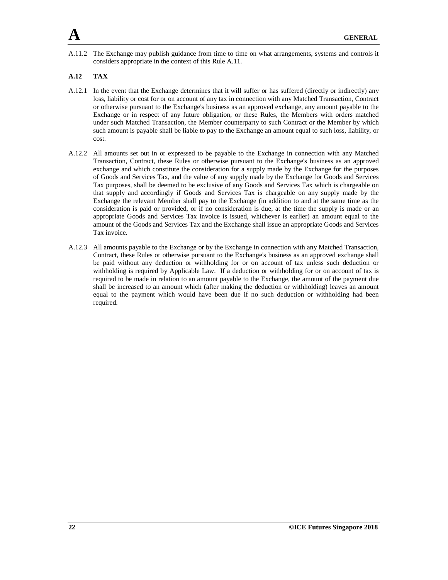

A.11.2 The Exchange may publish guidance from time to time on what arrangements, systems and controls it considers appropriate in the context of this Rule A.11.

## **A.12 TAX**

- A.12.1 In the event that the Exchange determines that it will suffer or has suffered (directly or indirectly) any loss, liability or cost for or on account of any tax in connection with any Matched Transaction, Contract or otherwise pursuant to the Exchange's business as an approved exchange, any amount payable to the Exchange or in respect of any future obligation, or these Rules, the Members with orders matched under such Matched Transaction, the Member counterparty to such Contract or the Member by which such amount is payable shall be liable to pay to the Exchange an amount equal to such loss, liability, or cost.
- A.12.2 All amounts set out in or expressed to be payable to the Exchange in connection with any Matched Transaction, Contract, these Rules or otherwise pursuant to the Exchange's business as an approved exchange and which constitute the consideration for a supply made by the Exchange for the purposes of Goods and Services Tax, and the value of any supply made by the Exchange for Goods and Services Tax purposes, shall be deemed to be exclusive of any Goods and Services Tax which is chargeable on that supply and accordingly if Goods and Services Tax is chargeable on any supply made by the Exchange the relevant Member shall pay to the Exchange (in addition to and at the same time as the consideration is paid or provided, or if no consideration is due, at the time the supply is made or an appropriate Goods and Services Tax invoice is issued, whichever is earlier) an amount equal to the amount of the Goods and Services Tax and the Exchange shall issue an appropriate Goods and Services Tax invoice.
- A.12.3 All amounts payable to the Exchange or by the Exchange in connection with any Matched Transaction, Contract, these Rules or otherwise pursuant to the Exchange's business as an approved exchange shall be paid without any deduction or withholding for or on account of tax unless such deduction or withholding is required by Applicable Law. If a deduction or withholding for or on account of tax is required to be made in relation to an amount payable to the Exchange, the amount of the payment due shall be increased to an amount which (after making the deduction or withholding) leaves an amount equal to the payment which would have been due if no such deduction or withholding had been required.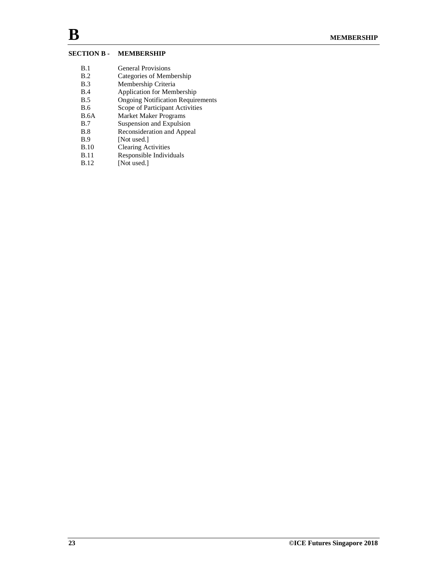## **SECTION B - MEMBERSHIP**

- B.1 General Provisions
- B.2 Categories of Membership<br>B.3 Membership Criteria
- B.3 Membership Criteria<br>B.4 Application for Meml
- B.4 Application for Membership<br>B.5 Ongoing Notification Require
- B.5 Ongoing Notification Requirements<br>B.6 Scope of Participant Activities
- Scope of Participant Activities
- B.6A Market Maker Programs
- B.7 Suspension and Expulsion
- B.8 Reconsideration and Appeal<br>B.9 [Not used.]
- B.9 [Not used.]<br>B.10 Clearing Ac
- Clearing Activities
- B.11 Responsible Individuals<br>B.12 [Not used.] [Not used.]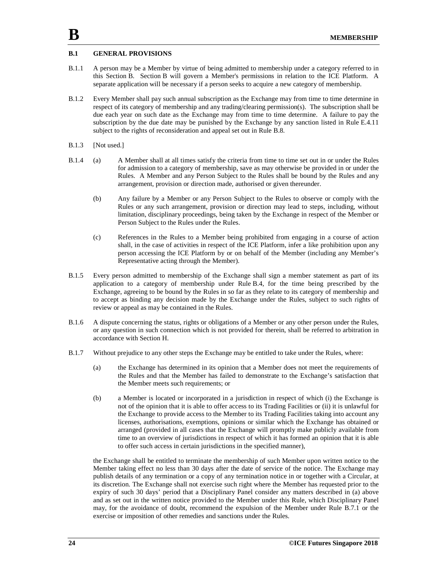## **B.1 GENERAL PROVISIONS**

- B.1.1 A person may be a Member by virtue of being admitted to membership under a category referred to in this Section B. Section B will govern a Member's permissions in relation to the ICE Platform. A separate application will be necessary if a person seeks to acquire a new category of membership.
- B.1.2 Every Member shall pay such annual subscription as the Exchange may from time to time determine in respect of its category of membership and any trading/clearing permission(s). The subscription shall be due each year on such date as the Exchange may from time to time determine. A failure to pay the subscription by the due date may be punished by the Exchange by any sanction listed in Rule E.4.11 subject to the rights of reconsideration and appeal set out in Rule B.8.
- B.1.3 [Not used.]
- B.1.4 (a) A Member shall at all times satisfy the criteria from time to time set out in or under the Rules for admission to a category of membership, save as may otherwise be provided in or under the Rules. A Member and any Person Subject to the Rules shall be bound by the Rules and any arrangement, provision or direction made, authorised or given thereunder.
	- (b) Any failure by a Member or any Person Subject to the Rules to observe or comply with the Rules or any such arrangement, provision or direction may lead to steps, including, without limitation, disciplinary proceedings, being taken by the Exchange in respect of the Member or Person Subject to the Rules under the Rules.
	- (c) References in the Rules to a Member being prohibited from engaging in a course of action shall, in the case of activities in respect of the ICE Platform, infer a like prohibition upon any person accessing the ICE Platform by or on behalf of the Member (including any Member's Representative acting through the Member).
- B.1.5 Every person admitted to membership of the Exchange shall sign a member statement as part of its application to a category of membership under Rule B.4, for the time being prescribed by the Exchange, agreeing to be bound by the Rules in so far as they relate to its category of membership and to accept as binding any decision made by the Exchange under the Rules, subject to such rights of review or appeal as may be contained in the Rules.
- B.1.6 A dispute concerning the status, rights or obligations of a Member or any other person under the Rules, or any question in such connection which is not provided for therein, shall be referred to arbitration in accordance with Section H.
- B.1.7 Without prejudice to any other steps the Exchange may be entitled to take under the Rules, where:
	- (a) the Exchange has determined in its opinion that a Member does not meet the requirements of the Rules and that the Member has failed to demonstrate to the Exchange's satisfaction that the Member meets such requirements; or
	- (b) a Member is located or incorporated in a jurisdiction in respect of which (i) the Exchange is not of the opinion that it is able to offer access to its Trading Facilities or (ii) it is unlawful for the Exchange to provide access to the Member to its Trading Facilities taking into account any licenses, authorisations, exemptions, opinions or similar which the Exchange has obtained or arranged (provided in all cases that the Exchange will promptly make publicly available from time to an overview of jurisdictions in respect of which it has formed an opinion that it is able to offer such access in certain jurisdictions in the specified manner),

the Exchange shall be entitled to terminate the membership of such Member upon written notice to the Member taking effect no less than 30 days after the date of service of the notice. The Exchange may publish details of any termination or a copy of any termination notice in or together with a Circular, at its discretion. The Exchange shall not exercise such right where the Member has requested prior to the expiry of such 30 days' period that a Disciplinary Panel consider any matters described in (a) above and as set out in the written notice provided to the Member under this Rule, which Disciplinary Panel may, for the avoidance of doubt, recommend the expulsion of the Member under Rule B.7.1 or the exercise or imposition of other remedies and sanctions under the Rules.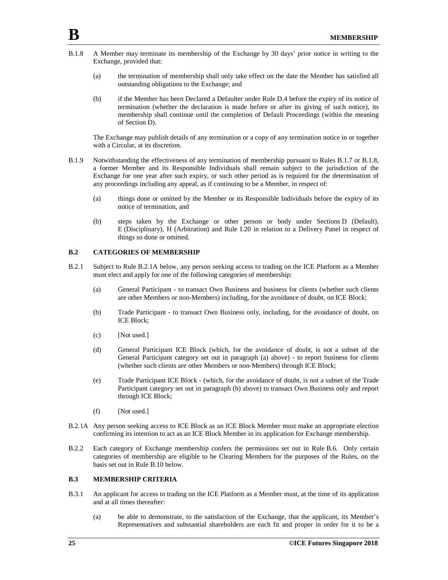- B.1.8 A Member may terminate its membership of the Exchange by 30 days' prior notice in writing to the Exchange, provided that:
	- (a) the termination of membership shall only take effect on the date the Member has satisfied all outstanding obligations to the Exchange; and
	- (b) if the Member has been Declared a Defaulter under Rule D.4 before the expiry of its notice of termination (whether the declaration is made before or after its giving of such notice), its membership shall continue until the completion of Default Proceedings (within the meaning of Section D).

The Exchange may publish details of any termination or a copy of any termination notice in or together with a Circular, at its discretion.

- B.1.9 Notwithstanding the effectiveness of any termination of membership pursuant to Rules B.1.7 or B.1.8, a former Member and its Responsible Individuals shall remain subject to the jurisdiction of the Exchange for one year after such expiry, or such other period as is required for the determination of any proceedings including any appeal, as if continuing to be a Member, in respect of:
	- (a) things done or omitted by the Member or its Responsible Individuals before the expiry of its notice of termination, and
	- (b) steps taken by the Exchange or other person or body under Sections D (Default), E (Disciplinary), H (Arbitration) and Rule I.20 in relation to a Delivery Panel in respect of things so done or omitted.

## **B.2 CATEGORIES OF MEMBERSHIP**

- B.2.1 Subject to Rule B.2.1A below, any person seeking access to trading on the ICE Platform as a Member must elect and apply for one of the following categories of membership:
	- (a) General Participant to transact Own Business and business for clients (whether such clients are other Members or non-Members) including, for the avoidance of doubt, on ICE Block;
	- (b) Trade Participant to transact Own Business only, including, for the avoidance of doubt, on ICE Block;
	- (c) [Not used.]
	- (d) General Participant ICE Block (which, for the avoidance of doubt, is not a subset of the General Participant category set out in paragraph (a) above) - to report business for clients (whether such clients are other Members or non-Members) through ICE Block;
	- (e) Trade Participant ICE Block (which, for the avoidance of doubt, is not a subset of the Trade Participant category set out in paragraph (b) above) to transact Own Business only and report through ICE Block;
	- (f) [Not used.]
- B.2.1A Any person seeking access to ICE Block as an ICE Block Member must make an appropriate election confirming its intention to act as an ICE Block Member in its application for Exchange membership.
- B.2.2 Each category of Exchange membership confers the permissions set out in Rule B.6. Only certain categories of membership are eligible to be Clearing Members for the purposes of the Rules, on the basis set out in Rule B.10 below.

#### **B.3 MEMBERSHIP CRITERIA**

- B.3.1 An applicant for access to trading on the ICE Platform as a Member must, at the time of its application and at all times thereafter:
	- (a) be able to demonstrate, to the satisfaction of the Exchange, that the applicant, its Member's Representatives and substantial shareholders are each fit and proper in order for it to be a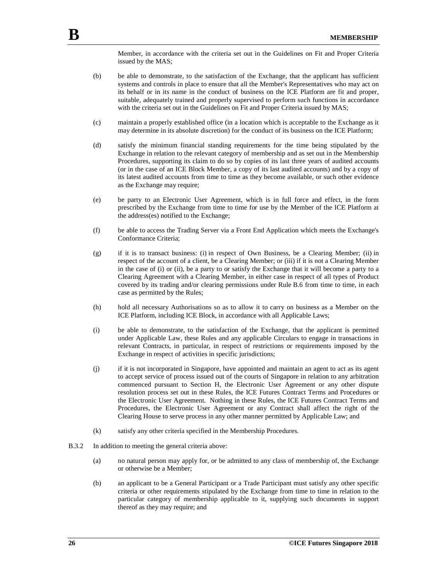Member, in accordance with the criteria set out in the Guidelines on Fit and Proper Criteria issued by the MAS;

- (b) be able to demonstrate, to the satisfaction of the Exchange, that the applicant has sufficient systems and controls in place to ensure that all the Member's Representatives who may act on its behalf or in its name in the conduct of business on the ICE Platform are fit and proper, suitable, adequately trained and properly supervised to perform such functions in accordance with the criteria set out in the Guidelines on Fit and Proper Criteria issued by MAS;
- (c) maintain a properly established office (in a location which is acceptable to the Exchange as it may determine in its absolute discretion) for the conduct of its business on the ICE Platform;
- (d) satisfy the minimum financial standing requirements for the time being stipulated by the Exchange in relation to the relevant category of membership and as set out in the Membership Procedures, supporting its claim to do so by copies of its last three years of audited accounts (or in the case of an ICE Block Member, a copy of its last audited accounts) and by a copy of its latest audited accounts from time to time as they become available, or such other evidence as the Exchange may require;
- (e) be party to an Electronic User Agreement, which is in full force and effect, in the form prescribed by the Exchange from time to time for use by the Member of the ICE Platform at the address(es) notified to the Exchange;
- (f) be able to access the Trading Server via a Front End Application which meets the Exchange's Conformance Criteria;
- (g) if it is to transact business: (i) in respect of Own Business, be a Clearing Member; (ii) in respect of the account of a client, be a Clearing Member; or (iii) if it is not a Clearing Member in the case of (i) or (ii), be a party to or satisfy the Exchange that it will become a party to a Clearing Agreement with a Clearing Member, in either case in respect of all types of Product covered by its trading and/or clearing permissions under Rule B.6 from time to time, in each case as permitted by the Rules;
- (h) hold all necessary Authorisations so as to allow it to carry on business as a Member on the ICE Platform, including ICE Block, in accordance with all Applicable Laws;
- (i) be able to demonstrate, to the satisfaction of the Exchange, that the applicant is permitted under Applicable Law, these Rules and any applicable Circulars to engage in transactions in relevant Contracts, in particular, in respect of restrictions or requirements imposed by the Exchange in respect of activities in specific jurisdictions;
- (j) if it is not incorporated in Singapore, have appointed and maintain an agent to act as its agent to accept service of process issued out of the courts of Singapore in relation to any arbitration commenced pursuant to Section H, the Electronic User Agreement or any other dispute resolution process set out in these Rules, the ICE Futures Contract Terms and Procedures or the Electronic User Agreement. Nothing in these Rules, the ICE Futures Contract Terms and Procedures, the Electronic User Agreement or any Contract shall affect the right of the Clearing House to serve process in any other manner permitted by Applicable Law; and
- (k) satisfy any other criteria specified in the Membership Procedures.
- B.3.2 In addition to meeting the general criteria above:
	- (a) no natural person may apply for, or be admitted to any class of membership of, the Exchange or otherwise be a Member;
	- (b) an applicant to be a General Participant or a Trade Participant must satisfy any other specific criteria or other requirements stipulated by the Exchange from time to time in relation to the particular category of membership applicable to it, supplying such documents in support thereof as they may require; and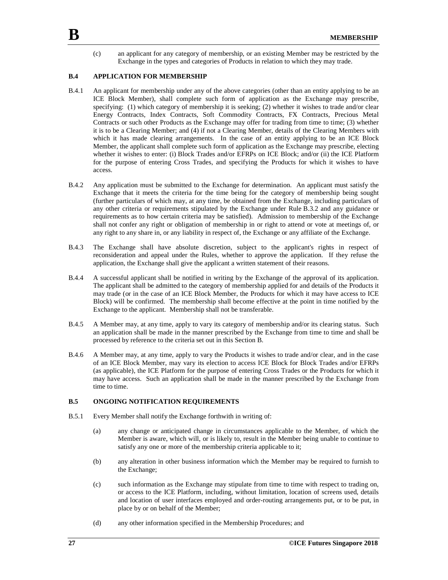(c) an applicant for any category of membership, or an existing Member may be restricted by the Exchange in the types and categories of Products in relation to which they may trade.

## **B.4 APPLICATION FOR MEMBERSHIP**

- B.4.1 An applicant for membership under any of the above categories (other than an entity applying to be an ICE Block Member), shall complete such form of application as the Exchange may prescribe, specifying: (1) which category of membership it is seeking; (2) whether it wishes to trade and/or clear Energy Contracts, Index Contracts, Soft Commodity Contracts, FX Contracts, Precious Metal Contracts or such other Products as the Exchange may offer for trading from time to time; (3) whether it is to be a Clearing Member; and (4) if not a Clearing Member, details of the Clearing Members with which it has made clearing arrangements. In the case of an entity applying to be an ICE Block Member, the applicant shall complete such form of application as the Exchange may prescribe, electing whether it wishes to enter: (i) Block Trades and/or EFRPs on ICE Block; and/or (ii) the ICE Platform for the purpose of entering Cross Trades, and specifying the Products for which it wishes to have access.
- B.4.2 Any application must be submitted to the Exchange for determination. An applicant must satisfy the Exchange that it meets the criteria for the time being for the category of membership being sought (further particulars of which may, at any time, be obtained from the Exchange, including particulars of any other criteria or requirements stipulated by the Exchange under Rule B.3.2 and any guidance or requirements as to how certain criteria may be satisfied). Admission to membership of the Exchange shall not confer any right or obligation of membership in or right to attend or vote at meetings of, or any right to any share in, or any liability in respect of, the Exchange or any affiliate of the Exchange.
- B.4.3 The Exchange shall have absolute discretion, subject to the applicant's rights in respect of reconsideration and appeal under the Rules, whether to approve the application. If they refuse the application, the Exchange shall give the applicant a written statement of their reasons.
- B.4.4 A successful applicant shall be notified in writing by the Exchange of the approval of its application. The applicant shall be admitted to the category of membership applied for and details of the Products it may trade (or in the case of an ICE Block Member, the Products for which it may have access to ICE Block) will be confirmed. The membership shall become effective at the point in time notified by the Exchange to the applicant. Membership shall not be transferable.
- B.4.5 A Member may, at any time, apply to vary its category of membership and/or its clearing status. Such an application shall be made in the manner prescribed by the Exchange from time to time and shall be processed by reference to the criteria set out in this Section B.
- B.4.6 A Member may, at any time, apply to vary the Products it wishes to trade and/or clear, and in the case of an ICE Block Member, may vary its election to access ICE Block for Block Trades and/or EFRPs (as applicable), the ICE Platform for the purpose of entering Cross Trades or the Products for which it may have access. Such an application shall be made in the manner prescribed by the Exchange from time to time.

#### **B.5 ONGOING NOTIFICATION REQUIREMENTS**

- B.5.1 Every Member shall notify the Exchange forthwith in writing of:
	- (a) any change or anticipated change in circumstances applicable to the Member, of which the Member is aware, which will, or is likely to, result in the Member being unable to continue to satisfy any one or more of the membership criteria applicable to it;
	- (b) any alteration in other business information which the Member may be required to furnish to the Exchange;
	- (c) such information as the Exchange may stipulate from time to time with respect to trading on, or access to the ICE Platform, including, without limitation, location of screens used, details and location of user interfaces employed and order-routing arrangements put, or to be put, in place by or on behalf of the Member;
	- (d) any other information specified in the Membership Procedures; and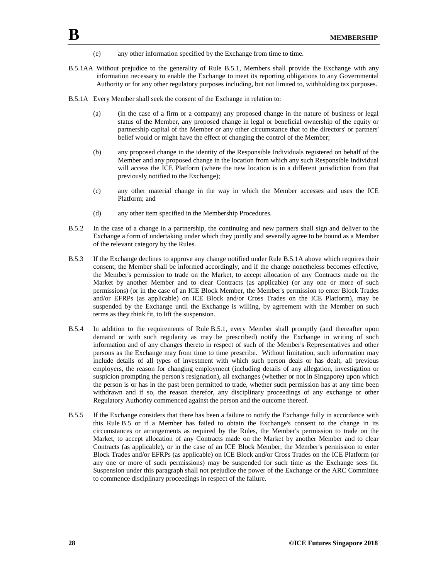- (e) any other information specified by the Exchange from time to time.
- B.5.1AA Without prejudice to the generality of Rule B.5.1, Members shall provide the Exchange with any information necessary to enable the Exchange to meet its reporting obligations to any Governmental Authority or for any other regulatory purposes including, but not limited to, withholding tax purposes.
- B.5.1A Every Member shall seek the consent of the Exchange in relation to:
	- (a) (in the case of a firm or a company) any proposed change in the nature of business or legal status of the Member, any proposed change in legal or beneficial ownership of the equity or partnership capital of the Member or any other circumstance that to the directors' or partners' belief would or might have the effect of changing the control of the Member;
	- (b) any proposed change in the identity of the Responsible Individuals registered on behalf of the Member and any proposed change in the location from which any such Responsible Individual will access the ICE Platform (where the new location is in a different jurisdiction from that previously notified to the Exchange);
	- (c) any other material change in the way in which the Member accesses and uses the ICE Platform; and
	- (d) any other item specified in the Membership Procedures.
- B.5.2 In the case of a change in a partnership, the continuing and new partners shall sign and deliver to the Exchange a form of undertaking under which they jointly and severally agree to be bound as a Member of the relevant category by the Rules.
- B.5.3 If the Exchange declines to approve any change notified under Rule B.5.1A above which requires their consent, the Member shall be informed accordingly, and if the change nonetheless becomes effective, the Member's permission to trade on the Market, to accept allocation of any Contracts made on the Market by another Member and to clear Contracts (as applicable) (or any one or more of such permissions) (or in the case of an ICE Block Member, the Member's permission to enter Block Trades and/or EFRPs (as applicable) on ICE Block and/or Cross Trades on the ICE Platform), may be suspended by the Exchange until the Exchange is willing, by agreement with the Member on such terms as they think fit, to lift the suspension.
- B.5.4 In addition to the requirements of Rule B.5.1, every Member shall promptly (and thereafter upon demand or with such regularity as may be prescribed) notify the Exchange in writing of such information and of any changes thereto in respect of such of the Member's Representatives and other persons as the Exchange may from time to time prescribe. Without limitation, such information may include details of all types of investment with which such person deals or has dealt, all previous employers, the reason for changing employment (including details of any allegation, investigation or suspicion prompting the person's resignation), all exchanges (whether or not in Singapore) upon which the person is or has in the past been permitted to trade, whether such permission has at any time been withdrawn and if so, the reason therefor, any disciplinary proceedings of any exchange or other Regulatory Authority commenced against the person and the outcome thereof.
- B.5.5 If the Exchange considers that there has been a failure to notify the Exchange fully in accordance with this Rule B.5 or if a Member has failed to obtain the Exchange's consent to the change in its circumstances or arrangements as required by the Rules, the Member's permission to trade on the Market, to accept allocation of any Contracts made on the Market by another Member and to clear Contracts (as applicable), or in the case of an ICE Block Member, the Member's permission to enter Block Trades and/or EFRPs (as applicable) on ICE Block and/or Cross Trades on the ICE Platform (or any one or more of such permissions) may be suspended for such time as the Exchange sees fit. Suspension under this paragraph shall not prejudice the power of the Exchange or the ARC Committee to commence disciplinary proceedings in respect of the failure.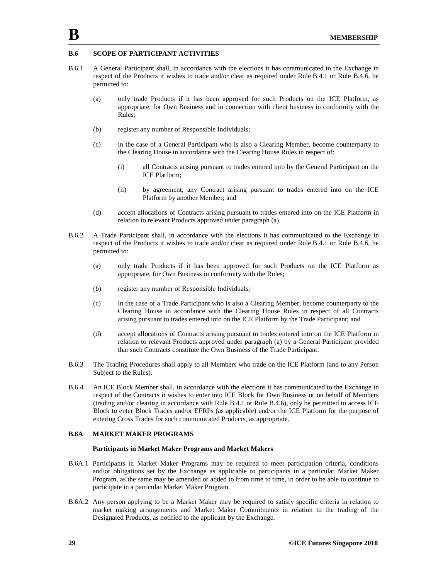## **B.6 SCOPE OF PARTICIPANT ACTIVITIES**

- B.6.1 A General Participant shall, in accordance with the elections it has communicated to the Exchange in respect of the Products it wishes to trade and/or clear as required under Rule B.4.1 or Rule B.4.6, be permitted to:
	- (a) only trade Products if it has been approved for such Products on the ICE Platform, as appropriate, for Own Business and in connection with client business in conformity with the Rules;
	- (b) register any number of Responsible Individuals;
	- (c) in the case of a General Participant who is also a Clearing Member, become counterparty to the Clearing House in accordance with the Clearing House Rules in respect of:
		- (i) all Contracts arising pursuant to trades entered into by the General Participant on the ICE Platform;
		- (ii) by agreement, any Contract arising pursuant to trades entered into on the ICE Platform by another Member; and
	- (d) accept allocations of Contracts arising pursuant to trades entered into on the ICE Platform in relation to relevant Products approved under paragraph (a).
- B.6.2 A Trade Participant shall, in accordance with the elections it has communicated to the Exchange in respect of the Products it wishes to trade and/or clear as required under Rule B.4.1 or Rule B.4.6, be permitted to:
	- (a) only trade Products if it has been approved for such Products on the ICE Platform as appropriate, for Own Business in conformity with the Rules;
	- (b) register any number of Responsible Individuals;
	- (c) in the case of a Trade Participant who is also a Clearing Member, become counterparty to the Clearing House in accordance with the Clearing House Rules in respect of all Contracts arising pursuant to trades entered into on the ICE Platform by the Trade Participant; and
	- (d) accept allocations of Contracts arising pursuant to trades entered into on the ICE Platform in relation to relevant Products approved under paragraph (a) by a General Participant provided that such Contracts constitute the Own Business of the Trade Participant.
- B.6.3 The Trading Procedures shall apply to all Members who trade on the ICE Platform (and to any Person Subject to the Rules).
- B.6.4 An ICE Block Member shall, in accordance with the elections it has communicated to the Exchange in respect of the Contracts it wishes to enter into ICE Block for Own Business or on behalf of Members (trading and/or clearing in accordance with Rule B.4.1 or Rule B.4.6), only be permitted to access ICE Block to enter Block Trades and/or EFRPs (as applicable) and/or the ICE Platform for the purpose of entering Cross Trades for such communicated Products, as appropriate.

#### **B.6A MARKET MAKER PROGRAMS**

#### **Participants in Market Maker Programs and Market Makers**

- B.6A.1 Participants in Market Maker Programs may be required to meet participation criteria, conditions and/or obligations set by the Exchange as applicable to participants in a particular Market Maker Program, as the same may be amended or added to from time to time, in order to be able to continue to participate in a particular Market Maker Program.
- B.6A.2 Any person applying to be a Market Maker may be required to satisfy specific criteria in relation to market making arrangements and Market Maker Commitments in relation to the trading of the Designated Products, as notified to the applicant by the Exchange.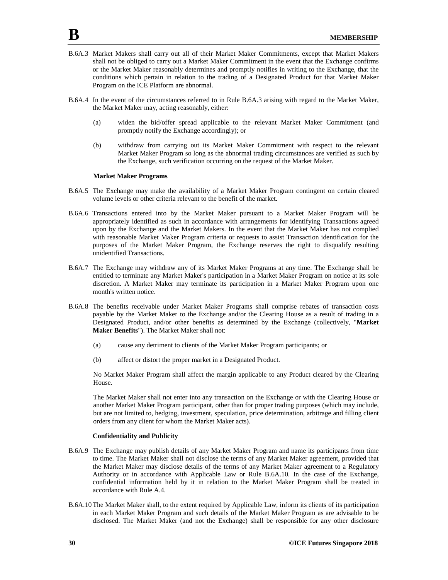- B.6A.3 Market Makers shall carry out all of their Market Maker Commitments, except that Market Makers shall not be obliged to carry out a Market Maker Commitment in the event that the Exchange confirms or the Market Maker reasonably determines and promptly notifies in writing to the Exchange, that the conditions which pertain in relation to the trading of a Designated Product for that Market Maker Program on the ICE Platform are abnormal.
- B.6A.4 In the event of the circumstances referred to in Rule B.6A.3 arising with regard to the Market Maker, the Market Maker may, acting reasonably, either:
	- (a) widen the bid/offer spread applicable to the relevant Market Maker Commitment (and promptly notify the Exchange accordingly); or
	- (b) withdraw from carrying out its Market Maker Commitment with respect to the relevant Market Maker Program so long as the abnormal trading circumstances are verified as such by the Exchange, such verification occurring on the request of the Market Maker.

#### **Market Maker Programs**

- B.6A.5 The Exchange may make the availability of a Market Maker Program contingent on certain cleared volume levels or other criteria relevant to the benefit of the market.
- B.6A.6 Transactions entered into by the Market Maker pursuant to a Market Maker Program will be appropriately identified as such in accordance with arrangements for identifying Transactions agreed upon by the Exchange and the Market Makers. In the event that the Market Maker has not complied with reasonable Market Maker Program criteria or requests to assist Transaction identification for the purposes of the Market Maker Program, the Exchange reserves the right to disqualify resulting unidentified Transactions.
- B.6A.7 The Exchange may withdraw any of its Market Maker Programs at any time. The Exchange shall be entitled to terminate any Market Maker's participation in a Market Maker Program on notice at its sole discretion. A Market Maker may terminate its participation in a Market Maker Program upon one month's written notice.
- B.6A.8 The benefits receivable under Market Maker Programs shall comprise rebates of transaction costs payable by the Market Maker to the Exchange and/or the Clearing House as a result of trading in a Designated Product, and/or other benefits as determined by the Exchange (collectively, "**Market Maker Benefits**"). The Market Maker shall not:
	- (a) cause any detriment to clients of the Market Maker Program participants; or
	- (b) affect or distort the proper market in a Designated Product.

No Market Maker Program shall affect the margin applicable to any Product cleared by the Clearing House.

The Market Maker shall not enter into any transaction on the Exchange or with the Clearing House or another Market Maker Program participant, other than for proper trading purposes (which may include, but are not limited to, hedging, investment, speculation, price determination, arbitrage and filling client orders from any client for whom the Market Maker acts).

#### **Confidentiality and Publicity**

- B.6A.9 The Exchange may publish details of any Market Maker Program and name its participants from time to time. The Market Maker shall not disclose the terms of any Market Maker agreement, provided that the Market Maker may disclose details of the terms of any Market Maker agreement to a Regulatory Authority or in accordance with Applicable Law or Rule B.6A.10. In the case of the Exchange, confidential information held by it in relation to the Market Maker Program shall be treated in accordance with Rule A.4.
- B.6A.10 The Market Maker shall, to the extent required by Applicable Law, inform its clients of its participation in each Market Maker Program and such details of the Market Maker Program as are advisable to be disclosed. The Market Maker (and not the Exchange) shall be responsible for any other disclosure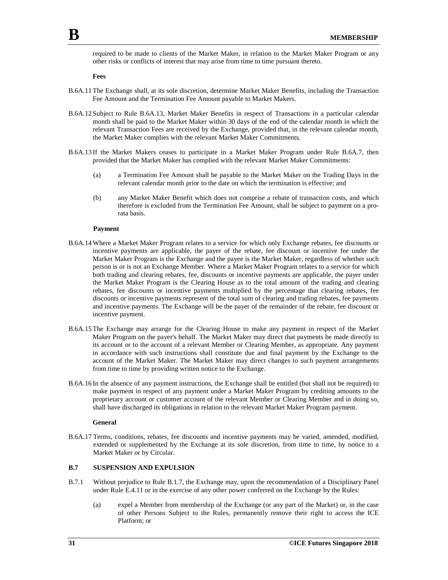required to be made to clients of the Market Maker, in relation to the Market Maker Program or any other risks or conflicts of interest that may arise from time to time pursuant thereto.

**Fees**

- B.6A.11 The Exchange shall, at its sole discretion, determine Market Maker Benefits, including the Transaction Fee Amount and the Termination Fee Amount payable to Market Makers.
- B.6A.12 Subject to Rule B.6A.13, Market Maker Benefits in respect of Transactions in a particular calendar month shall be paid to the Market Maker within 30 days of the end of the calendar month in which the relevant Transaction Fees are received by the Exchange, provided that, in the relevant calendar month, the Market Maker complies with the relevant Market Maker Commitments.
- B.6A.13 If the Market Makers ceases to participate in a Market Maker Program under Rule B.6A.7, then provided that the Market Maker has complied with the relevant Market Maker Commitments:
	- (a) a Termination Fee Amount shall be payable to the Market Maker on the Trading Days in the relevant calendar month prior to the date on which the termination is effective; and
	- (b) any Market Maker Benefit which does not comprise a rebate of transaction costs, and which therefore is excluded from the Termination Fee Amount, shall be subject to payment on a prorata basis.

#### **Payment**

- B.6A.14 Where a Market Maker Program relates to a service for which only Exchange rebates, fee discounts or incentive payments are applicable, the payer of the rebate, fee discount or incentive fee under the Market Maker Program is the Exchange and the payee is the Market Maker, regardless of whether such person is or is not an Exchange Member. Where a Market Maker Program relates to a service for which both trading and clearing rebates, fee, discounts or incentive payments are applicable, the payer under the Market Maker Program is the Clearing House as to the total amount of the trading and clearing rebates, fee discounts or incentive payments multiplied by the percentage that clearing rebates, fee discounts or incentive payments represent of the total sum of clearing and trading rebates, fee payments and incentive payments. The Exchange will be the payer of the remainder of the rebate, fee discount or incentive payment.
- B.6A.15 The Exchange may arrange for the Clearing House to make any payment in respect of the Market Maker Program on the payer's behalf. The Market Maker may direct that payments be made directly to its account or to the account of a relevant Member or Clearing Member, as appropriate. Any payment in accordance with such instructions shall constitute due and final payment by the Exchange to the account of the Market Maker. The Market Maker may direct changes to such payment arrangements from time to time by providing written notice to the Exchange.
- B.6A.16 In the absence of any payment instructions, the Exchange shall be entitled (but shall not be required) to make payment in respect of any payment under a Market Maker Program by crediting amounts to the proprietary account or customer account of the relevant Member or Clearing Member and in doing so, shall have discharged its obligations in relation to the relevant Market Maker Program payment.

#### **General**

B.6A.17 Terms, conditions, rebates, fee discounts and incentive payments may be varied, amended, modified, extended or supplemented by the Exchange at its sole discretion, from time to time, by notice to a Market Maker or by Circular.

## **B.7 SUSPENSION AND EXPULSION**

- B.7.1 Without prejudice to Rule B.1.7, the Exchange may, upon the recommendation of a Disciplinary Panel under Rule E.4.11 or in the exercise of any other power conferred on the Exchange by the Rules:
	- (a) expel a Member from membership of the Exchange (or any part of the Market) or, in the case of other Persons Subject to the Rules, permanently remove their right to access the ICE Platform; or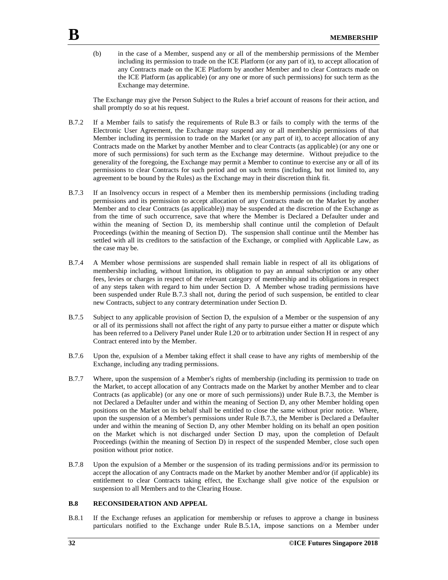(b) in the case of a Member, suspend any or all of the membership permissions of the Member including its permission to trade on the ICE Platform (or any part of it), to accept allocation of any Contracts made on the ICE Platform by another Member and to clear Contracts made on the ICE Platform (as applicable) (or any one or more of such permissions) for such term as the Exchange may determine.

The Exchange may give the Person Subject to the Rules a brief account of reasons for their action, and shall promptly do so at his request.

- B.7.2 If a Member fails to satisfy the requirements of Rule B.3 or fails to comply with the terms of the Electronic User Agreement, the Exchange may suspend any or all membership permissions of that Member including its permission to trade on the Market (or any part of it), to accept allocation of any Contracts made on the Market by another Member and to clear Contracts (as applicable) (or any one or more of such permissions) for such term as the Exchange may determine. Without prejudice to the generality of the foregoing, the Exchange may permit a Member to continue to exercise any or all of its permissions to clear Contracts for such period and on such terms (including, but not limited to, any agreement to be bound by the Rules) as the Exchange may in their discretion think fit.
- B.7.3 If an Insolvency occurs in respect of a Member then its membership permissions (including trading permissions and its permission to accept allocation of any Contracts made on the Market by another Member and to clear Contracts (as applicable)) may be suspended at the discretion of the Exchange as from the time of such occurrence, save that where the Member is Declared a Defaulter under and within the meaning of Section D, its membership shall continue until the completion of Default Proceedings (within the meaning of Section D). The suspension shall continue until the Member has settled with all its creditors to the satisfaction of the Exchange, or complied with Applicable Law, as the case may be.
- B.7.4 A Member whose permissions are suspended shall remain liable in respect of all its obligations of membership including, without limitation, its obligation to pay an annual subscription or any other fees, levies or charges in respect of the relevant category of membership and its obligations in respect of any steps taken with regard to him under Section D. A Member whose trading permissions have been suspended under Rule B.7.3 shall not, during the period of such suspension, be entitled to clear new Contracts, subject to any contrary determination under Section D.
- B.7.5 Subject to any applicable provision of Section D, the expulsion of a Member or the suspension of any or all of its permissions shall not affect the right of any party to pursue either a matter or dispute which has been referred to a Delivery Panel under Rule I.20 or to arbitration under Section H in respect of any Contract entered into by the Member.
- B.7.6 Upon the, expulsion of a Member taking effect it shall cease to have any rights of membership of the Exchange, including any trading permissions.
- B.7.7 Where, upon the suspension of a Member's rights of membership (including its permission to trade on the Market, to accept allocation of any Contracts made on the Market by another Member and to clear Contracts (as applicable) (or any one or more of such permissions)) under Rule B.7.3, the Member is not Declared a Defaulter under and within the meaning of Section D, any other Member holding open positions on the Market on its behalf shall be entitled to close the same without prior notice. Where, upon the suspension of a Member's permissions under Rule B.7.3, the Member is Declared a Defaulter under and within the meaning of Section D, any other Member holding on its behalf an open position on the Market which is not discharged under Section D may, upon the completion of Default Proceedings (within the meaning of Section D) in respect of the suspended Member, close such open position without prior notice.
- B.7.8 Upon the expulsion of a Member or the suspension of its trading permissions and/or its permission to accept the allocation of any Contracts made on the Market by another Member and/or (if applicable) its entitlement to clear Contracts taking effect, the Exchange shall give notice of the expulsion or suspension to all Members and to the Clearing House.

## **B.8 RECONSIDERATION AND APPEAL**

B.8.1 If the Exchange refuses an application for membership or refuses to approve a change in business particulars notified to the Exchange under Rule B.5.1A, impose sanctions on a Member under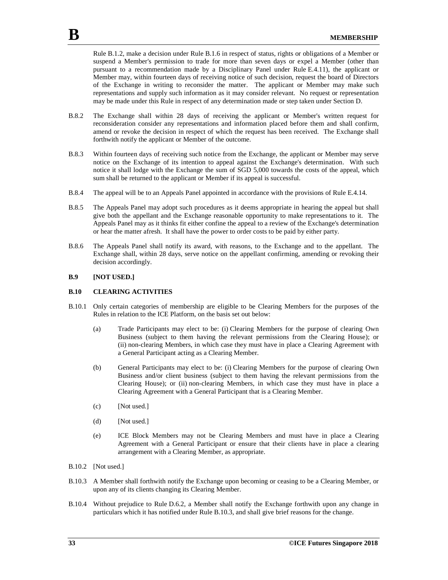Rule B.1.2, make a decision under Rule B.1.6 in respect of status, rights or obligations of a Member or suspend a Member's permission to trade for more than seven days or expel a Member (other than pursuant to a recommendation made by a Disciplinary Panel under Rule E.4.11), the applicant or Member may, within fourteen days of receiving notice of such decision, request the board of Directors of the Exchange in writing to reconsider the matter. The applicant or Member may make such representations and supply such information as it may consider relevant. No request or representation may be made under this Rule in respect of any determination made or step taken under Section D.

- B.8.2 The Exchange shall within 28 days of receiving the applicant or Member's written request for reconsideration consider any representations and information placed before them and shall confirm, amend or revoke the decision in respect of which the request has been received. The Exchange shall forthwith notify the applicant or Member of the outcome.
- B.8.3 Within fourteen days of receiving such notice from the Exchange, the applicant or Member may serve notice on the Exchange of its intention to appeal against the Exchange's determination. With such notice it shall lodge with the Exchange the sum of SGD 5,000 towards the costs of the appeal, which sum shall be returned to the applicant or Member if its appeal is successful.
- B.8.4 The appeal will be to an Appeals Panel appointed in accordance with the provisions of Rule E.4.14.
- B.8.5 The Appeals Panel may adopt such procedures as it deems appropriate in hearing the appeal but shall give both the appellant and the Exchange reasonable opportunity to make representations to it. The Appeals Panel may as it thinks fit either confine the appeal to a review of the Exchange's determination or hear the matter afresh. It shall have the power to order costs to be paid by either party.
- B.8.6 The Appeals Panel shall notify its award, with reasons, to the Exchange and to the appellant. The Exchange shall, within 28 days, serve notice on the appellant confirming, amending or revoking their decision accordingly.

#### **B.9 [NOT USED.]**

#### **B.10 CLEARING ACTIVITIES**

- B.10.1 Only certain categories of membership are eligible to be Clearing Members for the purposes of the Rules in relation to the ICE Platform, on the basis set out below:
	- (a) Trade Participants may elect to be: (i) Clearing Members for the purpose of clearing Own Business (subject to them having the relevant permissions from the Clearing House); or (ii) non-clearing Members, in which case they must have in place a Clearing Agreement with a General Participant acting as a Clearing Member.
	- (b) General Participants may elect to be: (i) Clearing Members for the purpose of clearing Own Business and/or client business (subject to them having the relevant permissions from the Clearing House); or (ii) non-clearing Members, in which case they must have in place a Clearing Agreement with a General Participant that is a Clearing Member.
	- (c) [Not used.]
	- (d) [Not used.]
	- (e) ICE Block Members may not be Clearing Members and must have in place a Clearing Agreement with a General Participant or ensure that their clients have in place a clearing arrangement with a Clearing Member, as appropriate.
- B.10.2 [Not used.]
- B.10.3 A Member shall forthwith notify the Exchange upon becoming or ceasing to be a Clearing Member, or upon any of its clients changing its Clearing Member.
- B.10.4 Without prejudice to Rule D.6.2, a Member shall notify the Exchange forthwith upon any change in particulars which it has notified under Rule B.10.3, and shall give brief reasons for the change.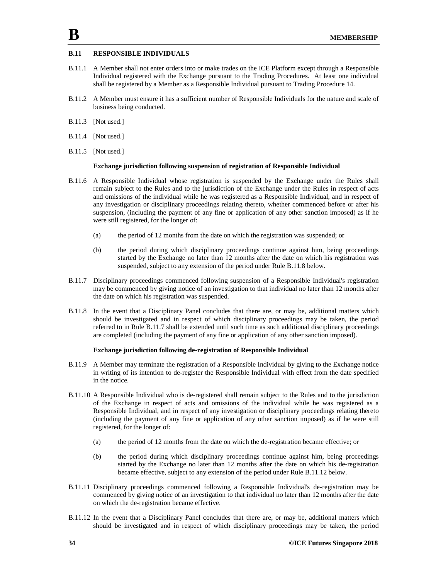#### **B.11 RESPONSIBLE INDIVIDUALS**

- B.11.1 A Member shall not enter orders into or make trades on the ICE Platform except through a Responsible Individual registered with the Exchange pursuant to the Trading Procedures. At least one individual shall be registered by a Member as a Responsible Individual pursuant to Trading Procedure 14.
- B.11.2 A Member must ensure it has a sufficient number of Responsible Individuals for the nature and scale of business being conducted.
- B.11.3 [Not used.]
- B.11.4 [Not used.]
- B.11.5 [Not used.]

#### **Exchange jurisdiction following suspension of registration of Responsible Individual**

- B.11.6 A Responsible Individual whose registration is suspended by the Exchange under the Rules shall remain subject to the Rules and to the jurisdiction of the Exchange under the Rules in respect of acts and omissions of the individual while he was registered as a Responsible Individual, and in respect of any investigation or disciplinary proceedings relating thereto, whether commenced before or after his suspension, (including the payment of any fine or application of any other sanction imposed) as if he were still registered, for the longer of:
	- (a) the period of 12 months from the date on which the registration was suspended; or
	- (b) the period during which disciplinary proceedings continue against him, being proceedings started by the Exchange no later than 12 months after the date on which his registration was suspended, subject to any extension of the period under Rule B.11.8 below.
- B.11.7 Disciplinary proceedings commenced following suspension of a Responsible Individual's registration may be commenced by giving notice of an investigation to that individual no later than 12 months after the date on which his registration was suspended.
- B.11.8 In the event that a Disciplinary Panel concludes that there are, or may be, additional matters which should be investigated and in respect of which disciplinary proceedings may be taken, the period referred to in Rule B.11.7 shall be extended until such time as such additional disciplinary proceedings are completed (including the payment of any fine or application of any other sanction imposed).

#### **Exchange jurisdiction following de-registration of Responsible Individual**

- B.11.9 A Member may terminate the registration of a Responsible Individual by giving to the Exchange notice in writing of its intention to de-register the Responsible Individual with effect from the date specified in the notice.
- B.11.10 A Responsible Individual who is de-registered shall remain subject to the Rules and to the jurisdiction of the Exchange in respect of acts and omissions of the individual while he was registered as a Responsible Individual, and in respect of any investigation or disciplinary proceedings relating thereto (including the payment of any fine or application of any other sanction imposed) as if he were still registered, for the longer of:
	- (a) the period of 12 months from the date on which the de-registration became effective; or
	- (b) the period during which disciplinary proceedings continue against him, being proceedings started by the Exchange no later than 12 months after the date on which his de-registration became effective, subject to any extension of the period under Rule B.11.12 below.
- B.11.11 Disciplinary proceedings commenced following a Responsible Individual's de-registration may be commenced by giving notice of an investigation to that individual no later than 12 months after the date on which the de-registration became effective.
- B.11.12 In the event that a Disciplinary Panel concludes that there are, or may be, additional matters which should be investigated and in respect of which disciplinary proceedings may be taken, the period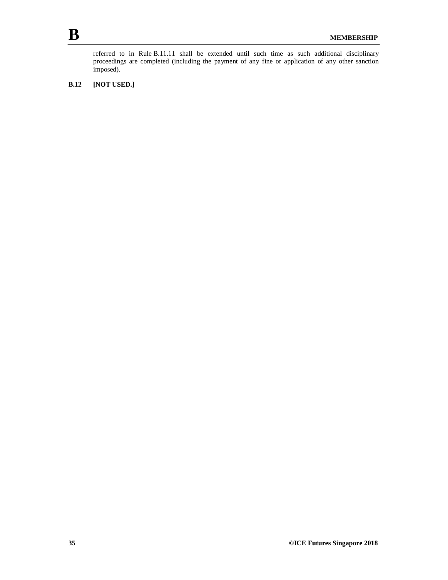referred to in Rule B.11.11 shall be extended until such time as such additional disciplinary proceedings are completed (including the payment of any fine or application of any other sanction imposed).

**B.12 [NOT USED.]**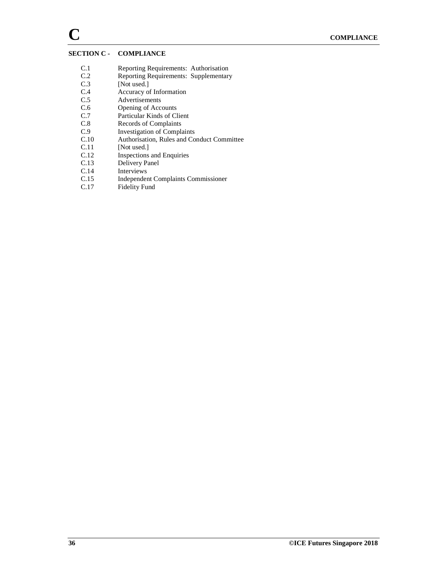# **SECTION C - COMPLIANCE**

- C.1 Reporting Requirements: Authorisation
- C.2 Reporting Requirements: Supplementary<br>C.3 [Not used.]
- 
- C.3 [Not used.]<br>C.4 Accuracy of C.4 Accuracy of Information<br>C.5 Advertisements
- C.5 Advertisements<br>C.6 Opening of Acco
- C.6 Opening of Accounts<br>C.7 Particular Kinds of Cl
- C.7 Particular Kinds of Client<br>C.8 Records of Complaints
- Records of Complaints
- C.9 Investigation of Complaints<br>C.10 Authorisation, Rules and Co
- C.10 Authorisation, Rules and Conduct Committee
- [Not used.]
- C.12 Inspections and Enquiries<br>C.13 Delivery Panel
- C.13 Delivery Panel<br>C.14 Interviews
- C.14 Interviews<br>C.15 Independen
- Independent Complaints Commissioner
- C.17 Fidelity Fund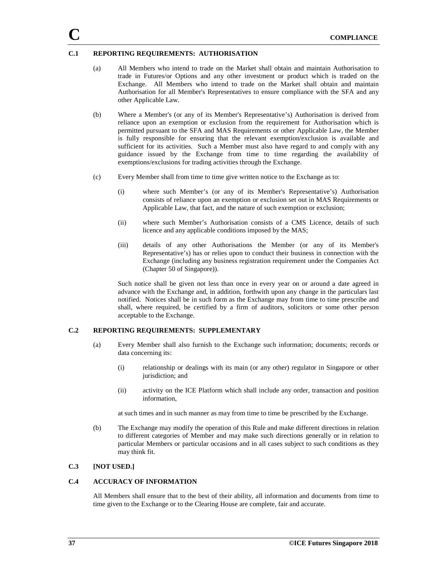#### **C.1 REPORTING REQUIREMENTS: AUTHORISATION**

- (a) All Members who intend to trade on the Market shall obtain and maintain Authorisation to trade in Futures/or Options and any other investment or product which is traded on the Exchange. All Members who intend to trade on the Market shall obtain and maintain Authorisation for all Member's Representatives to ensure compliance with the SFA and any other Applicable Law.
- (b) Where a Member's (or any of its Member's Representative's) Authorisation is derived from reliance upon an exemption or exclusion from the requirement for Authorisation which is permitted pursuant to the SFA and MAS Requirements or other Applicable Law, the Member is fully responsible for ensuring that the relevant exemption/exclusion is available and sufficient for its activities. Such a Member must also have regard to and comply with any guidance issued by the Exchange from time to time regarding the availability of exemptions/exclusions for trading activities through the Exchange.
- (c) Every Member shall from time to time give written notice to the Exchange as to:
	- (i) where such Member's (or any of its Member's Representative's) Authorisation consists of reliance upon an exemption or exclusion set out in MAS Requirements or Applicable Law, that fact, and the nature of such exemption or exclusion;
	- (ii) where such Member's Authorisation consists of a CMS Licence, details of such licence and any applicable conditions imposed by the MAS;
	- (iii) details of any other Authorisations the Member (or any of its Member's Representative's) has or relies upon to conduct their business in connection with the Exchange (including any business registration requirement under the Companies Act (Chapter 50 of Singapore)).

Such notice shall be given not less than once in every year on or around a date agreed in advance with the Exchange and, in addition, forthwith upon any change in the particulars last notified. Notices shall be in such form as the Exchange may from time to time prescribe and shall, where required, be certified by a firm of auditors, solicitors or some other person acceptable to the Exchange.

# **C.2 REPORTING REQUIREMENTS: SUPPLEMENTARY**

- (a) Every Member shall also furnish to the Exchange such information; documents; records or data concerning its:
	- (i) relationship or dealings with its main (or any other) regulator in Singapore or other jurisdiction; and
	- (ii) activity on the ICE Platform which shall include any order, transaction and position information,

at such times and in such manner as may from time to time be prescribed by the Exchange.

(b) The Exchange may modify the operation of this Rule and make different directions in relation to different categories of Member and may make such directions generally or in relation to particular Members or particular occasions and in all cases subject to such conditions as they may think fit.

# **C.3 [NOT USED.]**

### **C.4 ACCURACY OF INFORMATION**

All Members shall ensure that to the best of their ability, all information and documents from time to time given to the Exchange or to the Clearing House are complete, fair and accurate.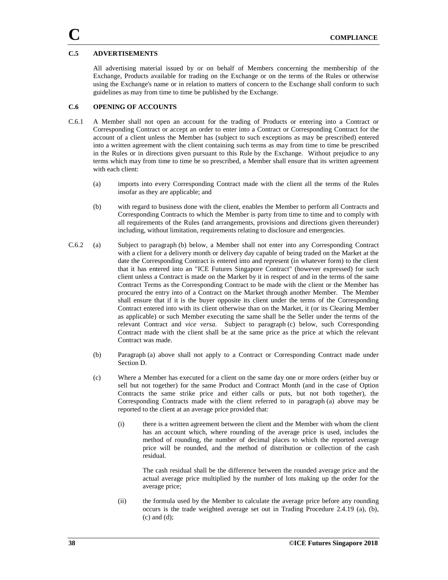### **C.5 ADVERTISEMENTS**

All advertising material issued by or on behalf of Members concerning the membership of the Exchange, Products available for trading on the Exchange or on the terms of the Rules or otherwise using the Exchange's name or in relation to matters of concern to the Exchange shall conform to such guidelines as may from time to time be published by the Exchange.

## **C.6 OPENING OF ACCOUNTS**

- C.6.1 A Member shall not open an account for the trading of Products or entering into a Contract or Corresponding Contract or accept an order to enter into a Contract or Corresponding Contract for the account of a client unless the Member has (subject to such exceptions as may be prescribed) entered into a written agreement with the client containing such terms as may from time to time be prescribed in the Rules or in directions given pursuant to this Rule by the Exchange. Without prejudice to any terms which may from time to time be so prescribed, a Member shall ensure that its written agreement with each client:
	- (a) imports into every Corresponding Contract made with the client all the terms of the Rules insofar as they are applicable; and
	- (b) with regard to business done with the client, enables the Member to perform all Contracts and Corresponding Contracts to which the Member is party from time to time and to comply with all requirements of the Rules (and arrangements, provisions and directions given thereunder) including, without limitation, requirements relating to disclosure and emergencies.
- C.6.2 (a) Subject to paragraph (b) below, a Member shall not enter into any Corresponding Contract with a client for a delivery month or delivery day capable of being traded on the Market at the date the Corresponding Contract is entered into and represent (in whatever form) to the client that it has entered into an "ICE Futures Singapore Contract" (however expressed) for such client unless a Contract is made on the Market by it in respect of and in the terms of the same Contract Terms as the Corresponding Contract to be made with the client or the Member has procured the entry into of a Contract on the Market through another Member. The Member shall ensure that if it is the buyer opposite its client under the terms of the Corresponding Contract entered into with its client otherwise than on the Market, it (or its Clearing Member as applicable) or such Member executing the same shall be the Seller under the terms of the relevant Contract and *vice versa*. Subject to paragraph (c) below, such Corresponding Contract made with the client shall be at the same price as the price at which the relevant Contract was made.
	- (b) Paragraph (a) above shall not apply to a Contract or Corresponding Contract made under Section D.
	- (c) Where a Member has executed for a client on the same day one or more orders (either buy or sell but not together) for the same Product and Contract Month (and in the case of Option Contracts the same strike price and either calls or puts, but not both together), the Corresponding Contracts made with the client referred to in paragraph (a) above may be reported to the client at an average price provided that:
		- (i) there is a written agreement between the client and the Member with whom the client has an account which, where rounding of the average price is used, includes the method of rounding, the number of decimal places to which the reported average price will be rounded, and the method of distribution or collection of the cash residual.

The cash residual shall be the difference between the rounded average price and the actual average price multiplied by the number of lots making up the order for the average price;

(ii) the formula used by the Member to calculate the average price before any rounding occurs is the trade weighted average set out in Trading Procedure 2.4.19 (a), (b), (c) and (d);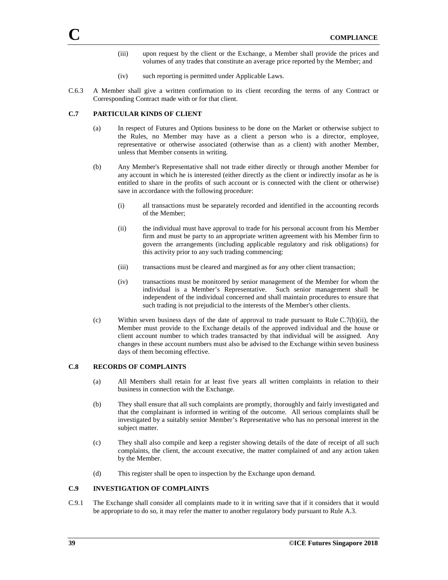- (iii) upon request by the client or the Exchange, a Member shall provide the prices and volumes of any trades that constitute an average price reported by the Member; and
- (iv) such reporting is permitted under Applicable Laws.
- C.6.3 A Member shall give a written confirmation to its client recording the terms of any Contract or Corresponding Contract made with or for that client.

### **C.7 PARTICULAR KINDS OF CLIENT**

- (a) In respect of Futures and Options business to be done on the Market or otherwise subject to the Rules, no Member may have as a client a person who is a director, employee, representative or otherwise associated (otherwise than as a client) with another Member, unless that Member consents in writing.
- (b) Any Member's Representative shall not trade either directly or through another Member for any account in which he is interested (either directly as the client or indirectly insofar as he is entitled to share in the profits of such account or is connected with the client or otherwise) save in accordance with the following procedure:
	- (i) all transactions must be separately recorded and identified in the accounting records of the Member;
	- (ii) the individual must have approval to trade for his personal account from his Member firm and must be party to an appropriate written agreement with his Member firm to govern the arrangements (including applicable regulatory and risk obligations) for this activity prior to any such trading commencing:
	- (iii) transactions must be cleared and margined as for any other client transaction;
	- (iv) transactions must be monitored by senior management of the Member for whom the individual is a Member's Representative. Such senior management shall be independent of the individual concerned and shall maintain procedures to ensure that such trading is not prejudicial to the interests of the Member's other clients.
- (c) Within seven business days of the date of approval to trade pursuant to Rule C.7(b)(ii), the Member must provide to the Exchange details of the approved individual and the house or client account number to which trades transacted by that individual will be assigned. Any changes in these account numbers must also be advised to the Exchange within seven business days of them becoming effective.

### **C.8 RECORDS OF COMPLAINTS**

- (a) All Members shall retain for at least five years all written complaints in relation to their business in connection with the Exchange.
- (b) They shall ensure that all such complaints are promptly, thoroughly and fairly investigated and that the complainant is informed in writing of the outcome. All serious complaints shall be investigated by a suitably senior Member's Representative who has no personal interest in the subject matter.
- (c) They shall also compile and keep a register showing details of the date of receipt of all such complaints, the client, the account executive, the matter complained of and any action taken by the Member.
- (d) This register shall be open to inspection by the Exchange upon demand.

## **C.9 INVESTIGATION OF COMPLAINTS**

C.9.1 The Exchange shall consider all complaints made to it in writing save that if it considers that it would be appropriate to do so, it may refer the matter to another regulatory body pursuant to Rule A.3.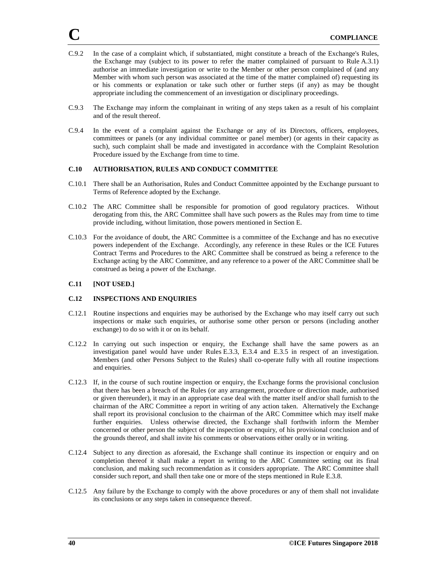- C.9.2 In the case of a complaint which, if substantiated, might constitute a breach of the Exchange's Rules, the Exchange may (subject to its power to refer the matter complained of pursuant to Rule A.3.1) authorise an immediate investigation or write to the Member or other person complained of (and any Member with whom such person was associated at the time of the matter complained of) requesting its or his comments or explanation or take such other or further steps (if any) as may be thought appropriate including the commencement of an investigation or disciplinary proceedings.
- C.9.3 The Exchange may inform the complainant in writing of any steps taken as a result of his complaint and of the result thereof.
- C.9.4 In the event of a complaint against the Exchange or any of its Directors, officers, employees, committees or panels (or any individual committee or panel member) (or agents in their capacity as such), such complaint shall be made and investigated in accordance with the Complaint Resolution Procedure issued by the Exchange from time to time.

# **C.10 AUTHORISATION, RULES AND CONDUCT COMMITTEE**

- C.10.1 There shall be an Authorisation, Rules and Conduct Committee appointed by the Exchange pursuant to Terms of Reference adopted by the Exchange.
- C.10.2 The ARC Committee shall be responsible for promotion of good regulatory practices. Without derogating from this, the ARC Committee shall have such powers as the Rules may from time to time provide including, without limitation, those powers mentioned in Section E.
- C.10.3 For the avoidance of doubt, the ARC Committee is a committee of the Exchange and has no executive powers independent of the Exchange. Accordingly, any reference in these Rules or the ICE Futures Contract Terms and Procedures to the ARC Committee shall be construed as being a reference to the Exchange acting by the ARC Committee, and any reference to a power of the ARC Committee shall be construed as being a power of the Exchange.

### **C.11 [NOT USED.]**

# **C.12 INSPECTIONS AND ENQUIRIES**

- C.12.1 Routine inspections and enquiries may be authorised by the Exchange who may itself carry out such inspections or make such enquiries, or authorise some other person or persons (including another exchange) to do so with it or on its behalf.
- C.12.2 In carrying out such inspection or enquiry, the Exchange shall have the same powers as an investigation panel would have under Rules E.3.3, E.3.4 and E.3.5 in respect of an investigation. Members (and other Persons Subject to the Rules) shall co-operate fully with all routine inspections and enquiries.
- C.12.3 If, in the course of such routine inspection or enquiry, the Exchange forms the provisional conclusion that there has been a breach of the Rules (or any arrangement, procedure or direction made, authorised or given thereunder), it may in an appropriate case deal with the matter itself and/or shall furnish to the chairman of the ARC Committee a report in writing of any action taken. Alternatively the Exchange shall report its provisional conclusion to the chairman of the ARC Committee which may itself make further enquiries. Unless otherwise directed, the Exchange shall forthwith inform the Member concerned or other person the subject of the inspection or enquiry, of his provisional conclusion and of the grounds thereof, and shall invite his comments or observations either orally or in writing.
- C.12.4 Subject to any direction as aforesaid, the Exchange shall continue its inspection or enquiry and on completion thereof it shall make a report in writing to the ARC Committee setting out its final conclusion, and making such recommendation as it considers appropriate. The ARC Committee shall consider such report, and shall then take one or more of the steps mentioned in Rule E.3.8.
- C.12.5 Any failure by the Exchange to comply with the above procedures or any of them shall not invalidate its conclusions or any steps taken in consequence thereof.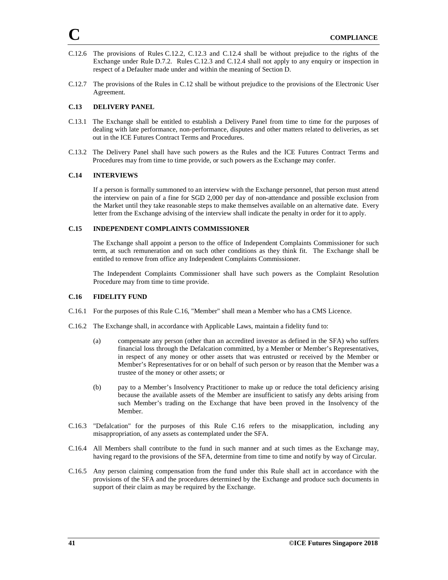- C.12.6 The provisions of Rules C.12.2, C.12.3 and C.12.4 shall be without prejudice to the rights of the Exchange under Rule D.7.2. Rules C.12.3 and C.12.4 shall not apply to any enquiry or inspection in respect of a Defaulter made under and within the meaning of Section D.
- C.12.7 The provisions of the Rules in C.12 shall be without prejudice to the provisions of the Electronic User Agreement.

# **C.13 DELIVERY PANEL**

- C.13.1 The Exchange shall be entitled to establish a Delivery Panel from time to time for the purposes of dealing with late performance, non-performance, disputes and other matters related to deliveries, as set out in the ICE Futures Contract Terms and Procedures.
- C.13.2 The Delivery Panel shall have such powers as the Rules and the ICE Futures Contract Terms and Procedures may from time to time provide, or such powers as the Exchange may confer.

# **C.14 INTERVIEWS**

If a person is formally summoned to an interview with the Exchange personnel, that person must attend the interview on pain of a fine for SGD 2,000 per day of non-attendance and possible exclusion from the Market until they take reasonable steps to make themselves available on an alternative date. Every letter from the Exchange advising of the interview shall indicate the penalty in order for it to apply.

### **C.15 INDEPENDENT COMPLAINTS COMMISSIONER**

The Exchange shall appoint a person to the office of Independent Complaints Commissioner for such term, at such remuneration and on such other conditions as they think fit. The Exchange shall be entitled to remove from office any Independent Complaints Commissioner.

The Independent Complaints Commissioner shall have such powers as the Complaint Resolution Procedure may from time to time provide.

### **C.16 FIDELITY FUND**

- C.16.1 For the purposes of this Rule C.16, "Member" shall mean a Member who has a CMS Licence.
- C.16.2 The Exchange shall, in accordance with Applicable Laws, maintain a fidelity fund to:
	- (a) compensate any person (other than an accredited investor as defined in the SFA) who suffers financial loss through the Defalcation committed, by a Member or Member's Representatives, in respect of any money or other assets that was entrusted or received by the Member or Member's Representatives for or on behalf of such person or by reason that the Member was a trustee of the money or other assets; or
	- (b) pay to a Member's Insolvency Practitioner to make up or reduce the total deficiency arising because the available assets of the Member are insufficient to satisfy any debts arising from such Member's trading on the Exchange that have been proved in the Insolvency of the Member.
- C.16.3 "Defalcation" for the purposes of this Rule C.16 refers to the misapplication, including any misappropriation, of any assets as contemplated under the SFA.
- C.16.4 All Members shall contribute to the fund in such manner and at such times as the Exchange may, having regard to the provisions of the SFA, determine from time to time and notify by way of Circular.
- C.16.5 Any person claiming compensation from the fund under this Rule shall act in accordance with the provisions of the SFA and the procedures determined by the Exchange and produce such documents in support of their claim as may be required by the Exchange.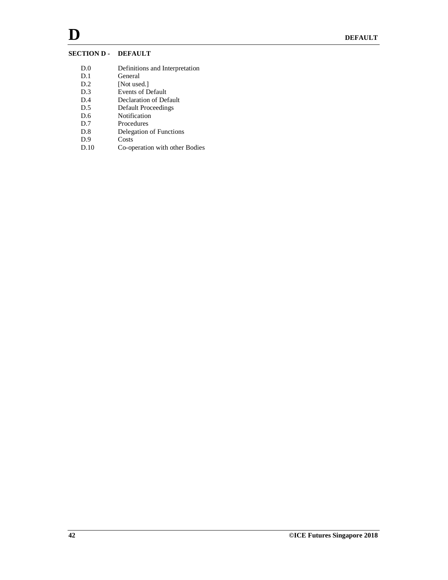# **SECTION D - DEFAULT**

| D.0  | Definitions and Interpretation |
|------|--------------------------------|
| D.1  | General                        |
| D.2  | [Not used.]                    |
| D.3  | <b>Events of Default</b>       |
| D.4  | Declaration of Default         |
| D.5  | <b>Default Proceedings</b>     |
| D.6  | Notification                   |
| D.7  | Procedures                     |
| D.8  | Delegation of Functions        |
| D.9  | Costs                          |
| D.10 | Co-operation with other Bodies |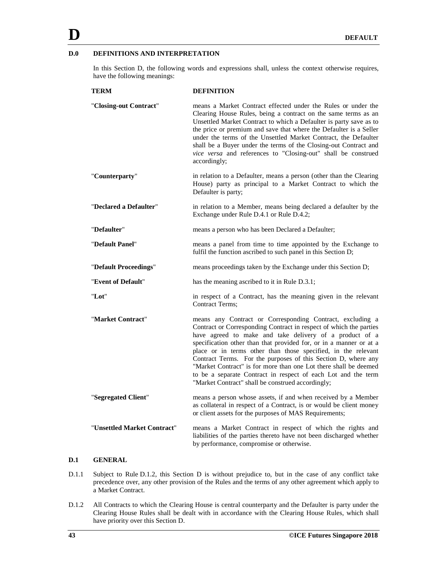# **D.0 DEFINITIONS AND INTERPRETATION**

In this Section D, the following words and expressions shall, unless the context otherwise requires, have the following meanings:

| <b>TERM</b>                 | <b>DEFINITION</b>                                                                                                                                                                                                                                                                                                                                                                                                                                                                                                                                                                            |
|-----------------------------|----------------------------------------------------------------------------------------------------------------------------------------------------------------------------------------------------------------------------------------------------------------------------------------------------------------------------------------------------------------------------------------------------------------------------------------------------------------------------------------------------------------------------------------------------------------------------------------------|
| "Closing-out Contract"      | means a Market Contract effected under the Rules or under the<br>Clearing House Rules, being a contract on the same terms as an<br>Unsettled Market Contract to which a Defaulter is party save as to<br>the price or premium and save that where the Defaulter is a Seller<br>under the terms of the Unsettled Market Contract, the Defaulter<br>shall be a Buyer under the terms of the Closing-out Contract and<br>vice versa and references to "Closing-out" shall be construed<br>accordingly;                                                                                          |
| "Counterparty"              | in relation to a Defaulter, means a person (other than the Clearing<br>House) party as principal to a Market Contract to which the<br>Defaulter is party;                                                                                                                                                                                                                                                                                                                                                                                                                                    |
| "Declared a Defaulter"      | in relation to a Member, means being declared a defaulter by the<br>Exchange under Rule D.4.1 or Rule D.4.2;                                                                                                                                                                                                                                                                                                                                                                                                                                                                                 |
| "Defaulter"                 | means a person who has been Declared a Defaulter;                                                                                                                                                                                                                                                                                                                                                                                                                                                                                                                                            |
| "Default Panel"             | means a panel from time to time appointed by the Exchange to<br>fulfil the function ascribed to such panel in this Section D;                                                                                                                                                                                                                                                                                                                                                                                                                                                                |
| "Default Proceedings"       | means proceedings taken by the Exchange under this Section D;                                                                                                                                                                                                                                                                                                                                                                                                                                                                                                                                |
| "Event of Default"          | has the meaning ascribed to it in Rule D.3.1;                                                                                                                                                                                                                                                                                                                                                                                                                                                                                                                                                |
| "Lot"                       | in respect of a Contract, has the meaning given in the relevant<br><b>Contract Terms:</b>                                                                                                                                                                                                                                                                                                                                                                                                                                                                                                    |
| "Market Contract"           | means any Contract or Corresponding Contract, excluding a<br>Contract or Corresponding Contract in respect of which the parties<br>have agreed to make and take delivery of a product of a<br>specification other than that provided for, or in a manner or at a<br>place or in terms other than those specified, in the relevant<br>Contract Terms. For the purposes of this Section D, where any<br>"Market Contract" is for more than one Lot there shall be deemed<br>to be a separate Contract in respect of each Lot and the term<br>"Market Contract" shall be construed accordingly; |
| "Segregated Client"         | means a person whose assets, if and when received by a Member<br>as collateral in respect of a Contract, is or would be client money<br>or client assets for the purposes of MAS Requirements;                                                                                                                                                                                                                                                                                                                                                                                               |
| "Unsettled Market Contract" | means a Market Contract in respect of which the rights and<br>liabilities of the parties thereto have not been discharged whether<br>by performance, compromise or otherwise.                                                                                                                                                                                                                                                                                                                                                                                                                |

# **D.1 GENERAL**

- D.1.1 Subject to Rule D.1.2, this Section D is without prejudice to, but in the case of any conflict take precedence over, any other provision of the Rules and the terms of any other agreement which apply to a Market Contract.
- D.1.2 All Contracts to which the Clearing House is central counterparty and the Defaulter is party under the Clearing House Rules shall be dealt with in accordance with the Clearing House Rules, which shall have priority over this Section D.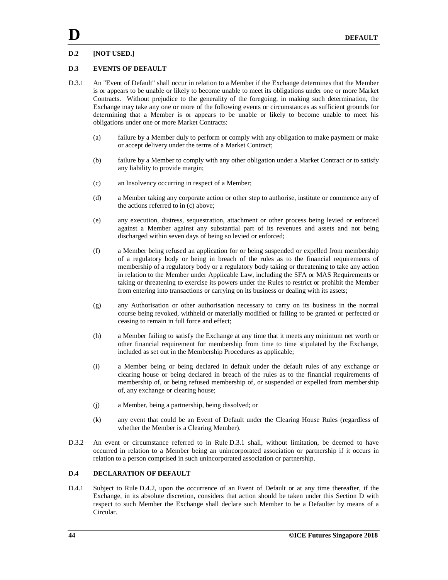# **D.2 [NOT USED.]**

# **D.3 EVENTS OF DEFAULT**

- D.3.1 An "Event of Default" shall occur in relation to a Member if the Exchange determines that the Member is or appears to be unable or likely to become unable to meet its obligations under one or more Market Contracts. Without prejudice to the generality of the foregoing, in making such determination, the Exchange may take any one or more of the following events or circumstances as sufficient grounds for determining that a Member is or appears to be unable or likely to become unable to meet his obligations under one or more Market Contracts:
	- (a) failure by a Member duly to perform or comply with any obligation to make payment or make or accept delivery under the terms of a Market Contract;
	- (b) failure by a Member to comply with any other obligation under a Market Contract or to satisfy any liability to provide margin;
	- (c) an Insolvency occurring in respect of a Member;
	- (d) a Member taking any corporate action or other step to authorise, institute or commence any of the actions referred to in (c) above;
	- (e) any execution, distress, sequestration, attachment or other process being levied or enforced against a Member against any substantial part of its revenues and assets and not being discharged within seven days of being so levied or enforced;
	- (f) a Member being refused an application for or being suspended or expelled from membership of a regulatory body or being in breach of the rules as to the financial requirements of membership of a regulatory body or a regulatory body taking or threatening to take any action in relation to the Member under Applicable Law, including the SFA or MAS Requirements or taking or threatening to exercise its powers under the Rules to restrict or prohibit the Member from entering into transactions or carrying on its business or dealing with its assets;
	- (g) any Authorisation or other authorisation necessary to carry on its business in the normal course being revoked, withheld or materially modified or failing to be granted or perfected or ceasing to remain in full force and effect;
	- (h) a Member failing to satisfy the Exchange at any time that it meets any minimum net worth or other financial requirement for membership from time to time stipulated by the Exchange, included as set out in the Membership Procedures as applicable;
	- (i) a Member being or being declared in default under the default rules of any exchange or clearing house or being declared in breach of the rules as to the financial requirements of membership of, or being refused membership of, or suspended or expelled from membership of, any exchange or clearing house;
	- (j) a Member, being a partnership, being dissolved; or
	- (k) any event that could be an Event of Default under the Clearing House Rules (regardless of whether the Member is a Clearing Member).
- D.3.2 An event or circumstance referred to in Rule D.3.1 shall, without limitation, be deemed to have occurred in relation to a Member being an unincorporated association or partnership if it occurs in relation to a person comprised in such unincorporated association or partnership.

# **D.4 DECLARATION OF DEFAULT**

D.4.1 Subject to Rule D.4.2, upon the occurrence of an Event of Default or at any time thereafter, if the Exchange, in its absolute discretion, considers that action should be taken under this Section D with respect to such Member the Exchange shall declare such Member to be a Defaulter by means of a Circular.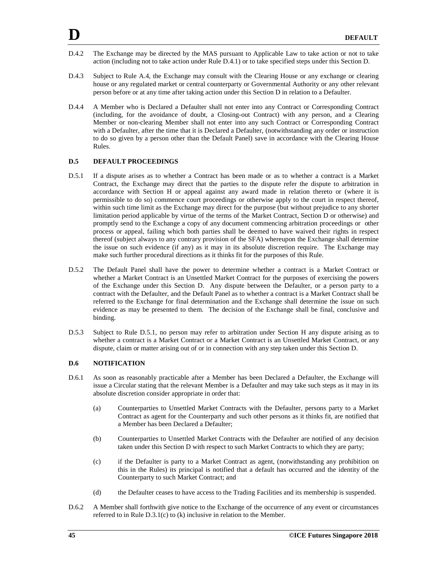- D.4.2 The Exchange may be directed by the MAS pursuant to Applicable Law to take action or not to take action (including not to take action under Rule D.4.1) or to take specified steps under this Section D.
- D.4.3 Subject to Rule A.4, the Exchange may consult with the Clearing House or any exchange or clearing house or any regulated market or central counterparty or Governmental Authority or any other relevant person before or at any time after taking action under this Section D in relation to a Defaulter.
- D.4.4 A Member who is Declared a Defaulter shall not enter into any Contract or Corresponding Contract (including, for the avoidance of doubt, a Closing-out Contract) with any person, and a Clearing Member or non-clearing Member shall not enter into any such Contract or Corresponding Contract with a Defaulter, after the time that it is Declared a Defaulter, (notwithstanding any order or instruction to do so given by a person other than the Default Panel) save in accordance with the Clearing House Rules.

# **D.5 DEFAULT PROCEEDINGS**

- D.5.1 If a dispute arises as to whether a Contract has been made or as to whether a contract is a Market Contract, the Exchange may direct that the parties to the dispute refer the dispute to arbitration in accordance with Section H or appeal against any award made in relation thereto or (where it is permissible to do so) commence court proceedings or otherwise apply to the court in respect thereof, within such time limit as the Exchange may direct for the purpose (but without prejudice to any shorter limitation period applicable by virtue of the terms of the Market Contract, Section D or otherwise) and promptly send to the Exchange a copy of any document commencing arbitration proceedings or other process or appeal, failing which both parties shall be deemed to have waived their rights in respect thereof (subject always to any contrary provision of the SFA) whereupon the Exchange shall determine the issue on such evidence (if any) as it may in its absolute discretion require. The Exchange may make such further procedural directions as it thinks fit for the purposes of this Rule.
- D.5.2 The Default Panel shall have the power to determine whether a contract is a Market Contract or whether a Market Contract is an Unsettled Market Contract for the purposes of exercising the powers of the Exchange under this Section D. Any dispute between the Defaulter, or a person party to a contract with the Defaulter, and the Default Panel as to whether a contract is a Market Contract shall be referred to the Exchange for final determination and the Exchange shall determine the issue on such evidence as may be presented to them. The decision of the Exchange shall be final, conclusive and binding.
- D.5.3 Subject to Rule D.5.1, no person may refer to arbitration under Section H any dispute arising as to whether a contract is a Market Contract or a Market Contract is an Unsettled Market Contract, or any dispute, claim or matter arising out of or in connection with any step taken under this Section D.

# **D.6 NOTIFICATION**

- D.6.1 As soon as reasonably practicable after a Member has been Declared a Defaulter, the Exchange will issue a Circular stating that the relevant Member is a Defaulter and may take such steps as it may in its absolute discretion consider appropriate in order that:
	- (a) Counterparties to Unsettled Market Contracts with the Defaulter, persons party to a Market Contract as agent for the Counterparty and such other persons as it thinks fit, are notified that a Member has been Declared a Defaulter;
	- (b) Counterparties to Unsettled Market Contracts with the Defaulter are notified of any decision taken under this Section D with respect to such Market Contracts to which they are party;
	- (c) if the Defaulter is party to a Market Contract as agent, (notwithstanding any prohibition on this in the Rules) its principal is notified that a default has occurred and the identity of the Counterparty to such Market Contract; and
	- (d) the Defaulter ceases to have access to the Trading Facilities and its membership is suspended.
- D.6.2 A Member shall forthwith give notice to the Exchange of the occurrence of any event or circumstances referred to in Rule D.3.1(c) to (k) inclusive in relation to the Member.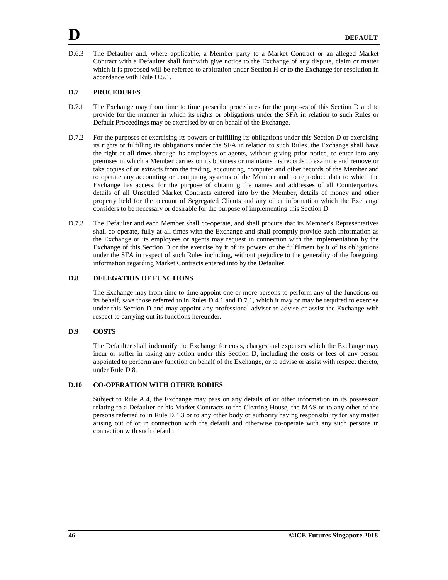D.6.3 The Defaulter and, where applicable, a Member party to a Market Contract or an alleged Market Contract with a Defaulter shall forthwith give notice to the Exchange of any dispute, claim or matter which it is proposed will be referred to arbitration under Section H or to the Exchange for resolution in accordance with Rule D.5.1.

# **D.7 PROCEDURES**

- D.7.1 The Exchange may from time to time prescribe procedures for the purposes of this Section D and to provide for the manner in which its rights or obligations under the SFA in relation to such Rules or Default Proceedings may be exercised by or on behalf of the Exchange.
- D.7.2 For the purposes of exercising its powers or fulfilling its obligations under this Section D or exercising its rights or fulfilling its obligations under the SFA in relation to such Rules, the Exchange shall have the right at all times through its employees or agents, without giving prior notice, to enter into any premises in which a Member carries on its business or maintains his records to examine and remove or take copies of or extracts from the trading, accounting, computer and other records of the Member and to operate any accounting or computing systems of the Member and to reproduce data to which the Exchange has access, for the purpose of obtaining the names and addresses of all Counterparties, details of all Unsettled Market Contracts entered into by the Member, details of money and other property held for the account of Segregated Clients and any other information which the Exchange considers to be necessary or desirable for the purpose of implementing this Section D.
- D.7.3 The Defaulter and each Member shall co-operate, and shall procure that its Member's Representatives shall co-operate, fully at all times with the Exchange and shall promptly provide such information as the Exchange or its employees or agents may request in connection with the implementation by the Exchange of this Section D or the exercise by it of its powers or the fulfilment by it of its obligations under the SFA in respect of such Rules including, without prejudice to the generality of the foregoing, information regarding Market Contracts entered into by the Defaulter.

# **D.8 DELEGATION OF FUNCTIONS**

The Exchange may from time to time appoint one or more persons to perform any of the functions on its behalf, save those referred to in Rules D.4.1 and D.7.1, which it may or may be required to exercise under this Section D and may appoint any professional adviser to advise or assist the Exchange with respect to carrying out its functions hereunder.

# **D.9 COSTS**

The Defaulter shall indemnify the Exchange for costs, charges and expenses which the Exchange may incur or suffer in taking any action under this Section D, including the costs or fees of any person appointed to perform any function on behalf of the Exchange, or to advise or assist with respect thereto, under Rule D.8.

# **D.10 CO-OPERATION WITH OTHER BODIES**

Subject to Rule A.4, the Exchange may pass on any details of or other information in its possession relating to a Defaulter or his Market Contracts to the Clearing House, the MAS or to any other of the persons referred to in Rule D.4.3 or to any other body or authority having responsibility for any matter arising out of or in connection with the default and otherwise co-operate with any such persons in connection with such default.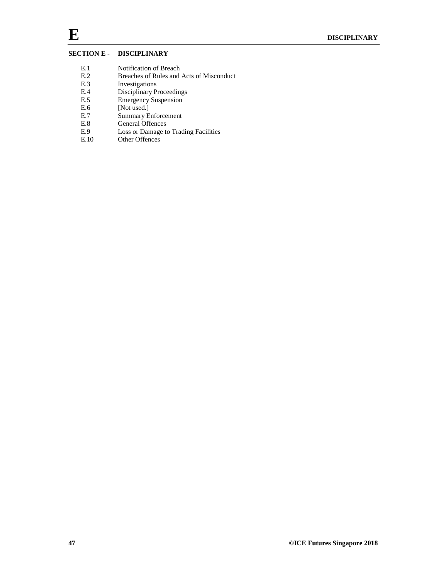# **SECTION E - DISCIPLINARY**

- E.1 Notification of Breach
- E.2 Breaches of Rules and Acts of Misconduct<br>E.3 Investigations
- E.3 Investigations<br>E.4 Disciplinary Pr
- E.4 Disciplinary Proceedings<br>E.5 Emergency Suspension
- E.5 Emergency Suspension<br>E.6 [Not used.]
- $[Not used.]$
- E.7 Summary Enforcement<br>E.8 General Offences
- General Offences
- E.9 Loss or Damage to Trading Facilities
- E.10 Other Offences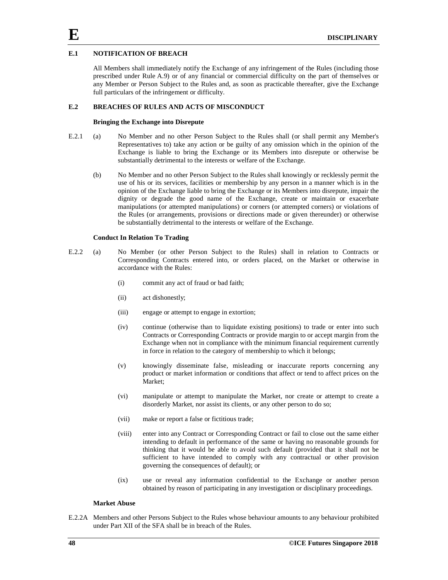## **E.1 NOTIFICATION OF BREACH**

All Members shall immediately notify the Exchange of any infringement of the Rules (including those prescribed under Rule A.9) or of any financial or commercial difficulty on the part of themselves or any Member or Person Subject to the Rules and, as soon as practicable thereafter, give the Exchange full particulars of the infringement or difficulty.

# **E.2 BREACHES OF RULES AND ACTS OF MISCONDUCT**

#### **Bringing the Exchange into Disrepute**

- E.2.1 (a) No Member and no other Person Subject to the Rules shall (or shall permit any Member's Representatives to) take any action or be guilty of any omission which in the opinion of the Exchange is liable to bring the Exchange or its Members into disrepute or otherwise be substantially detrimental to the interests or welfare of the Exchange.
	- (b) No Member and no other Person Subject to the Rules shall knowingly or recklessly permit the use of his or its services, facilities or membership by any person in a manner which is in the opinion of the Exchange liable to bring the Exchange or its Members into disrepute, impair the dignity or degrade the good name of the Exchange, create or maintain or exacerbate manipulations (or attempted manipulations) or corners (or attempted corners) or violations of the Rules (or arrangements, provisions or directions made or given thereunder) or otherwise be substantially detrimental to the interests or welfare of the Exchange.

#### **Conduct In Relation To Trading**

- E.2.2 (a) No Member (or other Person Subject to the Rules) shall in relation to Contracts or Corresponding Contracts entered into, or orders placed, on the Market or otherwise in accordance with the Rules:
	- (i) commit any act of fraud or bad faith;
	- (ii) act dishonestly;
	- (iii) engage or attempt to engage in extortion;
	- (iv) continue (otherwise than to liquidate existing positions) to trade or enter into such Contracts or Corresponding Contracts or provide margin to or accept margin from the Exchange when not in compliance with the minimum financial requirement currently in force in relation to the category of membership to which it belongs;
	- (v) knowingly disseminate false, misleading or inaccurate reports concerning any product or market information or conditions that affect or tend to affect prices on the Market;
	- (vi) manipulate or attempt to manipulate the Market, nor create or attempt to create a disorderly Market, nor assist its clients, or any other person to do so;
	- (vii) make or report a false or fictitious trade;
	- (viii) enter into any Contract or Corresponding Contract or fail to close out the same either intending to default in performance of the same or having no reasonable grounds for thinking that it would be able to avoid such default (provided that it shall not be sufficient to have intended to comply with any contractual or other provision governing the consequences of default); or
	- (ix) use or reveal any information confidential to the Exchange or another person obtained by reason of participating in any investigation or disciplinary proceedings.

#### **Market Abuse**

E.2.2A Members and other Persons Subject to the Rules whose behaviour amounts to any behaviour prohibited under Part XII of the SFA shall be in breach of the Rules.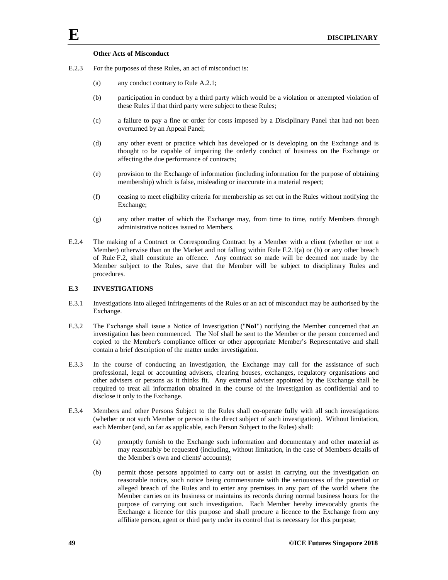## **Other Acts of Misconduct**

- E.2.3 For the purposes of these Rules, an act of misconduct is:
	- (a) any conduct contrary to Rule A.2.1;
	- (b) participation in conduct by a third party which would be a violation or attempted violation of these Rules if that third party were subject to these Rules;
	- (c) a failure to pay a fine or order for costs imposed by a Disciplinary Panel that had not been overturned by an Appeal Panel;
	- (d) any other event or practice which has developed or is developing on the Exchange and is thought to be capable of impairing the orderly conduct of business on the Exchange or affecting the due performance of contracts;
	- (e) provision to the Exchange of information (including information for the purpose of obtaining membership) which is false, misleading or inaccurate in a material respect;
	- (f) ceasing to meet eligibility criteria for membership as set out in the Rules without notifying the Exchange;
	- (g) any other matter of which the Exchange may, from time to time, notify Members through administrative notices issued to Members.
- E.2.4 The making of a Contract or Corresponding Contract by a Member with a client (whether or not a Member) otherwise than on the Market and not falling within Rule F.2.1(a) or (b) or any other breach of Rule F.2, shall constitute an offence. Any contract so made will be deemed not made by the Member subject to the Rules, save that the Member will be subject to disciplinary Rules and procedures.

# **E.3 INVESTIGATIONS**

- E.3.1 Investigations into alleged infringements of the Rules or an act of misconduct may be authorised by the Exchange.
- E.3.2 The Exchange shall issue a Notice of Investigation ("**NoI**") notifying the Member concerned that an investigation has been commenced. The NoI shall be sent to the Member or the person concerned and copied to the Member's compliance officer or other appropriate Member's Representative and shall contain a brief description of the matter under investigation.
- E.3.3 In the course of conducting an investigation, the Exchange may call for the assistance of such professional, legal or accounting advisers, clearing houses, exchanges, regulatory organisations and other advisers or persons as it thinks fit. Any external adviser appointed by the Exchange shall be required to treat all information obtained in the course of the investigation as confidential and to disclose it only to the Exchange.
- E.3.4 Members and other Persons Subject to the Rules shall co-operate fully with all such investigations (whether or not such Member or person is the direct subject of such investigation). Without limitation, each Member (and, so far as applicable, each Person Subject to the Rules) shall:
	- (a) promptly furnish to the Exchange such information and documentary and other material as may reasonably be requested (including, without limitation, in the case of Members details of the Member's own and clients' accounts);
	- (b) permit those persons appointed to carry out or assist in carrying out the investigation on reasonable notice, such notice being commensurate with the seriousness of the potential or alleged breach of the Rules and to enter any premises in any part of the world where the Member carries on its business or maintains its records during normal business hours for the purpose of carrying out such investigation. Each Member hereby irrevocably grants the Exchange a licence for this purpose and shall procure a licence to the Exchange from any affiliate person, agent or third party under its control that is necessary for this purpose;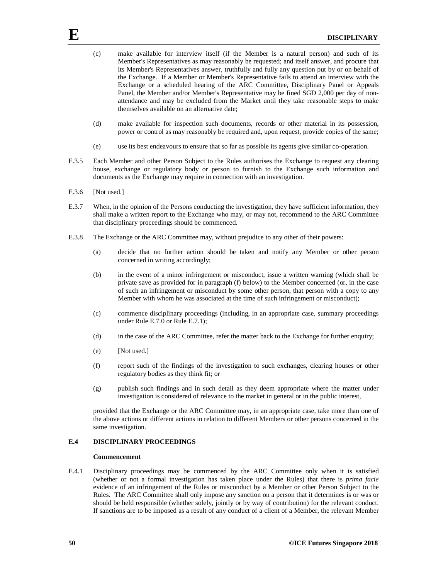- (c) make available for interview itself (if the Member is a natural person) and such of its Member's Representatives as may reasonably be requested; and itself answer, and procure that its Member's Representatives answer, truthfully and fully any question put by or on behalf of the Exchange. If a Member or Member's Representative fails to attend an interview with the Exchange or a scheduled hearing of the ARC Committee, Disciplinary Panel or Appeals Panel, the Member and/or Member's Representative may be fined SGD 2,000 per day of nonattendance and may be excluded from the Market until they take reasonable steps to make themselves available on an alternative date;
- (d) make available for inspection such documents, records or other material in its possession, power or control as may reasonably be required and, upon request, provide copies of the same;
- (e) use its best endeavours to ensure that so far as possible its agents give similar co-operation.
- E.3.5 Each Member and other Person Subject to the Rules authorises the Exchange to request any clearing house, exchange or regulatory body or person to furnish to the Exchange such information and documents as the Exchange may require in connection with an investigation.
- E.3.6 [Not used.]
- E.3.7 When, in the opinion of the Persons conducting the investigation, they have sufficient information, they shall make a written report to the Exchange who may, or may not, recommend to the ARC Committee that disciplinary proceedings should be commenced.
- E.3.8 The Exchange or the ARC Committee may, without prejudice to any other of their powers:
	- (a) decide that no further action should be taken and notify any Member or other person concerned in writing accordingly;
	- (b) in the event of a minor infringement or misconduct, issue a written warning (which shall be private save as provided for in paragraph (f) below) to the Member concerned (or, in the case of such an infringement or misconduct by some other person, that person with a copy to any Member with whom he was associated at the time of such infringement or misconduct);
	- (c) commence disciplinary proceedings (including, in an appropriate case, summary proceedings under Rule E.7.0 or Rule E.7.1);
	- (d) in the case of the ARC Committee, refer the matter back to the Exchange for further enquiry;
	- (e) [Not used.]
	- (f) report such of the findings of the investigation to such exchanges, clearing houses or other regulatory bodies as they think fit; or
	- (g) publish such findings and in such detail as they deem appropriate where the matter under investigation is considered of relevance to the market in general or in the public interest,

provided that the Exchange or the ARC Committee may, in an appropriate case, take more than one of the above actions or different actions in relation to different Members or other persons concerned in the same investigation.

## **E.4 DISCIPLINARY PROCEEDINGS**

#### **Commencement**

E.4.1 Disciplinary proceedings may be commenced by the ARC Committee only when it is satisfied (whether or not a formal investigation has taken place under the Rules) that there is *prima facie* evidence of an infringement of the Rules or misconduct by a Member or other Person Subject to the Rules. The ARC Committee shall only impose any sanction on a person that it determines is or was or should be held responsible (whether solely, jointly or by way of contribution) for the relevant conduct. If sanctions are to be imposed as a result of any conduct of a client of a Member, the relevant Member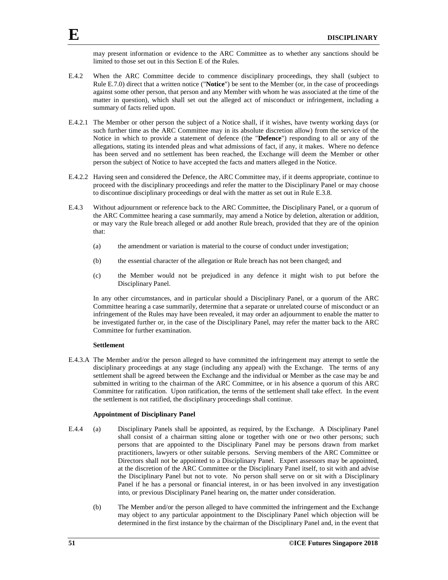may present information or evidence to the ARC Committee as to whether any sanctions should be limited to those set out in this Section E of the Rules.

- E.4.2 When the ARC Committee decide to commence disciplinary proceedings, they shall (subject to Rule E.7.0) direct that a written notice ("**Notice**") be sent to the Member (or, in the case of proceedings against some other person, that person and any Member with whom he was associated at the time of the matter in question), which shall set out the alleged act of misconduct or infringement, including a summary of facts relied upon.
- E.4.2.1 The Member or other person the subject of a Notice shall, if it wishes, have twenty working days (or such further time as the ARC Committee may in its absolute discretion allow) from the service of the Notice in which to provide a statement of defence (the "**Defence**") responding to all or any of the allegations, stating its intended pleas and what admissions of fact, if any, it makes. Where no defence has been served and no settlement has been reached, the Exchange will deem the Member or other person the subject of Notice to have accepted the facts and matters alleged in the Notice.
- E.4.2.2 Having seen and considered the Defence, the ARC Committee may, if it deems appropriate, continue to proceed with the disciplinary proceedings and refer the matter to the Disciplinary Panel or may choose to discontinue disciplinary proceedings or deal with the matter as set out in Rule E.3.8.
- E.4.3 Without adjournment or reference back to the ARC Committee, the Disciplinary Panel, or a quorum of the ARC Committee hearing a case summarily, may amend a Notice by deletion, alteration or addition, or may vary the Rule breach alleged or add another Rule breach, provided that they are of the opinion that:
	- (a) the amendment or variation is material to the course of conduct under investigation;
	- (b) the essential character of the allegation or Rule breach has not been changed; and
	- (c) the Member would not be prejudiced in any defence it might wish to put before the Disciplinary Panel.

In any other circumstances, and in particular should a Disciplinary Panel, or a quorum of the ARC Committee hearing a case summarily, determine that a separate or unrelated course of misconduct or an infringement of the Rules may have been revealed, it may order an adjournment to enable the matter to be investigated further or, in the case of the Disciplinary Panel, may refer the matter back to the ARC Committee for further examination.

#### **Settlement**

E.4.3.A The Member and/or the person alleged to have committed the infringement may attempt to settle the disciplinary proceedings at any stage (including any appeal) with the Exchange. The terms of any settlement shall be agreed between the Exchange and the individual or Member as the case may be and submitted in writing to the chairman of the ARC Committee, or in his absence a quorum of this ARC Committee for ratification. Upon ratification, the terms of the settlement shall take effect. In the event the settlement is not ratified, the disciplinary proceedings shall continue.

# **Appointment of Disciplinary Panel**

- E.4.4 (a) Disciplinary Panels shall be appointed, as required, by the Exchange. A Disciplinary Panel shall consist of a chairman sitting alone or together with one or two other persons; such persons that are appointed to the Disciplinary Panel may be persons drawn from market practitioners, lawyers or other suitable persons. Serving members of the ARC Committee or Directors shall not be appointed to a Disciplinary Panel. Expert assessors may be appointed, at the discretion of the ARC Committee or the Disciplinary Panel itself, to sit with and advise the Disciplinary Panel but not to vote. No person shall serve on or sit with a Disciplinary Panel if he has a personal or financial interest, in or has been involved in any investigation into, or previous Disciplinary Panel hearing on, the matter under consideration.
	- (b) The Member and/or the person alleged to have committed the infringement and the Exchange may object to any particular appointment to the Disciplinary Panel which objection will be determined in the first instance by the chairman of the Disciplinary Panel and, in the event that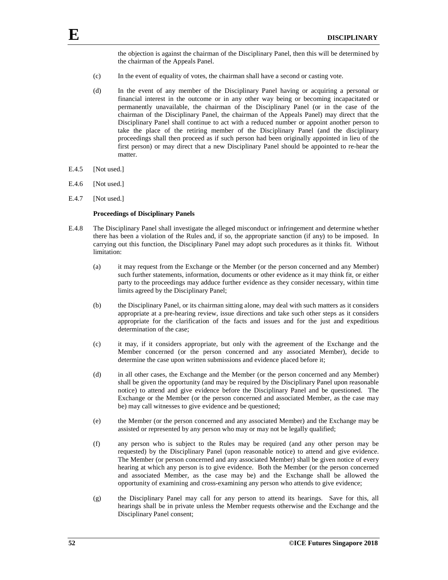the objection is against the chairman of the Disciplinary Panel, then this will be determined by the chairman of the Appeals Panel.

- (c) In the event of equality of votes, the chairman shall have a second or casting vote.
- (d) In the event of any member of the Disciplinary Panel having or acquiring a personal or financial interest in the outcome or in any other way being or becoming incapacitated or permanently unavailable, the chairman of the Disciplinary Panel (or in the case of the chairman of the Disciplinary Panel, the chairman of the Appeals Panel) may direct that the Disciplinary Panel shall continue to act with a reduced number or appoint another person to take the place of the retiring member of the Disciplinary Panel (and the disciplinary proceedings shall then proceed as if such person had been originally appointed in lieu of the first person) or may direct that a new Disciplinary Panel should be appointed to re-hear the matter.
- E.4.5 [Not used.]
- E.4.6 [Not used.]
- E.4.7 [Not used.]

#### **Proceedings of Disciplinary Panels**

- E.4.8 The Disciplinary Panel shall investigate the alleged misconduct or infringement and determine whether there has been a violation of the Rules and, if so, the appropriate sanction (if any) to be imposed. In carrying out this function, the Disciplinary Panel may adopt such procedures as it thinks fit. Without limitation:
	- (a) it may request from the Exchange or the Member (or the person concerned and any Member) such further statements, information, documents or other evidence as it may think fit, or either party to the proceedings may adduce further evidence as they consider necessary, within time limits agreed by the Disciplinary Panel;
	- (b) the Disciplinary Panel, or its chairman sitting alone, may deal with such matters as it considers appropriate at a pre-hearing review, issue directions and take such other steps as it considers appropriate for the clarification of the facts and issues and for the just and expeditious determination of the case;
	- (c) it may, if it considers appropriate, but only with the agreement of the Exchange and the Member concerned (or the person concerned and any associated Member), decide to determine the case upon written submissions and evidence placed before it;
	- (d) in all other cases, the Exchange and the Member (or the person concerned and any Member) shall be given the opportunity (and may be required by the Disciplinary Panel upon reasonable notice) to attend and give evidence before the Disciplinary Panel and be questioned. The Exchange or the Member (or the person concerned and associated Member, as the case may be) may call witnesses to give evidence and be questioned;
	- (e) the Member (or the person concerned and any associated Member) and the Exchange may be assisted or represented by any person who may or may not be legally qualified;
	- (f) any person who is subject to the Rules may be required (and any other person may be requested) by the Disciplinary Panel (upon reasonable notice) to attend and give evidence. The Member (or person concerned and any associated Member) shall be given notice of every hearing at which any person is to give evidence. Both the Member (or the person concerned and associated Member, as the case may be) and the Exchange shall be allowed the opportunity of examining and cross-examining any person who attends to give evidence;
	- (g) the Disciplinary Panel may call for any person to attend its hearings. Save for this, all hearings shall be in private unless the Member requests otherwise and the Exchange and the Disciplinary Panel consent;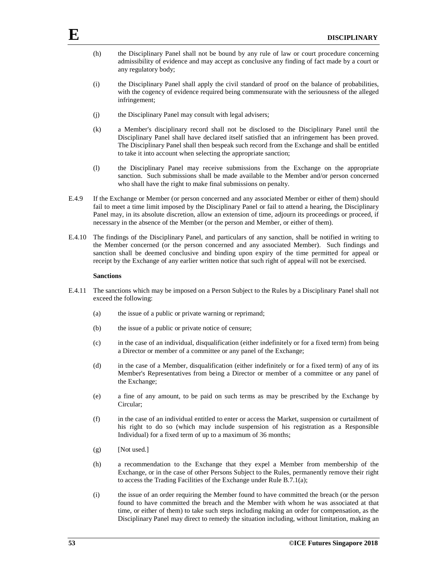- (h) the Disciplinary Panel shall not be bound by any rule of law or court procedure concerning admissibility of evidence and may accept as conclusive any finding of fact made by a court or any regulatory body;
- (i) the Disciplinary Panel shall apply the civil standard of proof on the balance of probabilities, with the cogency of evidence required being commensurate with the seriousness of the alleged infringement;
- (j) the Disciplinary Panel may consult with legal advisers;
- (k) a Member's disciplinary record shall not be disclosed to the Disciplinary Panel until the Disciplinary Panel shall have declared itself satisfied that an infringement has been proved. The Disciplinary Panel shall then bespeak such record from the Exchange and shall be entitled to take it into account when selecting the appropriate sanction;
- (l) the Disciplinary Panel may receive submissions from the Exchange on the appropriate sanction. Such submissions shall be made available to the Member and/or person concerned who shall have the right to make final submissions on penalty.
- E.4.9 If the Exchange or Member (or person concerned and any associated Member or either of them) should fail to meet a time limit imposed by the Disciplinary Panel or fail to attend a hearing, the Disciplinary Panel may, in its absolute discretion, allow an extension of time, adjourn its proceedings or proceed, if necessary in the absence of the Member (or the person and Member, or either of them).
- E.4.10 The findings of the Disciplinary Panel, and particulars of any sanction, shall be notified in writing to the Member concerned (or the person concerned and any associated Member). Such findings and sanction shall be deemed conclusive and binding upon expiry of the time permitted for appeal or receipt by the Exchange of any earlier written notice that such right of appeal will not be exercised.

#### **Sanctions**

- E.4.11 The sanctions which may be imposed on a Person Subject to the Rules by a Disciplinary Panel shall not exceed the following:
	- (a) the issue of a public or private warning or reprimand;
	- (b) the issue of a public or private notice of censure;
	- (c) in the case of an individual, disqualification (either indefinitely or for a fixed term) from being a Director or member of a committee or any panel of the Exchange;
	- (d) in the case of a Member, disqualification (either indefinitely or for a fixed term) of any of its Member's Representatives from being a Director or member of a committee or any panel of the Exchange;
	- (e) a fine of any amount, to be paid on such terms as may be prescribed by the Exchange by Circular;
	- (f) in the case of an individual entitled to enter or access the Market, suspension or curtailment of his right to do so (which may include suspension of his registration as a Responsible Individual) for a fixed term of up to a maximum of 36 months;
	- (g) [Not used.]
	- (h) a recommendation to the Exchange that they expel a Member from membership of the Exchange, or in the case of other Persons Subject to the Rules, permanently remove their right to access the Trading Facilities of the Exchange under Rule B.7.1(a);
	- (i) the issue of an order requiring the Member found to have committed the breach (or the person found to have committed the breach and the Member with whom he was associated at that time, or either of them) to take such steps including making an order for compensation, as the Disciplinary Panel may direct to remedy the situation including, without limitation, making an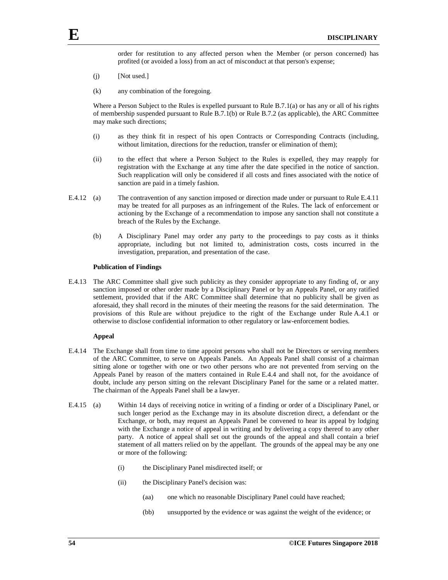order for restitution to any affected person when the Member (or person concerned) has profited (or avoided a loss) from an act of misconduct at that person's expense;

- (j) [Not used.]
- (k) any combination of the foregoing.

Where a Person Subject to the Rules is expelled pursuant to Rule B.7.1(a) or has any or all of his rights of membership suspended pursuant to Rule B.7.1(b) or Rule B.7.2 (as applicable), the ARC Committee may make such directions;

- (i) as they think fit in respect of his open Contracts or Corresponding Contracts (including, without limitation, directions for the reduction, transfer or elimination of them);
- (ii) to the effect that where a Person Subject to the Rules is expelled, they may reapply for registration with the Exchange at any time after the date specified in the notice of sanction. Such reapplication will only be considered if all costs and fines associated with the notice of sanction are paid in a timely fashion.
- E.4.12 (a) The contravention of any sanction imposed or direction made under or pursuant to Rule E.4.11 may be treated for all purposes as an infringement of the Rules. The lack of enforcement or actioning by the Exchange of a recommendation to impose any sanction shall not constitute a breach of the Rules by the Exchange.
	- (b) A Disciplinary Panel may order any party to the proceedings to pay costs as it thinks appropriate, including but not limited to, administration costs, costs incurred in the investigation, preparation, and presentation of the case.

#### **Publication of Findings**

E.4.13 The ARC Committee shall give such publicity as they consider appropriate to any finding of, or any sanction imposed or other order made by a Disciplinary Panel or by an Appeals Panel, or any ratified settlement, provided that if the ARC Committee shall determine that no publicity shall be given as aforesaid, they shall record in the minutes of their meeting the reasons for the said determination. The provisions of this Rule are without prejudice to the right of the Exchange under Rule A.4.1 or otherwise to disclose confidential information to other regulatory or law-enforcement bodies.

#### **Appeal**

- E.4.14 The Exchange shall from time to time appoint persons who shall not be Directors or serving members of the ARC Committee, to serve on Appeals Panels. An Appeals Panel shall consist of a chairman sitting alone or together with one or two other persons who are not prevented from serving on the Appeals Panel by reason of the matters contained in Rule E.4.4 and shall not, for the avoidance of doubt, include any person sitting on the relevant Disciplinary Panel for the same or a related matter. The chairman of the Appeals Panel shall be a lawyer.
- E.4.15 (a) Within 14 days of receiving notice in writing of a finding or order of a Disciplinary Panel, or such longer period as the Exchange may in its absolute discretion direct, a defendant or the Exchange, or both, may request an Appeals Panel be convened to hear its appeal by lodging with the Exchange a notice of appeal in writing and by delivering a copy thereof to any other party. A notice of appeal shall set out the grounds of the appeal and shall contain a brief statement of all matters relied on by the appellant. The grounds of the appeal may be any one or more of the following:
	- (i) the Disciplinary Panel misdirected itself; or
	- (ii) the Disciplinary Panel's decision was:
		- (aa) one which no reasonable Disciplinary Panel could have reached;
		- (bb) unsupported by the evidence or was against the weight of the evidence; or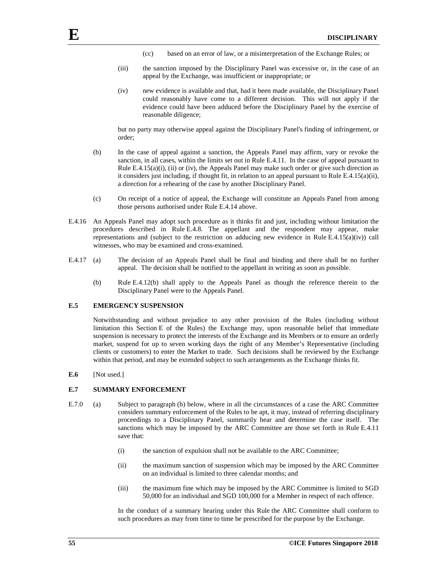- (cc) based on an error of law, or a misinterpretation of the Exchange Rules; or
- (iii) the sanction imposed by the Disciplinary Panel was excessive or, in the case of an appeal by the Exchange, was insufficient or inappropriate; or
- (iv) new evidence is available and that, had it been made available, the Disciplinary Panel could reasonably have come to a different decision. This will not apply if the evidence could have been adduced before the Disciplinary Panel by the exercise of reasonable diligence;

but no party may otherwise appeal against the Disciplinary Panel's finding of infringement, or order;

- (b) In the case of appeal against a sanction, the Appeals Panel may affirm, vary or revoke the sanction, in all cases, within the limits set out in Rule E.4.11. In the case of appeal pursuant to Rule E.4.15(a)(i), (ii) or (iv), the Appeals Panel may make such order or give such direction as it considers just including, if thought fit, in relation to an appeal pursuant to Rule  $E.4.15(a)(ii)$ , a direction for a rehearing of the case by another Disciplinary Panel.
- (c) On receipt of a notice of appeal, the Exchange will constitute an Appeals Panel from among those persons authorised under Rule E.4.14 above.
- E.4.16 An Appeals Panel may adopt such procedure as it thinks fit and just, including without limitation the procedures described in Rule E.4.8. The appellant and the respondent may appear, make representations and (subject to the restriction on adducing new evidence in Rule E.4.15(a)(iv)) call witnesses, who may be examined and cross-examined.
- E.4.17 (a) The decision of an Appeals Panel shall be final and binding and there shall be no further appeal. The decision shall be notified to the appellant in writing as soon as possible.
	- (b) Rule E.4.12(b) shall apply to the Appeals Panel as though the reference therein to the Disciplinary Panel were to the Appeals Panel.

### **E.5 EMERGENCY SUSPENSION**

Notwithstanding and without prejudice to any other provision of the Rules (including without limitation this Section E of the Rules) the Exchange may, upon reasonable belief that immediate suspension is necessary to protect the interests of the Exchange and its Members or to ensure an orderly market, suspend for up to seven working days the right of any Member's Representative (including clients or customers) to enter the Market to trade. Such decisions shall be reviewed by the Exchange within that period, and may be extended subject to such arrangements as the Exchange thinks fit.

**E.6** [Not used.]

#### **E.7 SUMMARY ENFORCEMENT**

- E.7.0 (a) Subject to paragraph (b) below, where in all the circumstances of a case the ARC Committee considers summary enforcement of the Rules to be apt, it may, instead of referring disciplinary proceedings to a Disciplinary Panel, summarily hear and determine the case itself. The sanctions which may be imposed by the ARC Committee are those set forth in Rule E.4.11 save that:
	- (i) the sanction of expulsion shall not be available to the ARC Committee;
	- (ii) the maximum sanction of suspension which may be imposed by the ARC Committee on an individual is limited to three calendar months; and
	- (iii) the maximum fine which may be imposed by the ARC Committee is limited to SGD 50,000 for an individual and SGD 100,000 for a Member in respect of each offence.

In the conduct of a summary hearing under this Rule the ARC Committee shall conform to such procedures as may from time to time be prescribed for the purpose by the Exchange.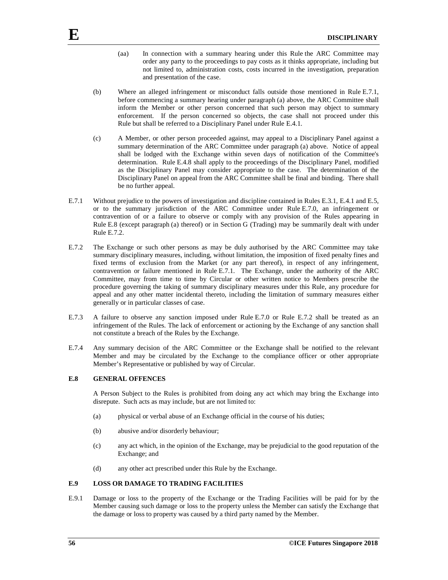- (aa) In connection with a summary hearing under this Rule the ARC Committee may order any party to the proceedings to pay costs as it thinks appropriate, including but not limited to, administration costs, costs incurred in the investigation, preparation and presentation of the case.
- (b) Where an alleged infringement or misconduct falls outside those mentioned in Rule E.7.1, before commencing a summary hearing under paragraph (a) above, the ARC Committee shall inform the Member or other person concerned that such person may object to summary enforcement. If the person concerned so objects, the case shall not proceed under this Rule but shall be referred to a Disciplinary Panel under Rule E.4.1.
- (c) A Member, or other person proceeded against, may appeal to a Disciplinary Panel against a summary determination of the ARC Committee under paragraph (a) above. Notice of appeal shall be lodged with the Exchange within seven days of notification of the Committee's determination. Rule E.4.8 shall apply to the proceedings of the Disciplinary Panel, modified as the Disciplinary Panel may consider appropriate to the case. The determination of the Disciplinary Panel on appeal from the ARC Committee shall be final and binding. There shall be no further appeal.
- E.7.1 Without prejudice to the powers of investigation and discipline contained in Rules E.3.1, E.4.1 and E.5, or to the summary jurisdiction of the ARC Committee under Rule E.7.0, an infringement or contravention of or a failure to observe or comply with any provision of the Rules appearing in Rule E.8 (except paragraph (a) thereof) or in Section G (Trading) may be summarily dealt with under Rule E.7.2.
- E.7.2 The Exchange or such other persons as may be duly authorised by the ARC Committee may take summary disciplinary measures, including, without limitation, the imposition of fixed penalty fines and fixed terms of exclusion from the Market (or any part thereof), in respect of any infringement, contravention or failure mentioned in Rule E.7.1. The Exchange, under the authority of the ARC Committee, may from time to time by Circular or other written notice to Members prescribe the procedure governing the taking of summary disciplinary measures under this Rule, any procedure for appeal and any other matter incidental thereto, including the limitation of summary measures either generally or in particular classes of case.
- E.7.3 A failure to observe any sanction imposed under Rule E.7.0 or Rule E.7.2 shall be treated as an infringement of the Rules. The lack of enforcement or actioning by the Exchange of any sanction shall not constitute a breach of the Rules by the Exchange.
- E.7.4 Any summary decision of the ARC Committee or the Exchange shall be notified to the relevant Member and may be circulated by the Exchange to the compliance officer or other appropriate Member's Representative or published by way of Circular.

# **E.8 GENERAL OFFENCES**

A Person Subject to the Rules is prohibited from doing any act which may bring the Exchange into disrepute. Such acts as may include, but are not limited to:

- (a) physical or verbal abuse of an Exchange official in the course of his duties;
- (b) abusive and/or disorderly behaviour;
- (c) any act which, in the opinion of the Exchange, may be prejudicial to the good reputation of the Exchange; and
- (d) any other act prescribed under this Rule by the Exchange.

# **E.9 LOSS OR DAMAGE TO TRADING FACILITIES**

E.9.1 Damage or loss to the property of the Exchange or the Trading Facilities will be paid for by the Member causing such damage or loss to the property unless the Member can satisfy the Exchange that the damage or loss to property was caused by a third party named by the Member.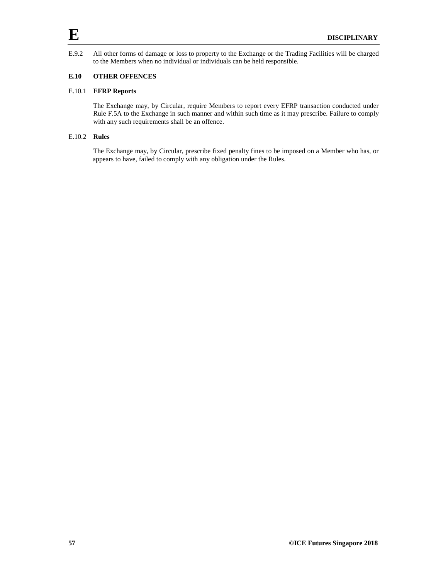E.9.2 All other forms of damage or loss to property to the Exchange or the Trading Facilities will be charged to the Members when no individual or individuals can be held responsible.

# **E.10 OTHER OFFENCES**

## E.10.1 **EFRP Reports**

The Exchange may, by Circular, require Members to report every EFRP transaction conducted under Rule F.5A to the Exchange in such manner and within such time as it may prescribe. Failure to comply with any such requirements shall be an offence.

# E.10.2 **Rules**

The Exchange may, by Circular, prescribe fixed penalty fines to be imposed on a Member who has, or appears to have, failed to comply with any obligation under the Rules.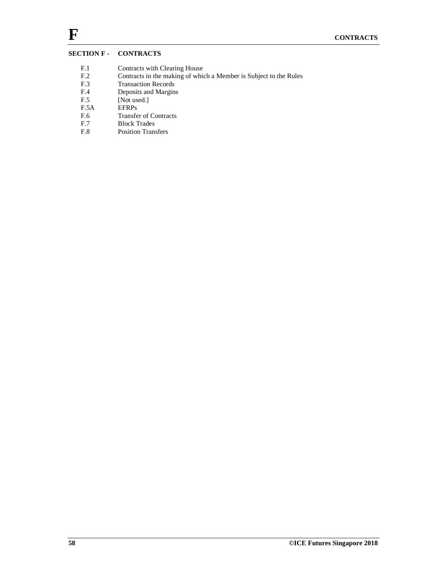# **SECTION F - CONTRACTS**

- F.1 Contracts with Clearing House
- F.2 Contracts in the making of which a Member is Subject to the Rules<br>F.3 Transaction Records
- F.3 Transaction Records<br>F.4 Deposits and Margins
- F.4 Deposits and Margins<br>F.5 [Not used.]
- F.5 [Not used.]<br>F.5A EFRPs
- EFRPs
- F.6 Transfer of Contracts<br>F.7 Block Trades
- **Block Trades**
- F.8 Position Transfers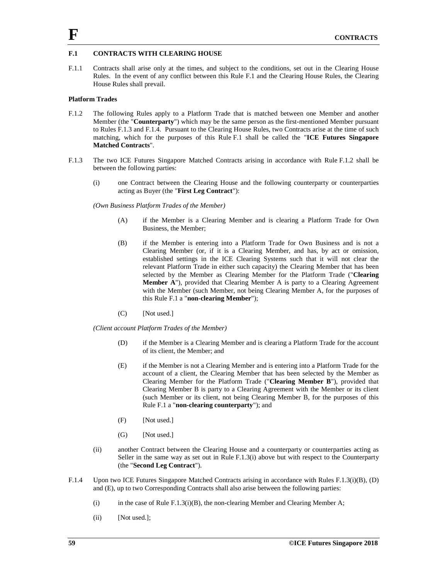# **F.1 CONTRACTS WITH CLEARING HOUSE**

F.1.1 Contracts shall arise only at the times, and subject to the conditions, set out in the Clearing House Rules. In the event of any conflict between this Rule F.1 and the Clearing House Rules, the Clearing House Rules shall prevail.

### **Platform Trades**

- F.1.2 The following Rules apply to a Platform Trade that is matched between one Member and another Member (the "**Counterparty**") which may be the same person as the first-mentioned Member pursuant to Rules F.1.3 and F.1.4. Pursuant to the Clearing House Rules, two Contracts arise at the time of such matching, which for the purposes of this Rule F.1 shall be called the "**ICE Futures Singapore Matched Contracts**".
- F.1.3 The two ICE Futures Singapore Matched Contracts arising in accordance with Rule F.1.2 shall be between the following parties:
	- (i) one Contract between the Clearing House and the following counterparty or counterparties acting as Buyer (the "**First Leg Contract**"):

#### *(Own Business Platform Trades of the Member)*

- (A) if the Member is a Clearing Member and is clearing a Platform Trade for Own Business, the Member;
- (B) if the Member is entering into a Platform Trade for Own Business and is not a Clearing Member (or, if it is a Clearing Member, and has, by act or omission, established settings in the ICE Clearing Systems such that it will not clear the relevant Platform Trade in either such capacity) the Clearing Member that has been selected by the Member as Clearing Member for the Platform Trade ("**Clearing Member A**"), provided that Clearing Member A is party to a Clearing Agreement with the Member (such Member, not being Clearing Member A, for the purposes of this Rule F.1 a "**non-clearing Member**");
- (C) [Not used.]

*(Client account Platform Trades of the Member)*

- (D) if the Member is a Clearing Member and is clearing a Platform Trade for the account of its client, the Member; and
- (E) if the Member is not a Clearing Member and is entering into a Platform Trade for the account of a client, the Clearing Member that has been selected by the Member as Clearing Member for the Platform Trade ("**Clearing Member B**"), provided that Clearing Member B is party to a Clearing Agreement with the Member or its client (such Member or its client, not being Clearing Member B, for the purposes of this Rule F.1 a "**non-clearing counterparty**"); and
- (F) [Not used.]
- (G) [Not used.]
- (ii) another Contract between the Clearing House and a counterparty or counterparties acting as Seller in the same way as set out in Rule F.1.3(i) above but with respect to the Counterparty (the "**Second Leg Contract**").
- F.1.4 Upon two ICE Futures Singapore Matched Contracts arising in accordance with Rules F.1.3(i)(B), (D) and (E), up to two Corresponding Contracts shall also arise between the following parties:
	- (i) in the case of Rule F.1.3(i)(B), the non-clearing Member and Clearing Member A;
	- (ii) [Not used.];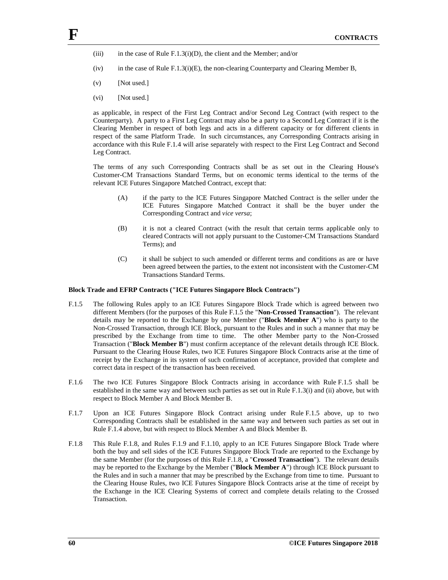- (iii) in the case of Rule F.1.3(i)(D), the client and the Member; and/or
- $(iv)$  in the case of Rule F.1.3(i)(E), the non-clearing Counterparty and Clearing Member B,
- $(v)$  [Not used.]
- (vi) [Not used.]

as applicable, in respect of the First Leg Contract and/or Second Leg Contract (with respect to the Counterparty). A party to a First Leg Contract may also be a party to a Second Leg Contract if it is the Clearing Member in respect of both legs and acts in a different capacity or for different clients in respect of the same Platform Trade. In such circumstances, any Corresponding Contracts arising in accordance with this Rule F.1.4 will arise separately with respect to the First Leg Contract and Second Leg Contract.

The terms of any such Corresponding Contracts shall be as set out in the Clearing House's Customer-CM Transactions Standard Terms, but on economic terms identical to the terms of the relevant ICE Futures Singapore Matched Contract, except that:

- (A) if the party to the ICE Futures Singapore Matched Contract is the seller under the ICE Futures Singapore Matched Contract it shall be the buyer under the Corresponding Contract and *vice versa*;
- (B) it is not a cleared Contract (with the result that certain terms applicable only to cleared Contracts will not apply pursuant to the Customer-CM Transactions Standard Terms); and
- (C) it shall be subject to such amended or different terms and conditions as are or have been agreed between the parties, to the extent not inconsistent with the Customer-CM Transactions Standard Terms.

#### **Block Trade and EFRP Contracts ("ICE Futures Singapore Block Contracts")**

- F.1.5 The following Rules apply to an ICE Futures Singapore Block Trade which is agreed between two different Members (for the purposes of this Rule F.1.5 the "**Non-Crossed Transaction**"). The relevant details may be reported to the Exchange by one Member ("**Block Member A**") who is party to the Non-Crossed Transaction, through ICE Block, pursuant to the Rules and in such a manner that may be prescribed by the Exchange from time to time. The other Member party to the Non-Crossed Transaction ("**Block Member B**") must confirm acceptance of the relevant details through ICE Block. Pursuant to the Clearing House Rules, two ICE Futures Singapore Block Contracts arise at the time of receipt by the Exchange in its system of such confirmation of acceptance, provided that complete and correct data in respect of the transaction has been received.
- F.1.6 The two ICE Futures Singapore Block Contracts arising in accordance with Rule F.1.5 shall be established in the same way and between such parties as set out in Rule F.1.3(i) and (ii) above, but with respect to Block Member A and Block Member B.
- F.1.7 Upon an ICE Futures Singapore Block Contract arising under Rule F.1.5 above, up to two Corresponding Contracts shall be established in the same way and between such parties as set out in Rule F.1.4 above, but with respect to Block Member A and Block Member B.
- F.1.8 This Rule F.1.8, and Rules F.1.9 and F.1.10, apply to an ICE Futures Singapore Block Trade where both the buy and sell sides of the ICE Futures Singapore Block Trade are reported to the Exchange by the same Member (for the purposes of this Rule F.1.8, a "**Crossed Transaction**"). The relevant details may be reported to the Exchange by the Member ("**Block Member A**") through ICE Block pursuant to the Rules and in such a manner that may be prescribed by the Exchange from time to time. Pursuant to the Clearing House Rules, two ICE Futures Singapore Block Contracts arise at the time of receipt by the Exchange in the ICE Clearing Systems of correct and complete details relating to the Crossed Transaction.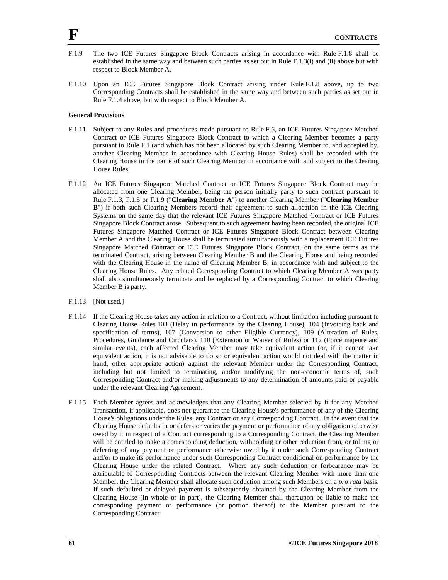- F.1.9 The two ICE Futures Singapore Block Contracts arising in accordance with Rule F.1.8 shall be established in the same way and between such parties as set out in Rule F.1.3(i) and (ii) above but with respect to Block Member A.
- F.1.10 Upon an ICE Futures Singapore Block Contract arising under Rule F.1.8 above, up to two Corresponding Contracts shall be established in the same way and between such parties as set out in Rule F.1.4 above, but with respect to Block Member A.

# **General Provisions**

- F.1.11 Subject to any Rules and procedures made pursuant to Rule F.6, an ICE Futures Singapore Matched Contract or ICE Futures Singapore Block Contract to which a Clearing Member becomes a party pursuant to Rule F.1 (and which has not been allocated by such Clearing Member to, and accepted by, another Clearing Member in accordance with Clearing House Rules) shall be recorded with the Clearing House in the name of such Clearing Member in accordance with and subject to the Clearing House Rules.
- F.1.12 An ICE Futures Singapore Matched Contract or ICE Futures Singapore Block Contract may be allocated from one Clearing Member, being the person initially party to such contract pursuant to Rule F.1.3, F.1.5 or F.1.9 ("**Clearing Member A**") to another Clearing Member ("**Clearing Member B**") if both such Clearing Members record their agreement to such allocation in the ICE Clearing Systems on the same day that the relevant ICE Futures Singapore Matched Contract or ICE Futures Singapore Block Contract arose. Subsequent to such agreement having been recorded, the original ICE Futures Singapore Matched Contract or ICE Futures Singapore Block Contract between Clearing Member A and the Clearing House shall be terminated simultaneously with a replacement ICE Futures Singapore Matched Contract or ICE Futures Singapore Block Contract, on the same terms as the terminated Contract, arising between Clearing Member B and the Clearing House and being recorded with the Clearing House in the name of Clearing Member B, in accordance with and subject to the Clearing House Rules. Any related Corresponding Contract to which Clearing Member A was party shall also simultaneously terminate and be replaced by a Corresponding Contract to which Clearing Member B is party.
- F.1.13 [Not used.]
- F.1.14 If the Clearing House takes any action in relation to a Contract, without limitation including pursuant to Clearing House Rules 103 (Delay in performance by the Clearing House), 104 (Invoicing back and specification of terms), 107 (Conversion to other Eligible Currency), 109 (Alteration of Rules, Procedures, Guidance and Circulars), 110 (Extension or Waiver of Rules) or 112 (Force majeure and similar events), each affected Clearing Member may take equivalent action (or, if it cannot take equivalent action, it is not advisable to do so or equivalent action would not deal with the matter in hand, other appropriate action) against the relevant Member under the Corresponding Contract, including but not limited to terminating, and/or modifying the non-economic terms of, such Corresponding Contract and/or making adjustments to any determination of amounts paid or payable under the relevant Clearing Agreement.
- F.1.15 Each Member agrees and acknowledges that any Clearing Member selected by it for any Matched Transaction, if applicable, does not guarantee the Clearing House's performance of any of the Clearing House's obligations under the Rules, any Contract or any Corresponding Contract. In the event that the Clearing House defaults in or defers or varies the payment or performance of any obligation otherwise owed by it in respect of a Contract corresponding to a Corresponding Contract, the Clearing Member will be entitled to make a corresponding deduction, withholding or other reduction from, or tolling or deferring of any payment or performance otherwise owed by it under such Corresponding Contract and/or to make its performance under such Corresponding Contract conditional on performance by the Clearing House under the related Contract. Where any such deduction or forbearance may be attributable to Corresponding Contracts between the relevant Clearing Member with more than one Member, the Clearing Member shall allocate such deduction among such Members on a *pro rata* basis. If such defaulted or delayed payment is subsequently obtained by the Clearing Member from the Clearing House (in whole or in part), the Clearing Member shall thereupon be liable to make the corresponding payment or performance (or portion thereof) to the Member pursuant to the Corresponding Contract.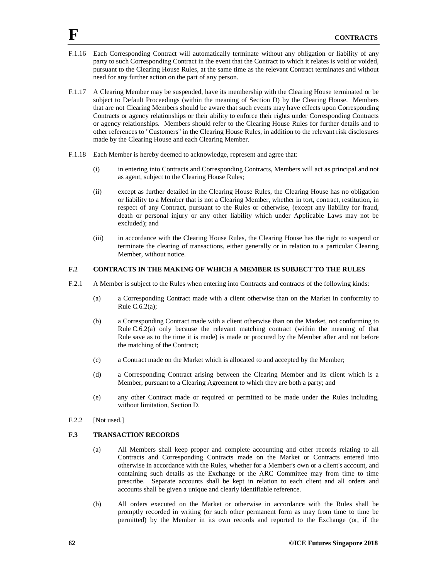- F.1.16 Each Corresponding Contract will automatically terminate without any obligation or liability of any party to such Corresponding Contract in the event that the Contract to which it relates is void or voided, pursuant to the Clearing House Rules, at the same time as the relevant Contract terminates and without need for any further action on the part of any person.
- F.1.17 A Clearing Member may be suspended, have its membership with the Clearing House terminated or be subject to Default Proceedings (within the meaning of Section D) by the Clearing House. Members that are not Clearing Members should be aware that such events may have effects upon Corresponding Contracts or agency relationships or their ability to enforce their rights under Corresponding Contracts or agency relationships. Members should refer to the Clearing House Rules for further details and to other references to "Customers" in the Clearing House Rules, in addition to the relevant risk disclosures made by the Clearing House and each Clearing Member.
- F.1.18 Each Member is hereby deemed to acknowledge, represent and agree that:
	- (i) in entering into Contracts and Corresponding Contracts, Members will act as principal and not as agent, subject to the Clearing House Rules;
	- (ii) except as further detailed in the Clearing House Rules, the Clearing House has no obligation or liability to a Member that is not a Clearing Member, whether in tort, contract, restitution, in respect of any Contract, pursuant to the Rules or otherwise, (except any liability for fraud, death or personal injury or any other liability which under Applicable Laws may not be excluded); and
	- (iii) in accordance with the Clearing House Rules, the Clearing House has the right to suspend or terminate the clearing of transactions, either generally or in relation to a particular Clearing Member, without notice.

#### **F.2 CONTRACTS IN THE MAKING OF WHICH A MEMBER IS SUBJECT TO THE RULES**

- F.2.1 A Member is subject to the Rules when entering into Contracts and contracts of the following kinds:
	- (a) a Corresponding Contract made with a client otherwise than on the Market in conformity to Rule C.6.2(a);
	- (b) a Corresponding Contract made with a client otherwise than on the Market, not conforming to Rule C.6.2(a) only because the relevant matching contract (within the meaning of that Rule save as to the time it is made) is made or procured by the Member after and not before the matching of the Contract;
	- (c) a Contract made on the Market which is allocated to and accepted by the Member;
	- (d) a Corresponding Contract arising between the Clearing Member and its client which is a Member, pursuant to a Clearing Agreement to which they are both a party; and
	- (e) any other Contract made or required or permitted to be made under the Rules including, without limitation, Section D.
- F.2.2 [Not used.]

### **F.3 TRANSACTION RECORDS**

- (a) All Members shall keep proper and complete accounting and other records relating to all Contracts and Corresponding Contracts made on the Market or Contracts entered into otherwise in accordance with the Rules, whether for a Member's own or a client's account, and containing such details as the Exchange or the ARC Committee may from time to time prescribe. Separate accounts shall be kept in relation to each client and all orders and accounts shall be given a unique and clearly identifiable reference.
- (b) All orders executed on the Market or otherwise in accordance with the Rules shall be promptly recorded in writing (or such other permanent form as may from time to time be permitted) by the Member in its own records and reported to the Exchange (or, if the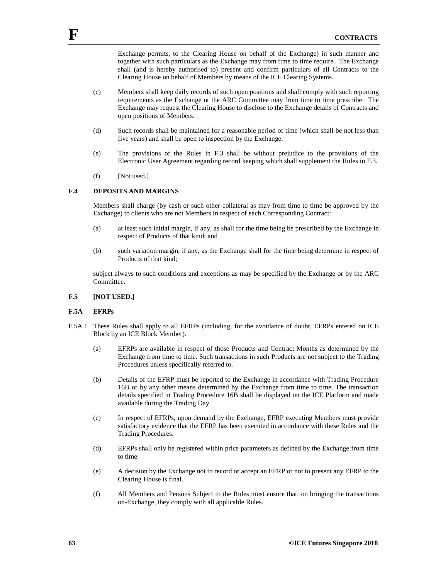Exchange permits, to the Clearing House on behalf of the Exchange) in such manner and together with such particulars as the Exchange may from time to time require. The Exchange shall (and is hereby authorised to) present and confirm particulars of all Contracts to the Clearing House on behalf of Members by means of the ICE Clearing Systems.

- (c) Members shall keep daily records of such open positions and shall comply with such reporting requirements as the Exchange or the ARC Committee may from time to time prescribe. The Exchange may request the Clearing House to disclose to the Exchange details of Contracts and open positions of Members.
- (d) Such records shall be maintained for a reasonable period of time (which shall be not less than five years) and shall be open to inspection by the Exchange.
- (e) The provisions of the Rules in F.3 shall be without prejudice to the provisions of the Electronic User Agreement regarding record keeping which shall supplement the Rules in F.3.
- (f) [Not used.]

#### **F.4 DEPOSITS AND MARGINS**

Members shall charge (by cash or such other collateral as may from time to time be approved by the Exchange) to clients who are not Members in respect of each Corresponding Contract:

- (a) at least such initial margin, if any, as shall for the time being be prescribed by the Exchange in respect of Products of that kind; and
- (b) such variation margin, if any, as the Exchange shall for the time being determine in respect of Products of that kind;

subject always to such conditions and exceptions as may be specified by the Exchange or by the ARC Committee.

#### **F.5 [NOT USED.]**

#### **F.5A EFRPs**

- F.5A.1 These Rules shall apply to all EFRPs (including, for the avoidance of doubt, EFRPs entered on ICE Block by an ICE Block Member).
	- (a) EFRPs are available in respect of those Products and Contract Months as determined by the Exchange from time to time. Such transactions in such Products are not subject to the Trading Procedures unless specifically referred to.
	- (b) Details of the EFRP must be reported to the Exchange in accordance with Trading Procedure 16B or by any other means determined by the Exchange from time to time. The transaction details specified in Trading Procedure 16B shall be displayed on the ICE Platform and made available during the Trading Day.
	- (c) In respect of EFRPs, upon demand by the Exchange, EFRP executing Members must provide satisfactory evidence that the EFRP has been executed in accordance with these Rules and the Trading Procedures.
	- (d) EFRPs shall only be registered within price parameters as defined by the Exchange from time to time.
	- (e) A decision by the Exchange not to record or accept an EFRP or not to present any EFRP to the Clearing House is final.
	- (f) All Members and Persons Subject to the Rules must ensure that, on bringing the transactions on-Exchange, they comply with all applicable Rules.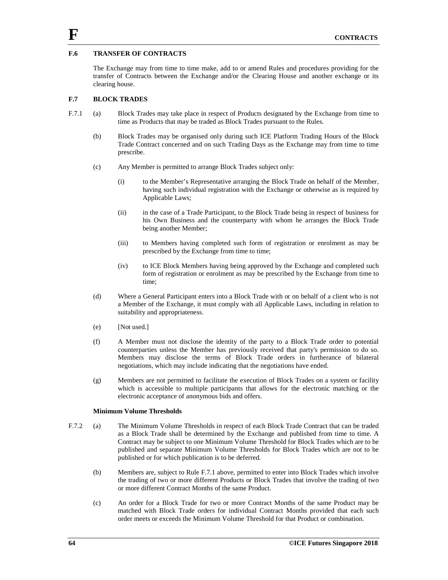# **F.6 TRANSFER OF CONTRACTS**

The Exchange may from time to time make, add to or amend Rules and procedures providing for the transfer of Contracts between the Exchange and/or the Clearing House and another exchange or its clearing house.

#### **F.7 BLOCK TRADES**

- F.7.1 (a) Block Trades may take place in respect of Products designated by the Exchange from time to time as Products that may be traded as Block Trades pursuant to the Rules.
	- (b) Block Trades may be organised only during such ICE Platform Trading Hours of the Block Trade Contract concerned and on such Trading Days as the Exchange may from time to time prescribe.
	- (c) Any Member is permitted to arrange Block Trades subject only:
		- (i) to the Member's Representative arranging the Block Trade on behalf of the Member, having such individual registration with the Exchange or otherwise as is required by Applicable Laws;
		- (ii) in the case of a Trade Participant, to the Block Trade being in respect of business for his Own Business and the counterparty with whom he arranges the Block Trade being another Member;
		- (iii) to Members having completed such form of registration or enrolment as may be prescribed by the Exchange from time to time;
		- (iv) to ICE Block Members having being approved by the Exchange and completed such form of registration or enrolment as may be prescribed by the Exchange from time to time;
	- (d) Where a General Participant enters into a Block Trade with or on behalf of a client who is not a Member of the Exchange, it must comply with all Applicable Laws, including in relation to suitability and appropriateness.
	- (e) [Not used.]
	- (f) A Member must not disclose the identity of the party to a Block Trade order to potential counterparties unless the Member has previously received that party's permission to do so. Members may disclose the terms of Block Trade orders in furtherance of bilateral negotiations, which may include indicating that the negotiations have ended.
	- (g) Members are not permitted to facilitate the execution of Block Trades on a system or facility which is accessible to multiple participants that allows for the electronic matching or the electronic acceptance of anonymous bids and offers.

#### **Minimum Volume Thresholds**

- F.7.2 (a) The Minimum Volume Thresholds in respect of each Block Trade Contract that can be traded as a Block Trade shall be determined by the Exchange and published from time to time. A Contract may be subject to one Minimum Volume Threshold for Block Trades which are to be published and separate Minimum Volume Thresholds for Block Trades which are not to be published or for which publication is to be deferred.
	- (b) Members are, subject to Rule F.7.1 above, permitted to enter into Block Trades which involve the trading of two or more different Products or Block Trades that involve the trading of two or more different Contract Months of the same Product.
	- (c) An order for a Block Trade for two or more Contract Months of the same Product may be matched with Block Trade orders for individual Contract Months provided that each such order meets or exceeds the Minimum Volume Threshold for that Product or combination.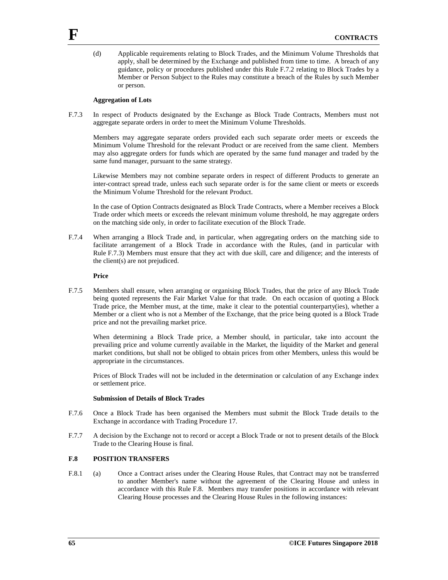(d) Applicable requirements relating to Block Trades, and the Minimum Volume Thresholds that apply, shall be determined by the Exchange and published from time to time. A breach of any guidance, policy or procedures published under this Rule F.7.2 relating to Block Trades by a Member or Person Subject to the Rules may constitute a breach of the Rules by such Member or person.

#### **Aggregation of Lots**

F.7.3 In respect of Products designated by the Exchange as Block Trade Contracts, Members must not aggregate separate orders in order to meet the Minimum Volume Thresholds.

Members may aggregate separate orders provided each such separate order meets or exceeds the Minimum Volume Threshold for the relevant Product or are received from the same client. Members may also aggregate orders for funds which are operated by the same fund manager and traded by the same fund manager, pursuant to the same strategy.

Likewise Members may not combine separate orders in respect of different Products to generate an inter-contract spread trade, unless each such separate order is for the same client or meets or exceeds the Minimum Volume Threshold for the relevant Product.

In the case of Option Contracts designated as Block Trade Contracts, where a Member receives a Block Trade order which meets or exceeds the relevant minimum volume threshold, he may aggregate orders on the matching side only, in order to facilitate execution of the Block Trade.

F.7.4 When arranging a Block Trade and, in particular, when aggregating orders on the matching side to facilitate arrangement of a Block Trade in accordance with the Rules, (and in particular with Rule F.7.3) Members must ensure that they act with due skill, care and diligence; and the interests of the client(s) are not prejudiced.

#### **Price**

F.7.5 Members shall ensure, when arranging or organising Block Trades, that the price of any Block Trade being quoted represents the Fair Market Value for that trade*.* On each occasion of quoting a Block Trade price, the Member must, at the time, make it clear to the potential counterparty(ies), whether a Member or a client who is not a Member of the Exchange, that the price being quoted is a Block Trade price and not the prevailing market price.

When determining a Block Trade price, a Member should, in particular, take into account the prevailing price and volume currently available in the Market, the liquidity of the Market and general market conditions, but shall not be obliged to obtain prices from other Members, unless this would be appropriate in the circumstances.

Prices of Block Trades will not be included in the determination or calculation of any Exchange index or settlement price.

### **Submission of Details of Block Trades**

- F.7.6 Once a Block Trade has been organised the Members must submit the Block Trade details to the Exchange in accordance with Trading Procedure 17.
- F.7.7 A decision by the Exchange not to record or accept a Block Trade or not to present details of the Block Trade to the Clearing House is final.

# **F.8 POSITION TRANSFERS**

F.8.1 (a) Once a Contract arises under the Clearing House Rules, that Contract may not be transferred to another Member's name without the agreement of the Clearing House and unless in accordance with this Rule F.8. Members may transfer positions in accordance with relevant Clearing House processes and the Clearing House Rules in the following instances: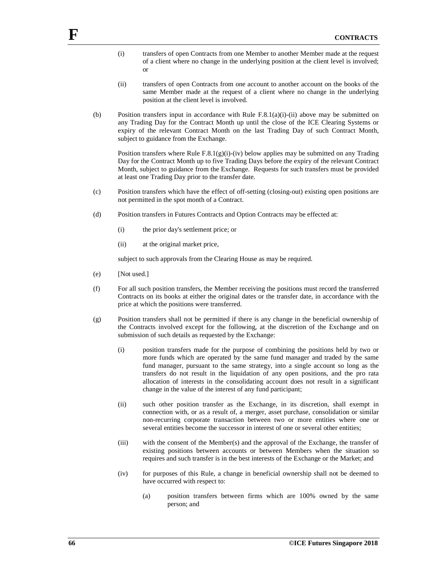- (i) transfers of open Contracts from one Member to another Member made at the request of a client where no change in the underlying position at the client level is involved; or
- (ii) transfers of open Contracts from one account to another account on the books of the same Member made at the request of a client where no change in the underlying position at the client level is involved.
- (b) Position transfers input in accordance with Rule F.8.1(a)(i)-(ii) above may be submitted on any Trading Day for the Contract Month up until the close of the ICE Clearing Systems or expiry of the relevant Contract Month on the last Trading Day of such Contract Month, subject to guidance from the Exchange.

Position transfers where Rule  $F(8.1(g)(i)-(iv))$  below applies may be submitted on any Trading Day for the Contract Month up to five Trading Days before the expiry of the relevant Contract Month, subject to guidance from the Exchange. Requests for such transfers must be provided at least one Trading Day prior to the transfer date.

- (c) Position transfers which have the effect of off-setting (closing-out) existing open positions are not permitted in the spot month of a Contract.
- (d) Position transfers in Futures Contracts and Option Contracts may be effected at:
	- (i) the prior day's settlement price; or
	- (ii) at the original market price,

subject to such approvals from the Clearing House as may be required.

- (e) [Not used.]
- (f) For all such position transfers, the Member receiving the positions must record the transferred Contracts on its books at either the original dates or the transfer date, in accordance with the price at which the positions were transferred.
- (g) Position transfers shall not be permitted if there is any change in the beneficial ownership of the Contracts involved except for the following, at the discretion of the Exchange and on submission of such details as requested by the Exchange:
	- (i) position transfers made for the purpose of combining the positions held by two or more funds which are operated by the same fund manager and traded by the same fund manager, pursuant to the same strategy, into a single account so long as the transfers do not result in the liquidation of any open positions, and the pro rata allocation of interests in the consolidating account does not result in a significant change in the value of the interest of any fund participant;
	- (ii) such other position transfer as the Exchange, in its discretion, shall exempt in connection with, or as a result of, a merger, asset purchase, consolidation or similar non-recurring corporate transaction between two or more entities where one or several entities become the successor in interest of one or several other entities;
	- (iii) with the consent of the Member(s) and the approval of the Exchange, the transfer of existing positions between accounts or between Members when the situation so requires and such transfer is in the best interests of the Exchange or the Market; and
	- (iv) for purposes of this Rule, a change in beneficial ownership shall not be deemed to have occurred with respect to:
		- (a) position transfers between firms which are 100% owned by the same person; and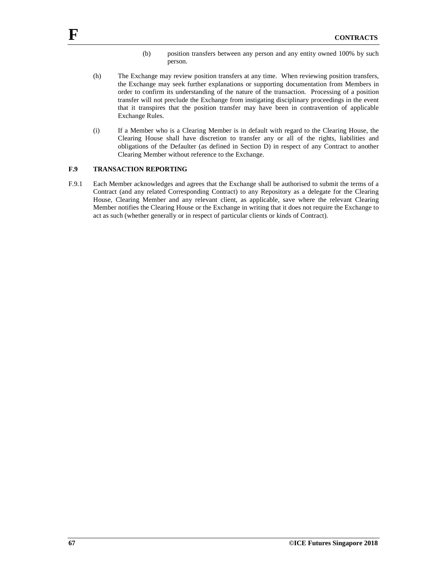- (b) position transfers between any person and any entity owned 100% by such person.
- (h) The Exchange may review position transfers at any time. When reviewing position transfers, the Exchange may seek further explanations or supporting documentation from Members in order to confirm its understanding of the nature of the transaction. Processing of a position transfer will not preclude the Exchange from instigating disciplinary proceedings in the event that it transpires that the position transfer may have been in contravention of applicable Exchange Rules.
- (i) If a Member who is a Clearing Member is in default with regard to the Clearing House, the Clearing House shall have discretion to transfer any or all of the rights, liabilities and obligations of the Defaulter (as defined in Section D) in respect of any Contract to another Clearing Member without reference to the Exchange.

# **F.9 TRANSACTION REPORTING**

F.9.1 Each Member acknowledges and agrees that the Exchange shall be authorised to submit the terms of a Contract (and any related Corresponding Contract) to any Repository as a delegate for the Clearing House, Clearing Member and any relevant client, as applicable, save where the relevant Clearing Member notifies the Clearing House or the Exchange in writing that it does not require the Exchange to act as such (whether generally or in respect of particular clients or kinds of Contract).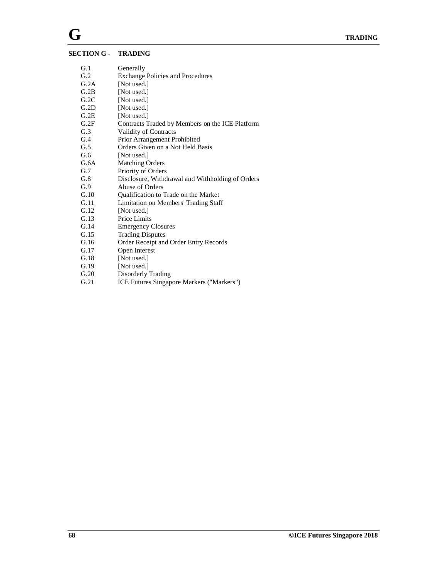# **SECTION G - TRADING**

| G.1  | Generally                                        |
|------|--------------------------------------------------|
| G.2  | <b>Exchange Policies and Procedures</b>          |
| G.2A | [Not used.]                                      |
| G.2B | [Not used.]                                      |
| G.2C | [Not used.]                                      |
| G.2D | [Not used.]                                      |
| G.2E | [Not used.]                                      |
| G.2F | Contracts Traded by Members on the ICE Platform  |
| G.3  | Validity of Contracts                            |
| G.4  | Prior Arrangement Prohibited                     |
| G.5  | Orders Given on a Not Held Basis                 |
| G.6  | [Not used.]                                      |
| G.6A | <b>Matching Orders</b>                           |
| G.7  | Priority of Orders                               |
| G.8  | Disclosure, Withdrawal and Withholding of Orders |
| G.9  | Abuse of Orders                                  |
| G.10 | Qualification to Trade on the Market             |
| G.11 | Limitation on Members' Trading Staff             |
| G.12 | [Not used.]                                      |
| G.13 | Price Limits                                     |
| G.14 | <b>Emergency Closures</b>                        |
| G.15 | <b>Trading Disputes</b>                          |
| G.16 | Order Receipt and Order Entry Records            |
| G.17 | Open Interest                                    |
| G.18 | [Not used.]                                      |
| G.19 | [Not used.]                                      |
| G.20 | Disorderly Trading                               |
| G.21 | ICE Futures Singapore Markers ("Markers")        |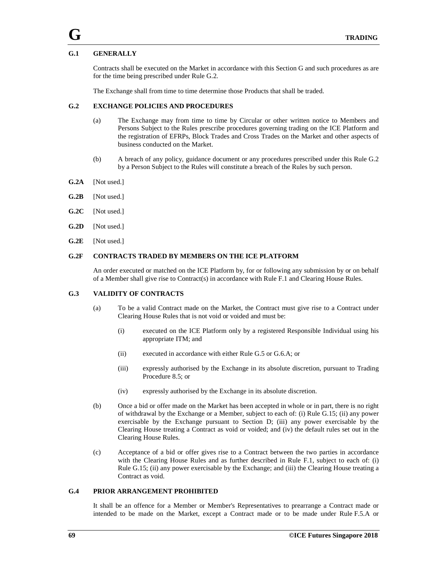### **G.1 GENERALLY**

Contracts shall be executed on the Market in accordance with this Section G and such procedures as are for the time being prescribed under Rule G.2.

The Exchange shall from time to time determine those Products that shall be traded.

### **G.2 EXCHANGE POLICIES AND PROCEDURES**

- (a) The Exchange may from time to time by Circular or other written notice to Members and Persons Subject to the Rules prescribe procedures governing trading on the ICE Platform and the registration of EFRPs, Block Trades and Cross Trades on the Market and other aspects of business conducted on the Market.
- (b) A breach of any policy, guidance document or any procedures prescribed under this Rule G.2 by a Person Subject to the Rules will constitute a breach of the Rules by such person.
- **G.2A** [Not used.]
- **G.2B** [Not used.]
- **G.2C** [Not used.]
- **G.2D** [Not used.]
- **G.2E** [Not used.]

### **G.2F CONTRACTS TRADED BY MEMBERS ON THE ICE PLATFORM**

An order executed or matched on the ICE Platform by, for or following any submission by or on behalf of a Member shall give rise to Contract(s) in accordance with Rule F.1 and Clearing House Rules.

# **G.3 VALIDITY OF CONTRACTS**

- (a) To be a valid Contract made on the Market, the Contract must give rise to a Contract under Clearing House Rules that is not void or voided and must be:
	- (i) executed on the ICE Platform only by a registered Responsible Individual using his appropriate ITM; and
	- (ii) executed in accordance with either Rule G.5 or G.6.A; or
	- (iii) expressly authorised by the Exchange in its absolute discretion, pursuant to Trading Procedure 8.5; or
	- (iv) expressly authorised by the Exchange in its absolute discretion.
- (b) Once a bid or offer made on the Market has been accepted in whole or in part, there is no right of withdrawal by the Exchange or a Member, subject to each of: (i) Rule G.15; (ii) any power exercisable by the Exchange pursuant to Section D; (iii) any power exercisable by the Clearing House treating a Contract as void or voided; and (iv) the default rules set out in the Clearing House Rules.
- (c) Acceptance of a bid or offer gives rise to a Contract between the two parties in accordance with the Clearing House Rules and as further described in Rule F.1, subject to each of: (i) Rule G.15; (ii) any power exercisable by the Exchange; and (iii) the Clearing House treating a Contract as void.

# **G.4 PRIOR ARRANGEMENT PROHIBITED**

It shall be an offence for a Member or Member's Representatives to prearrange a Contract made or intended to be made on the Market, except a Contract made or to be made under Rule F.5.A or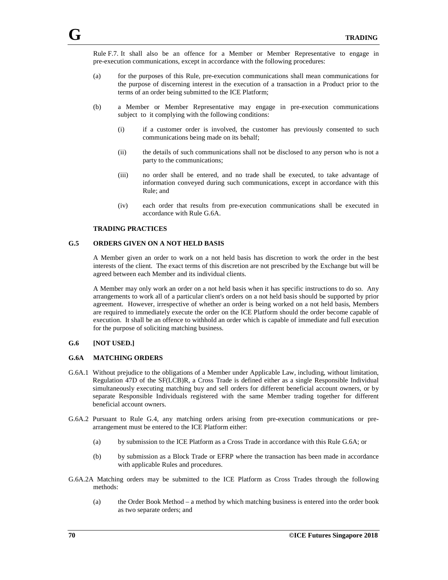Rule F.7. It shall also be an offence for a Member or Member Representative to engage in pre-execution communications, except in accordance with the following procedures:

- (a) for the purposes of this Rule, pre-execution communications shall mean communications for the purpose of discerning interest in the execution of a transaction in a Product prior to the terms of an order being submitted to the ICE Platform;
- (b) a Member or Member Representative may engage in pre-execution communications subject to it complying with the following conditions:
	- (i) if a customer order is involved, the customer has previously consented to such communications being made on its behalf;
	- (ii) the details of such communications shall not be disclosed to any person who is not a party to the communications;
	- (iii) no order shall be entered, and no trade shall be executed, to take advantage of information conveyed during such communications, except in accordance with this Rule; and
	- (iv) each order that results from pre-execution communications shall be executed in accordance with Rule G.6A.

#### **TRADING PRACTICES**

# **G.5 ORDERS GIVEN ON A NOT HELD BASIS**

A Member given an order to work on a not held basis has discretion to work the order in the best interests of the client. The exact terms of this discretion are not prescribed by the Exchange but will be agreed between each Member and its individual clients.

A Member may only work an order on a not held basis when it has specific instructions to do so. Any arrangements to work all of a particular client's orders on a not held basis should be supported by prior agreement. However, irrespective of whether an order is being worked on a not held basis, Members are required to immediately execute the order on the ICE Platform should the order become capable of execution. It shall be an offence to withhold an order which is capable of immediate and full execution for the purpose of soliciting matching business.

# **G.6 [NOT USED.]**

### **G.6A MATCHING ORDERS**

- G.6A.1 Without prejudice to the obligations of a Member under Applicable Law, including, without limitation, Regulation 47D of the SF(LCB)R, a Cross Trade is defined either as a single Responsible Individual simultaneously executing matching buy and sell orders for different beneficial account owners, or by separate Responsible Individuals registered with the same Member trading together for different beneficial account owners.
- G.6A.2 Pursuant to Rule G.4, any matching orders arising from pre-execution communications or prearrangement must be entered to the ICE Platform either:
	- (a) by submission to the ICE Platform as a Cross Trade in accordance with this Rule G.6A; or
	- (b) by submission as a Block Trade or EFRP where the transaction has been made in accordance with applicable Rules and procedures.
- G.6A.2A Matching orders may be submitted to the ICE Platform as Cross Trades through the following methods:
	- (a) the Order Book Method a method by which matching business is entered into the order book as two separate orders; and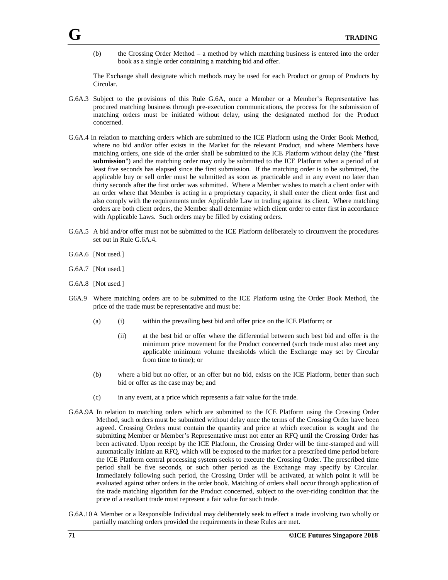(b) the Crossing Order Method – a method by which matching business is entered into the order book as a single order containing a matching bid and offer.

The Exchange shall designate which methods may be used for each Product or group of Products by Circular.

- G.6A.3 Subject to the provisions of this Rule G.6A, once a Member or a Member's Representative has procured matching business through pre-execution communications, the process for the submission of matching orders must be initiated without delay, using the designated method for the Product concerned.
- G.6A.4 In relation to matching orders which are submitted to the ICE Platform using the Order Book Method, where no bid and/or offer exists in the Market for the relevant Product, and where Members have matching orders, one side of the order shall be submitted to the ICE Platform without delay (the "**first submission**") and the matching order may only be submitted to the ICE Platform when a period of at least five seconds has elapsed since the first submission. If the matching order is to be submitted, the applicable buy or sell order must be submitted as soon as practicable and in any event no later than thirty seconds after the first order was submitted. Where a Member wishes to match a client order with an order where that Member is acting in a proprietary capacity, it shall enter the client order first and also comply with the requirements under Applicable Law in trading against its client. Where matching orders are both client orders, the Member shall determine which client order to enter first in accordance with Applicable Laws. Such orders may be filled by existing orders.
- G.6A.5 A bid and/or offer must not be submitted to the ICE Platform deliberately to circumvent the procedures set out in Rule G.6A.4.
- G.6A.6 [Not used.]
- G.6A.7 [Not used.]
- G.6A.8 [Not used.]
- G6A.9 Where matching orders are to be submitted to the ICE Platform using the Order Book Method, the price of the trade must be representative and must be:
	- (a) (i) within the prevailing best bid and offer price on the ICE Platform; or
		- (ii) at the best bid or offer where the differential between such best bid and offer is the minimum price movement for the Product concerned (such trade must also meet any applicable minimum volume thresholds which the Exchange may set by Circular from time to time); or
	- (b) where a bid but no offer, or an offer but no bid, exists on the ICE Platform, better than such bid or offer as the case may be; and
	- (c) in any event, at a price which represents a fair value for the trade.
- G.6A.9A In relation to matching orders which are submitted to the ICE Platform using the Crossing Order Method, such orders must be submitted without delay once the terms of the Crossing Order have been agreed. Crossing Orders must contain the quantity and price at which execution is sought and the submitting Member or Member's Representative must not enter an RFQ until the Crossing Order has been activated. Upon receipt by the ICE Platform, the Crossing Order will be time-stamped and will automatically initiate an RFQ, which will be exposed to the market for a prescribed time period before the ICE Platform central processing system seeks to execute the Crossing Order. The prescribed time period shall be five seconds, or such other period as the Exchange may specify by Circular. Immediately following such period, the Crossing Order will be activated, at which point it will be evaluated against other orders in the order book. Matching of orders shall occur through application of the trade matching algorithm for the Product concerned, subject to the over-riding condition that the price of a resultant trade must represent a fair value for such trade.
- G.6A.10 A Member or a Responsible Individual may deliberately seek to effect a trade involving two wholly or partially matching orders provided the requirements in these Rules are met.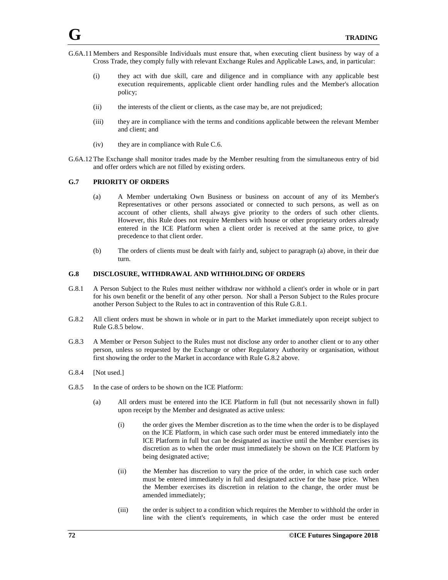- G.6A.11 Members and Responsible Individuals must ensure that, when executing client business by way of a Cross Trade, they comply fully with relevant Exchange Rules and Applicable Laws, and, in particular:
	- (i) they act with due skill, care and diligence and in compliance with any applicable best execution requirements, applicable client order handling rules and the Member's allocation policy;
	- (ii) the interests of the client or clients, as the case may be, are not prejudiced;
	- (iii) they are in compliance with the terms and conditions applicable between the relevant Member and client; and
	- (iv) they are in compliance with Rule C.6.
- G.6A.12 The Exchange shall monitor trades made by the Member resulting from the simultaneous entry of bid and offer orders which are not filled by existing orders.

### **G.7 PRIORITY OF ORDERS**

- (a) A Member undertaking Own Business or business on account of any of its Member's Representatives or other persons associated or connected to such persons, as well as on account of other clients, shall always give priority to the orders of such other clients. However, this Rule does not require Members with house or other proprietary orders already entered in the ICE Platform when a client order is received at the same price, to give precedence to that client order.
- (b) The orders of clients must be dealt with fairly and, subject to paragraph (a) above, in their due turn.

### **G.8 DISCLOSURE, WITHDRAWAL AND WITHHOLDING OF ORDERS**

- G.8.1 A Person Subject to the Rules must neither withdraw nor withhold a client's order in whole or in part for his own benefit or the benefit of any other person. Nor shall a Person Subject to the Rules procure another Person Subject to the Rules to act in contravention of this Rule G.8.1.
- G.8.2 All client orders must be shown in whole or in part to the Market immediately upon receipt subject to Rule G.8.5 below.
- G.8.3 A Member or Person Subject to the Rules must not disclose any order to another client or to any other person, unless so requested by the Exchange or other Regulatory Authority or organisation, without first showing the order to the Market in accordance with Rule G.8.2 above.
- G.8.4 [Not used.]
- G.8.5 In the case of orders to be shown on the ICE Platform:
	- (a) All orders must be entered into the ICE Platform in full (but not necessarily shown in full) upon receipt by the Member and designated as active unless:
		- (i) the order gives the Member discretion as to the time when the order is to be displayed on the ICE Platform, in which case such order must be entered immediately into the ICE Platform in full but can be designated as inactive until the Member exercises its discretion as to when the order must immediately be shown on the ICE Platform by being designated active;
		- (ii) the Member has discretion to vary the price of the order, in which case such order must be entered immediately in full and designated active for the base price. When the Member exercises its discretion in relation to the change, the order must be amended immediately;
		- (iii) the order is subject to a condition which requires the Member to withhold the order in line with the client's requirements, in which case the order must be entered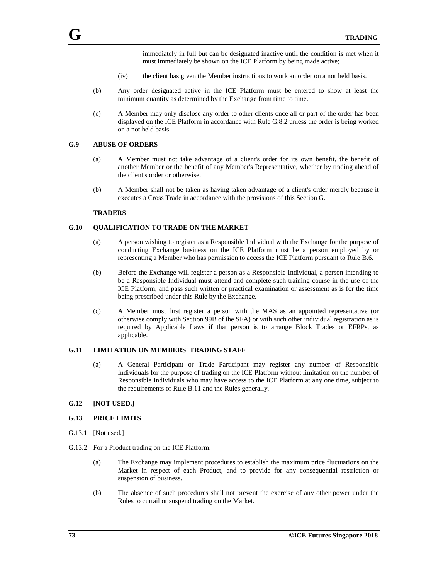immediately in full but can be designated inactive until the condition is met when it must immediately be shown on the ICE Platform by being made active;

- (iv) the client has given the Member instructions to work an order on a not held basis.
- (b) Any order designated active in the ICE Platform must be entered to show at least the minimum quantity as determined by the Exchange from time to time.
- (c) A Member may only disclose any order to other clients once all or part of the order has been displayed on the ICE Platform in accordance with Rule G.8.2 unless the order is being worked on a not held basis.

### **G.9 ABUSE OF ORDERS**

- (a) A Member must not take advantage of a client's order for its own benefit, the benefit of another Member or the benefit of any Member's Representative, whether by trading ahead of the client's order or otherwise.
- (b) A Member shall not be taken as having taken advantage of a client's order merely because it executes a Cross Trade in accordance with the provisions of this Section G.

#### **TRADERS**

## **G.10 QUALIFICATION TO TRADE ON THE MARKET**

- (a) A person wishing to register as a Responsible Individual with the Exchange for the purpose of conducting Exchange business on the ICE Platform must be a person employed by or representing a Member who has permission to access the ICE Platform pursuant to Rule B.6.
- (b) Before the Exchange will register a person as a Responsible Individual, a person intending to be a Responsible Individual must attend and complete such training course in the use of the ICE Platform, and pass such written or practical examination or assessment as is for the time being prescribed under this Rule by the Exchange.
- (c) A Member must first register a person with the MAS as an appointed representative (or otherwise comply with Section 99B of the SFA) or with such other individual registration as is required by Applicable Laws if that person is to arrange Block Trades or EFRPs, as applicable.

#### **G.11 LIMITATION ON MEMBERS' TRADING STAFF**

(a) A General Participant or Trade Participant may register any number of Responsible Individuals for the purpose of trading on the ICE Platform without limitation on the number of Responsible Individuals who may have access to the ICE Platform at any one time, subject to the requirements of Rule B.11 and the Rules generally.

### **G.12 [NOT USED.]**

#### **G.13 PRICE LIMITS**

- G.13.1 [Not used.]
- G.13.2 For a Product trading on the ICE Platform:
	- (a) The Exchange may implement procedures to establish the maximum price fluctuations on the Market in respect of each Product, and to provide for any consequential restriction or suspension of business.
	- (b) The absence of such procedures shall not prevent the exercise of any other power under the Rules to curtail or suspend trading on the Market.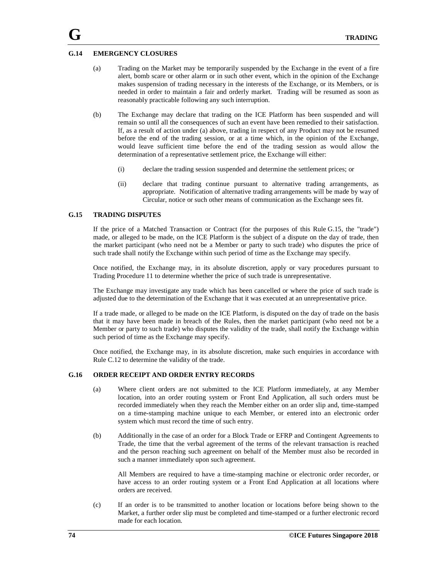#### **G.14 EMERGENCY CLOSURES**

- (a) Trading on the Market may be temporarily suspended by the Exchange in the event of a fire alert, bomb scare or other alarm or in such other event, which in the opinion of the Exchange makes suspension of trading necessary in the interests of the Exchange, or its Members, or is needed in order to maintain a fair and orderly market. Trading will be resumed as soon as reasonably practicable following any such interruption.
- (b) The Exchange may declare that trading on the ICE Platform has been suspended and will remain so until all the consequences of such an event have been remedied to their satisfaction. If, as a result of action under (a) above, trading in respect of any Product may not be resumed before the end of the trading session, or at a time which, in the opinion of the Exchange, would leave sufficient time before the end of the trading session as would allow the determination of a representative settlement price, the Exchange will either:
	- (i) declare the trading session suspended and determine the settlement prices; or
	- (ii) declare that trading continue pursuant to alternative trading arrangements, as appropriate. Notification of alternative trading arrangements will be made by way of Circular, notice or such other means of communication as the Exchange sees fit.

#### **G.15 TRADING DISPUTES**

If the price of a Matched Transaction or Contract (for the purposes of this Rule G.15, the "trade") made, or alleged to be made, on the ICE Platform is the subject of a dispute on the day of trade, then the market participant (who need not be a Member or party to such trade) who disputes the price of such trade shall notify the Exchange within such period of time as the Exchange may specify.

Once notified, the Exchange may, in its absolute discretion, apply or vary procedures pursuant to Trading Procedure 11 to determine whether the price of such trade is unrepresentative.

The Exchange may investigate any trade which has been cancelled or where the price of such trade is adjusted due to the determination of the Exchange that it was executed at an unrepresentative price.

If a trade made, or alleged to be made on the ICE Platform, is disputed on the day of trade on the basis that it may have been made in breach of the Rules, then the market participant (who need not be a Member or party to such trade) who disputes the validity of the trade, shall notify the Exchange within such period of time as the Exchange may specify.

Once notified, the Exchange may, in its absolute discretion, make such enquiries in accordance with Rule C.12 to determine the validity of the trade.

#### **G.16 ORDER RECEIPT AND ORDER ENTRY RECORDS**

- (a) Where client orders are not submitted to the ICE Platform immediately, at any Member location, into an order routing system or Front End Application, all such orders must be recorded immediately when they reach the Member either on an order slip and, time-stamped on a time-stamping machine unique to each Member, or entered into an electronic order system which must record the time of such entry.
- (b) Additionally in the case of an order for a Block Trade or EFRP and Contingent Agreements to Trade, the time that the verbal agreement of the terms of the relevant transaction is reached and the person reaching such agreement on behalf of the Member must also be recorded in such a manner immediately upon such agreement.

All Members are required to have a time-stamping machine or electronic order recorder, or have access to an order routing system or a Front End Application at all locations where orders are received.

(c) If an order is to be transmitted to another location or locations before being shown to the Market, a further order slip must be completed and time-stamped or a further electronic record made for each location.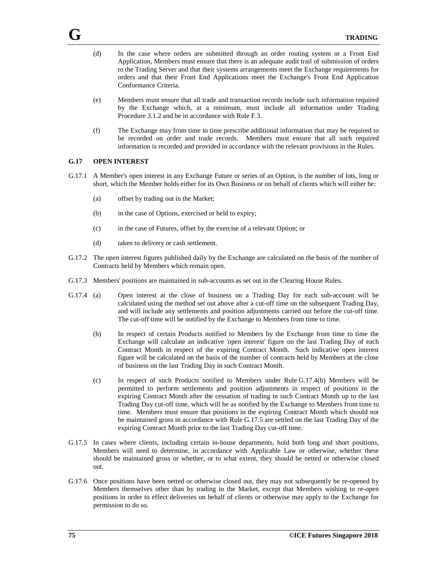- (d) In the case where orders are submitted through an order routing system or a Front End Application, Members must ensure that there is an adequate audit trail of submission of orders to the Trading Server and that their systems arrangements meet the Exchange requirements for orders and that their Front End Applications meet the Exchange's Front End Application Conformance Criteria.
- (e) Members must ensure that all trade and transaction records include such information required by the Exchange which, at a minimum, must include all information under Trading Procedure 3.1.2 and be in accordance with Rule F.3.
- (f) The Exchange may from time to time prescribe additional information that may be required to be recorded on order and trade records. Members must ensure that all such required information is recorded and provided in accordance with the relevant provisions in the Rules.

## **G.17 OPEN INTEREST**

- G.17.1 A Member's open interest in any Exchange Future or series of an Option, is the number of lots, long or short, which the Member holds either for its Own Business or on behalf of clients which will either be:
	- (a) offset by trading out in the Market;
	- (b) in the case of Options, exercised or held to expiry;
	- (c) in the case of Futures, offset by the exercise of a relevant Option; or
	- (d) taken to delivery or cash settlement.
- G.17.2 The open interest figures published daily by the Exchange are calculated on the basis of the number of Contracts held by Members which remain open.
- G.17.3 Members' positions are maintained in sub-accounts as set out in the Clearing House Rules.
- G.17.4 (a) Open interest at the close of business on a Trading Day for each sub-account will be calculated using the method set out above after a cut-off time on the subsequent Trading Day, and will include any settlements and position adjustments carried out before the cut-off time. The cut-off time will be notified by the Exchange to Members from time to time.
	- (b) In respect of certain Products notified to Members by the Exchange from time to time the Exchange will calculate an indicative 'open interest' figure on the last Trading Day of each Contract Month in respect of the expiring Contract Month. Such indicative open interest figure will be calculated on the basis of the number of contracts held by Members at the close of business on the last Trading Day in such Contract Month.
	- (c) In respect of such Products notified to Members under Rule G.17.4(b) Members will be permitted to perform settlements and position adjustments in respect of positions in the expiring Contract Month after the cessation of trading in such Contract Month up to the last Trading Day cut-off time, which will be as notified by the Exchange to Members from time to time. Members must ensure that positions in the expiring Contract Month which should not be maintained gross in accordance with Rule G.17.5 are settled on the last Trading Day of the expiring Contract Month prior to the last Trading Day cut-off time.
- G.17.5 In cases where clients, including certain in-house departments, hold both long and short positions, Members will need to determine, in accordance with Applicable Law or otherwise, whether these should be maintained gross or whether, or to what extent, they should be netted or otherwise closed out.
- G.17.6 Once positions have been netted or otherwise closed out, they may not subsequently be re-opened by Members themselves other than by trading in the Market, except that Members wishing to re-open positions in order to effect deliveries on behalf of clients or otherwise may apply to the Exchange for permission to do so.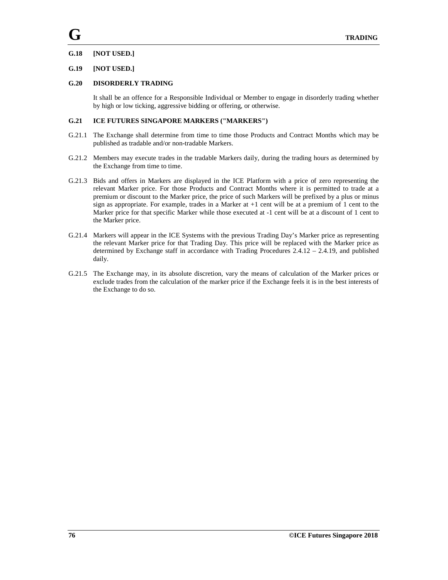# **G.18 [NOT USED.]**

## **G.19 [NOT USED.]**

## **G.20 DISORDERLY TRADING**

It shall be an offence for a Responsible Individual or Member to engage in disorderly trading whether by high or low ticking, aggressive bidding or offering, or otherwise.

## **G.21 ICE FUTURES SINGAPORE MARKERS ("MARKERS")**

- G.21.1 The Exchange shall determine from time to time those Products and Contract Months which may be published as tradable and/or non-tradable Markers.
- G.21.2 Members may execute trades in the tradable Markers daily, during the trading hours as determined by the Exchange from time to time.
- G.21.3 Bids and offers in Markers are displayed in the ICE Platform with a price of zero representing the relevant Marker price. For those Products and Contract Months where it is permitted to trade at a premium or discount to the Marker price, the price of such Markers will be prefixed by a plus or minus sign as appropriate. For example, trades in a Marker at  $+1$  cent will be at a premium of 1 cent to the Marker price for that specific Marker while those executed at -1 cent will be at a discount of 1 cent to the Marker price.
- G.21.4 Markers will appear in the ICE Systems with the previous Trading Day's Marker price as representing the relevant Marker price for that Trading Day. This price will be replaced with the Marker price as determined by Exchange staff in accordance with Trading Procedures 2.4.12 – 2.4.19, and published daily.
- G.21.5 The Exchange may, in its absolute discretion, vary the means of calculation of the Marker prices or exclude trades from the calculation of the marker price if the Exchange feels it is in the best interests of the Exchange to do so.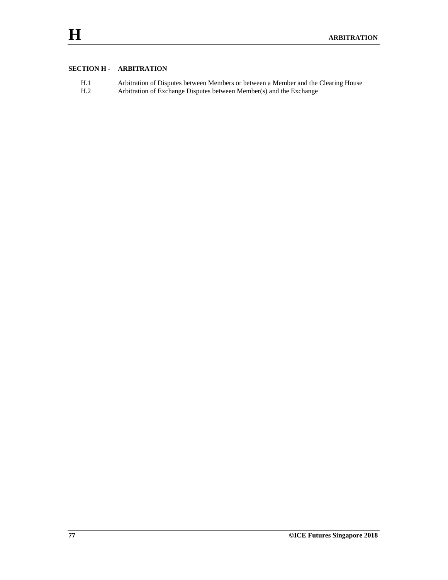# **SECTION H - ARBITRATION**

- H.1 Arbitration of Disputes between Members or between a Member and the Clearing House
- H.2 Arbitration of Exchange Disputes between Member(s) and the Exchange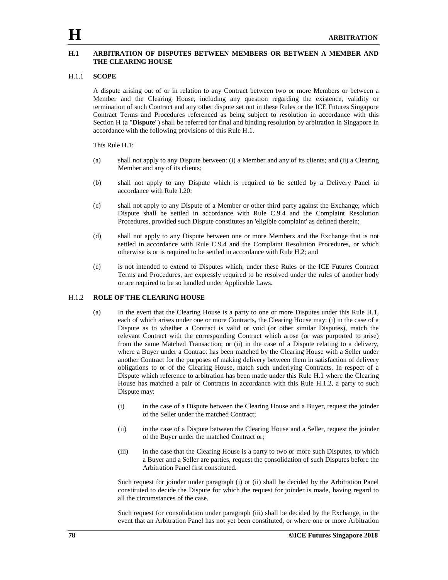### **H.1 ARBITRATION OF DISPUTES BETWEEN MEMBERS OR BETWEEN A MEMBER AND THE CLEARING HOUSE**

#### H.1.1 **SCOPE**

A dispute arising out of or in relation to any Contract between two or more Members or between a Member and the Clearing House, including any question regarding the existence, validity or termination of such Contract and any other dispute set out in these Rules or the ICE Futures Singapore Contract Terms and Procedures referenced as being subject to resolution in accordance with this Section H (a "**Dispute**") shall be referred for final and binding resolution by arbitration in Singapore in accordance with the following provisions of this Rule H.1.

This Rule H.1:

- (a) shall not apply to any Dispute between: (i) a Member and any of its clients; and (ii) a Clearing Member and any of its clients;
- (b) shall not apply to any Dispute which is required to be settled by a Delivery Panel in accordance with Rule I.20;
- (c) shall not apply to any Dispute of a Member or other third party against the Exchange; which Dispute shall be settled in accordance with Rule C.9.4 and the Complaint Resolution Procedures, provided such Dispute constitutes an 'eligible complaint' as defined therein;
- (d) shall not apply to any Dispute between one or more Members and the Exchange that is not settled in accordance with Rule C.9.4 and the Complaint Resolution Procedures, or which otherwise is or is required to be settled in accordance with Rule H.2; and
- (e) is not intended to extend to Disputes which, under these Rules or the ICE Futures Contract Terms and Procedures, are expressly required to be resolved under the rules of another body or are required to be so handled under Applicable Laws.

### H.1.2 **ROLE OF THE CLEARING HOUSE**

- (a) In the event that the Clearing House is a party to one or more Disputes under this Rule H.1, each of which arises under one or more Contracts, the Clearing House may: (i) in the case of a Dispute as to whether a Contract is valid or void (or other similar Disputes), match the relevant Contract with the corresponding Contract which arose (or was purported to arise) from the same Matched Transaction; or (ii) in the case of a Dispute relating to a delivery, where a Buyer under a Contract has been matched by the Clearing House with a Seller under another Contract for the purposes of making delivery between them in satisfaction of delivery obligations to or of the Clearing House, match such underlying Contracts. In respect of a Dispute which reference to arbitration has been made under this Rule H.1 where the Clearing House has matched a pair of Contracts in accordance with this Rule H.1.2, a party to such Dispute may:
	- (i) in the case of a Dispute between the Clearing House and a Buyer, request the joinder of the Seller under the matched Contract;
	- (ii) in the case of a Dispute between the Clearing House and a Seller, request the joinder of the Buyer under the matched Contract or;
	- (iii) in the case that the Clearing House is a party to two or more such Disputes, to which a Buyer and a Seller are parties, request the consolidation of such Disputes before the Arbitration Panel first constituted.

Such request for joinder under paragraph (i) or (ii) shall be decided by the Arbitration Panel constituted to decide the Dispute for which the request for joinder is made, having regard to all the circumstances of the case.

Such request for consolidation under paragraph (iii) shall be decided by the Exchange, in the event that an Arbitration Panel has not yet been constituted, or where one or more Arbitration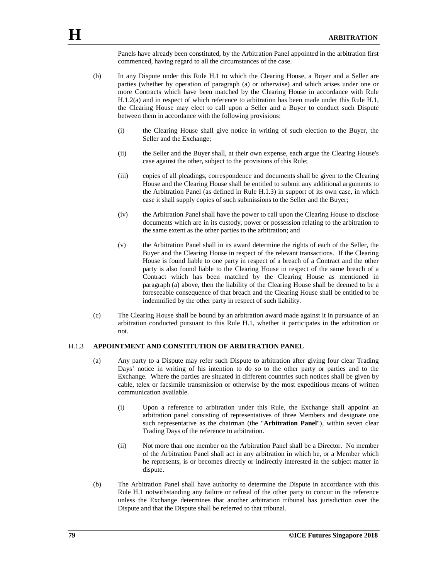Panels have already been constituted, by the Arbitration Panel appointed in the arbitration first commenced, having regard to all the circumstances of the case.

- (b) In any Dispute under this Rule H.1 to which the Clearing House, a Buyer and a Seller are parties (whether by operation of paragraph (a) or otherwise) and which arises under one or more Contracts which have been matched by the Clearing House in accordance with Rule H.1.2(a) and in respect of which reference to arbitration has been made under this Rule H.1, the Clearing House may elect to call upon a Seller and a Buyer to conduct such Dispute between them in accordance with the following provisions:
	- (i) the Clearing House shall give notice in writing of such election to the Buyer, the Seller and the Exchange;
	- (ii) the Seller and the Buyer shall, at their own expense, each argue the Clearing House's case against the other, subject to the provisions of this Rule;
	- (iii) copies of all pleadings, correspondence and documents shall be given to the Clearing House and the Clearing House shall be entitled to submit any additional arguments to the Arbitration Panel (as defined in Rule H.1.3) in support of its own case, in which case it shall supply copies of such submissions to the Seller and the Buyer;
	- (iv) the Arbitration Panel shall have the power to call upon the Clearing House to disclose documents which are in its custody, power or possession relating to the arbitration to the same extent as the other parties to the arbitration; and
	- (v) the Arbitration Panel shall in its award determine the rights of each of the Seller, the Buyer and the Clearing House in respect of the relevant transactions. If the Clearing House is found liable to one party in respect of a breach of a Contract and the other party is also found liable to the Clearing House in respect of the same breach of a Contract which has been matched by the Clearing House as mentioned in paragraph (a) above, then the liability of the Clearing House shall be deemed to be a foreseeable consequence of that breach and the Clearing House shall be entitled to be indemnified by the other party in respect of such liability.
- (c) The Clearing House shall be bound by an arbitration award made against it in pursuance of an arbitration conducted pursuant to this Rule H.1, whether it participates in the arbitration or not.

### H.1.3 **APPOINTMENT AND CONSTITUTION OF ARBITRATION PANEL**

- (a) Any party to a Dispute may refer such Dispute to arbitration after giving four clear Trading Days' notice in writing of his intention to do so to the other party or parties and to the Exchange. Where the parties are situated in different countries such notices shall be given by cable, telex or facsimile transmission or otherwise by the most expeditious means of written communication available.
	- (i) Upon a reference to arbitration under this Rule, the Exchange shall appoint an arbitration panel consisting of representatives of three Members and designate one such representative as the chairman (the "**Arbitration Panel**"), within seven clear Trading Days of the reference to arbitration.
	- (ii) Not more than one member on the Arbitration Panel shall be a Director. No member of the Arbitration Panel shall act in any arbitration in which he, or a Member which he represents, is or becomes directly or indirectly interested in the subject matter in dispute.
- (b) The Arbitration Panel shall have authority to determine the Dispute in accordance with this Rule H.1 notwithstanding any failure or refusal of the other party to concur in the reference unless the Exchange determines that another arbitration tribunal has jurisdiction over the Dispute and that the Dispute shall be referred to that tribunal.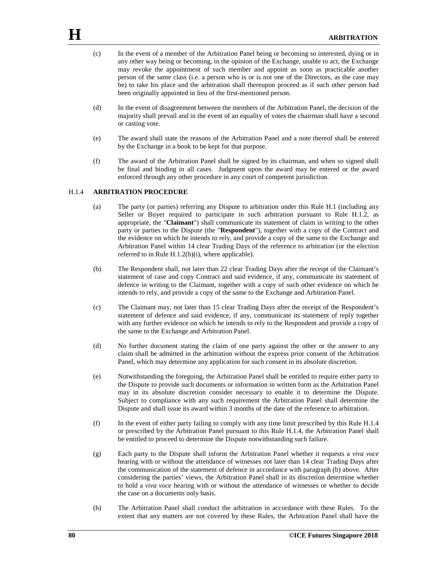- (c) In the event of a member of the Arbitration Panel being or becoming so interested, dying or in any other way being or becoming, in the opinion of the Exchange, unable to act, the Exchange may revoke the appointment of such member and appoint as soon as practicable another person of the same class (i.e. a person who is or is not one of the Directors, as the case may be) to take his place and the arbitration shall thereupon proceed as if such other person had been originally appointed in lieu of the first-mentioned person.
- (d) In the event of disagreement between the members of the Arbitration Panel, the decision of the majority shall prevail and in the event of an equality of votes the chairman shall have a second or casting vote.
- (e) The award shall state the reasons of the Arbitration Panel and a note thereof shall be entered by the Exchange in a book to be kept for that purpose.
- (f) The award of the Arbitration Panel shall be signed by its chairman, and when so signed shall be final and binding in all cases. Judgment upon the award may be entered or the award enforced through any other procedure in any court of competent jurisdiction.

### H.1.4 **ARBITRATION PROCEDURE**

- (a) The party (or parties) referring any Dispute to arbitration under this Rule H.1 (including any Seller or Buyer required to participate in such arbitration pursuant to Rule H.1.2, as appropriate, the "**Claimant**") shall communicate its statement of claim in writing to the other party or parties to the Dispute (the "**Respondent**"), together with a copy of the Contract and the evidence on which he intends to rely, and provide a copy of the same to the Exchange and Arbitration Panel within 14 clear Trading Days of the reference to arbitration (or the election referred to in Rule H.1.2(b)(i), where applicable).
- (b) The Respondent shall, not later than 22 clear Trading Days after the receipt of the Claimant's statement of case and copy Contract and said evidence, if any, communicate its statement of defence in writing to the Claimant, together with a copy of such other evidence on which he intends to rely, and provide a copy of the same to the Exchange and Arbitration Panel.
- (c) The Claimant may, not later than 15 clear Trading Days after the receipt of the Respondent's statement of defence and said evidence, if any, communicate its statement of reply together with any further evidence on which he intends to rely to the Respondent and provide a copy of the same to the Exchange and Arbitration Panel.
- (d) No further document stating the claim of one party against the other or the answer to any claim shall be admitted in the arbitration without the express prior consent of the Arbitration Panel, which may determine any application for such consent in its absolute discretion.
- (e) Notwithstanding the foregoing, the Arbitration Panel shall be entitled to require either party to the Dispute to provide such documents or information in written form as the Arbitration Panel may in its absolute discretion consider necessary to enable it to determine the Dispute. Subject to compliance with any such requirement the Arbitration Panel shall determine the Dispute and shall issue its award within 3 months of the date of the reference to arbitration.
- (f) In the event of either party failing to comply with any time limit prescribed by this Rule H.1.4 or prescribed by the Arbitration Panel pursuant to this Rule H.1.4, the Arbitration Panel shall be entitled to proceed to determine the Dispute notwithstanding such failure.
- (g) Each party to the Dispute shall inform the Arbitration Panel whether it requests a *viva voce* hearing with or without the attendance of witnesses not later than 14 clear Trading Days after the communication of the statement of defence in accordance with paragraph (b) above. After considering the parties' views, the Arbitration Panel shall in its discretion determine whether to hold a *viva voce* hearing with or without the attendance of witnesses or whether to decide the case on a documents only basis.
- (h) The Arbitration Panel shall conduct the arbitration in accordance with these Rules. To the extent that any matters are not covered by these Rules, the Arbitration Panel shall have the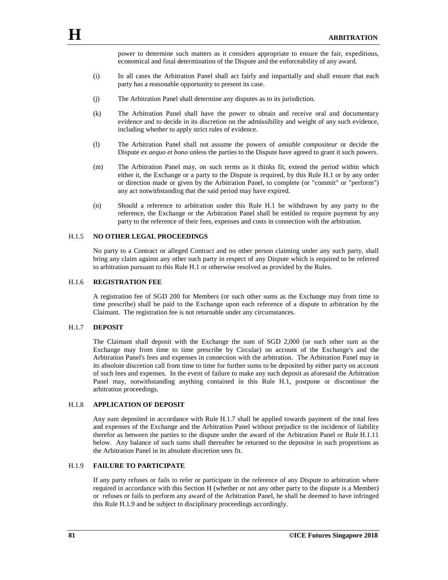power to determine such matters as it considers appropriate to ensure the fair, expeditious, economical and final determination of the Dispute and the enforceability of any award.

- (i) In all cases the Arbitration Panel shall act fairly and impartially and shall ensure that each party has a reasonable opportunity to present its case.
- (j) The Arbitration Panel shall determine any disputes as to its jurisdiction.
- (k) The Arbitration Panel shall have the power to obtain and receive oral and documentary evidence and to decide in its discretion on the admissibility and weight of any such evidence, including whether to apply strict rules of evidence.
- (l) The Arbitration Panel shall not assume the powers of *amiable compositeur* or decide the Dispute *ex aequo et bono* unless the parties to the Dispute have agreed to grant it such powers.
- (m) The Arbitration Panel may, on such terms as it thinks fit, extend the period within which either it, the Exchange or a party to the Dispute is required, by this Rule H.1 or by any order or direction made or given by the Arbitration Panel, to complete (or "commit" or "perform") any act notwithstanding that the said period may have expired.
- (n) Should a reference to arbitration under this Rule H.1 be withdrawn by any party to the reference, the Exchange or the Arbitration Panel shall be entitled to require payment by any party to the reference of their fees, expenses and costs in connection with the arbitration.

#### H.1.5 **NO OTHER LEGAL PROCEEDINGS**

No party to a Contract or alleged Contract and no other person claiming under any such party, shall bring any claim against any other such party in respect of any Dispute which is required to be referred to arbitration pursuant to this Rule H.1 or otherwise resolved as provided by the Rules.

#### H.1.6 **REGISTRATION FEE**

A registration fee of SGD 200 for Members (or such other sums as the Exchange may from time to time prescribe) shall be paid to the Exchange upon each reference of a dispute to arbitration by the Claimant. The registration fee is not returnable under any circumstances.

#### H.1.7 **DEPOSIT**

The Claimant shall deposit with the Exchange the sum of SGD 2,000 (or such other sum as the Exchange may from time to time prescribe by Circular) on account of the Exchange's and the Arbitration Panel's fees and expenses in connection with the arbitration. The Arbitration Panel may in its absolute discretion call from time to time for further sums to be deposited by either party on account of such fees and expenses. In the event of failure to make any such deposit as aforesaid the Arbitration Panel may, notwithstanding anything contained in this Rule H.1, postpone or discontinue the arbitration proceedings.

### H.1.8 **APPLICATION OF DEPOSIT**

Any sum deposited in accordance with Rule H.1.7 shall be applied towards payment of the total fees and expenses of the Exchange and the Arbitration Panel without prejudice to the incidence of liability therefor as between the parties to the dispute under the award of the Arbitration Panel or Rule H.1.11 below. Any balance of such sums shall thereafter be returned to the depositor in such proportions as the Arbitration Panel in its absolute discretion sees fit.

### H.1.9 **FAILURE TO PARTICIPATE**

If any party refuses or fails to refer or participate in the reference of any Dispute to arbitration where required in accordance with this Section H (whether or not any other party to the dispute is a Member) or refuses or fails to perform any award of the Arbitration Panel, he shall be deemed to have infringed this Rule H.1.9 and be subject to disciplinary proceedings accordingly.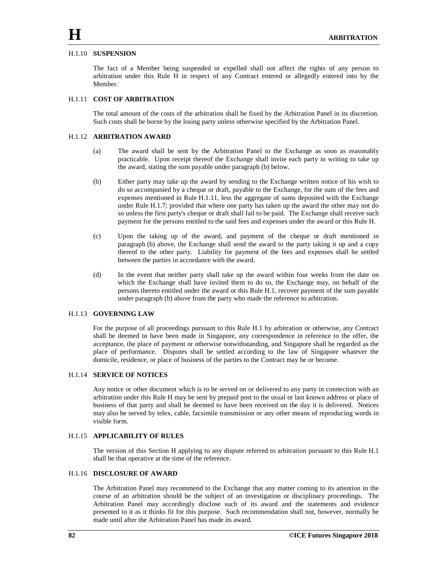## H.1.10 **SUSPENSION**

The fact of a Member being suspended or expelled shall not affect the rights of any person to arbitration under this Rule H in respect of any Contract entered or allegedly entered into by the Member.

### H.1.11 **COST OF ARBITRATION**

The total amount of the costs of the arbitration shall be fixed by the Arbitration Panel in its discretion. Such costs shall be borne by the losing party unless otherwise specified by the Arbitration Panel.

## H.1.12 **ARBITRATION AWARD**

- (a) The award shall be sent by the Arbitration Panel to the Exchange as soon as reasonably practicable. Upon receipt thereof the Exchange shall invite each party in writing to take up the award, stating the sum payable under paragraph (b) below.
- (b) Either party may take up the award by sending to the Exchange written notice of his wish to do so accompanied by a cheque or draft, payable to the Exchange, for the sum of the fees and expenses mentioned in Rule H.1.11, less the aggregate of sums deposited with the Exchange under Rule H.1.7; provided that where one party has taken up the award the other may not do so unless the first party's cheque or draft shall fail to be paid. The Exchange shall receive such payment for the persons entitled to the said fees and expenses under the award or this Rule H.
- (c) Upon the taking up of the award, and payment of the cheque or draft mentioned in paragraph (b) above, the Exchange shall send the award to the party taking it up and a copy thereof to the other party. Liability for payment of the fees and expenses shall be settled between the parties in accordance with the award.
- (d) In the event that neither party shall take up the award within four weeks from the date on which the Exchange shall have invited them to do so, the Exchange may, on behalf of the persons thereto entitled under the award or this Rule H.1, recover payment of the sum payable under paragraph (b) above from the party who made the reference to arbitration.

### H.1.13 **GOVERNING LAW**

For the purpose of all proceedings pursuant to this Rule H.1 by arbitration or otherwise, any Contract shall be deemed to have been made in Singapore, any correspondence in reference to the offer, the acceptance, the place of payment or otherwise notwithstanding, and Singapore shall be regarded as the place of performance. Disputes shall be settled according to the law of Singapore whatever the domicile, residence, or place of business of the parties to the Contract may be or become.

### H.1.14 **SERVICE OF NOTICES**

Any notice or other document which is to be served on or delivered to any party in connection with an arbitration under this Rule H may be sent by prepaid post to the usual or last known address or place of business of that party and shall be deemed to have been received on the day it is delivered. Notices may also be served by telex, cable, facsimile transmission or any other means of reproducing words in visible form.

## H.1.15 **APPLICABILITY OF RULES**

The version of this Section H applying to any dispute referred to arbitration pursuant to this Rule H.1 shall be that operative at the time of the reference.

### H.1.16 **DISCLOSURE OF AWARD**

The Arbitration Panel may recommend to the Exchange that any matter coming to its attention in the course of an arbitration should be the subject of an investigation or disciplinary proceedings. The Arbitration Panel may accordingly disclose such of its award and the statements and evidence presented to it as it thinks fit for this purpose. Such recommendation shall not, however, normally be made until after the Arbitration Panel has made its award.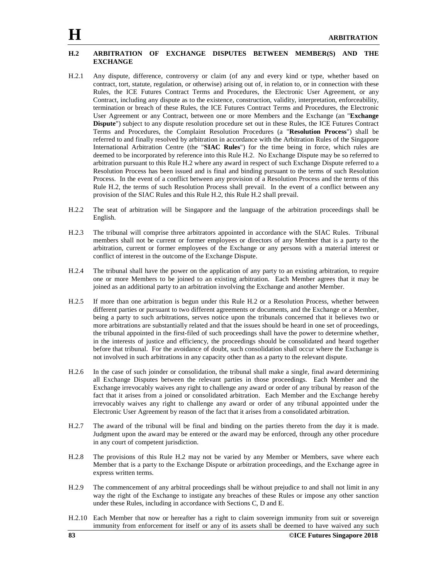### **H.2 ARBITRATION OF EXCHANGE DISPUTES BETWEEN MEMBER(S) AND THE EXCHANGE**

- H.2.1 Any dispute, difference, controversy or claim (of any and every kind or type, whether based on contract, tort, statute, regulation, or otherwise) arising out of, in relation to, or in connection with these Rules, the ICE Futures Contract Terms and Procedures, the Electronic User Agreement, or any Contract, including any dispute as to the existence, construction, validity, interpretation, enforceability, termination or breach of these Rules, the ICE Futures Contract Terms and Procedures, the Electronic User Agreement or any Contract, between one or more Members and the Exchange (an "**Exchange Dispute**") subject to any dispute resolution procedure set out in these Rules, the ICE Futures Contract Terms and Procedures, the Complaint Resolution Procedures (a "**Resolution Process**") shall be referred to and finally resolved by arbitration in accordance with the Arbitration Rules of the Singapore International Arbitration Centre (the "**SIAC Rules**") for the time being in force, which rules are deemed to be incorporated by reference into this Rule H.2. No Exchange Dispute may be so referred to arbitration pursuant to this Rule H.2 where any award in respect of such Exchange Dispute referred to a Resolution Process has been issued and is final and binding pursuant to the terms of such Resolution Process. In the event of a conflict between any provision of a Resolution Process and the terms of this Rule H.2, the terms of such Resolution Process shall prevail. In the event of a conflict between any provision of the SIAC Rules and this Rule H.2, this Rule H.2 shall prevail.
- H.2.2 The seat of arbitration will be Singapore and the language of the arbitration proceedings shall be English.
- H.2.3 The tribunal will comprise three arbitrators appointed in accordance with the SIAC Rules. Tribunal members shall not be current or former employees or directors of any Member that is a party to the arbitration, current or former employees of the Exchange or any persons with a material interest or conflict of interest in the outcome of the Exchange Dispute.
- H.2.4 The tribunal shall have the power on the application of any party to an existing arbitration, to require one or more Members to be joined to an existing arbitration. Each Member agrees that it may be joined as an additional party to an arbitration involving the Exchange and another Member.
- H.2.5 If more than one arbitration is begun under this Rule H.2 or a Resolution Process, whether between different parties or pursuant to two different agreements or documents, and the Exchange or a Member, being a party to such arbitrations, serves notice upon the tribunals concerned that it believes two or more arbitrations are substantially related and that the issues should be heard in one set of proceedings, the tribunal appointed in the first-filed of such proceedings shall have the power to determine whether, in the interests of justice and efficiency, the proceedings should be consolidated and heard together before that tribunal. For the avoidance of doubt, such consolidation shall occur where the Exchange is not involved in such arbitrations in any capacity other than as a party to the relevant dispute.
- H.2.6 In the case of such joinder or consolidation, the tribunal shall make a single, final award determining all Exchange Disputes between the relevant parties in those proceedings. Each Member and the Exchange irrevocably waives any right to challenge any award or order of any tribunal by reason of the fact that it arises from a joined or consolidated arbitration. Each Member and the Exchange hereby irrevocably waives any right to challenge any award or order of any tribunal appointed under the Electronic User Agreement by reason of the fact that it arises from a consolidated arbitration.
- H.2.7 The award of the tribunal will be final and binding on the parties thereto from the day it is made. Judgment upon the award may be entered or the award may be enforced, through any other procedure in any court of competent jurisdiction.
- H.2.8 The provisions of this Rule H.2 may not be varied by any Member or Members, save where each Member that is a party to the Exchange Dispute or arbitration proceedings, and the Exchange agree in express written terms.
- H.2.9 The commencement of any arbitral proceedings shall be without prejudice to and shall not limit in any way the right of the Exchange to instigate any breaches of these Rules or impose any other sanction under these Rules, including in accordance with Sections C, D and E.
- H.2.10 Each Member that now or hereafter has a right to claim sovereign immunity from suit or sovereign immunity from enforcement for itself or any of its assets shall be deemed to have waived any such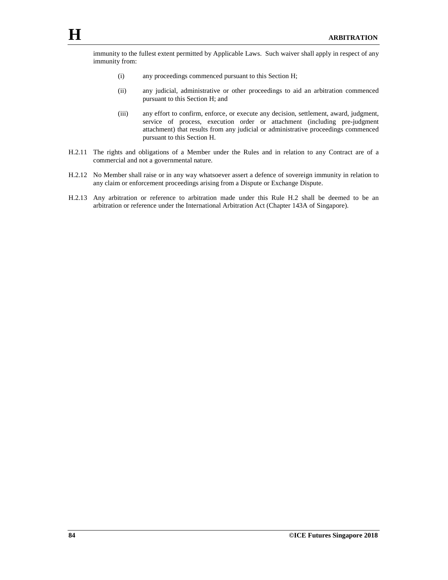immunity to the fullest extent permitted by Applicable Laws. Such waiver shall apply in respect of any immunity from:

- (i) any proceedings commenced pursuant to this Section H;
- (ii) any judicial, administrative or other proceedings to aid an arbitration commenced pursuant to this Section H; and
- (iii) any effort to confirm, enforce, or execute any decision, settlement, award, judgment, service of process, execution order or attachment (including pre-judgment attachment) that results from any judicial or administrative proceedings commenced pursuant to this Section H.
- H.2.11 The rights and obligations of a Member under the Rules and in relation to any Contract are of a commercial and not a governmental nature.
- H.2.12 No Member shall raise or in any way whatsoever assert a defence of sovereign immunity in relation to any claim or enforcement proceedings arising from a Dispute or Exchange Dispute.
- H.2.13 Any arbitration or reference to arbitration made under this Rule H.2 shall be deemed to be an arbitration or reference under the International Arbitration Act (Chapter 143A of Singapore).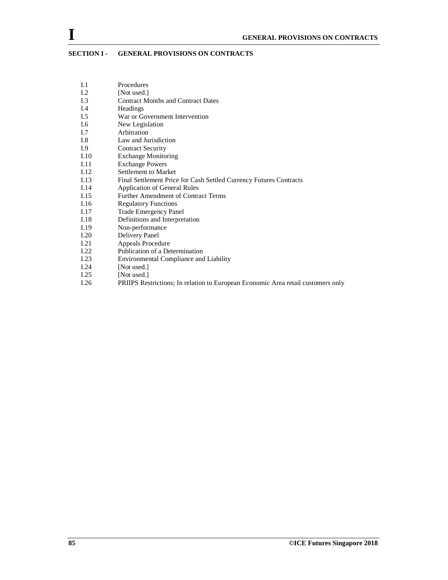# **SECTION I - GENERAL PROVISIONS ON CONTRACTS**

- I.1 Procedures<br>I.2 [Not used.] [Not used.] I.3 Contract Months and Contract Dates
- 
- I.4 Headings<br>I.5 War or Go
- War or Government Intervention
- I.6 New Legislation<br>I.7 Arbitration
- Arbitration
- I.8 Law and Jurisdiction
- I.9 Contract Security<br>I.10 Exchange Monito
- Exchange Monitoring
- I.11 Exchange Powers
- I.12 Settlement to Market
- I.13 Final Settlement Price for Cash Settled Currency Futures Contracts
- I.14 Application of General Rules
- I.15 Further Amendment of Contract Terms
- I.16 Regulatory Functions<br>I.17 Trade Emergency Pane
- Trade Emergency Panel
- I.18 Definitions and Interpretation<br>I.19 Non-performance
- I.19 Non-performance<br>I.20 Delivery Panel
- I.20 Delivery Panel<br>I.21 Appeals Proced
- I.21 Appeals Procedure<br>I.22 Publication of a De
- Publication of a Determination
- I.23 Environmental Compliance and Liability<br>I.24 [Not used.]
- [Not used.]
- I.25 [Not used.]<br>I.26 PRIIPS Res
- PRIIPS Restrictions; In relation to European Economic Area retail customers only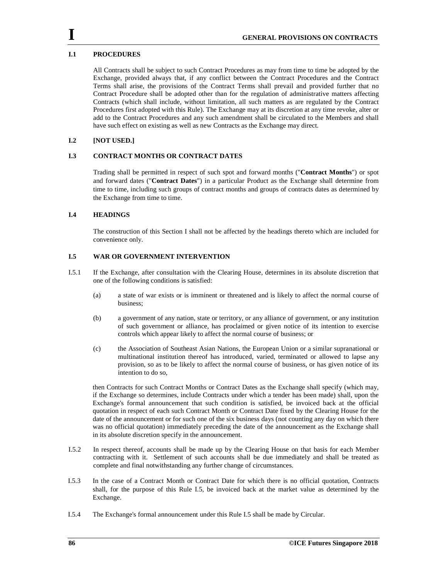### **I.1 PROCEDURES**

All Contracts shall be subject to such Contract Procedures as may from time to time be adopted by the Exchange, provided always that, if any conflict between the Contract Procedures and the Contract Terms shall arise, the provisions of the Contract Terms shall prevail and provided further that no Contract Procedure shall be adopted other than for the regulation of administrative matters affecting Contracts (which shall include, without limitation, all such matters as are regulated by the Contract Procedures first adopted with this Rule). The Exchange may at its discretion at any time revoke, alter or add to the Contract Procedures and any such amendment shall be circulated to the Members and shall have such effect on existing as well as new Contracts as the Exchange may direct.

### **I.2 [NOT USED.]**

### **I.3 CONTRACT MONTHS OR CONTRACT DATES**

Trading shall be permitted in respect of such spot and forward months ("**Contract Months**") or spot and forward dates ("**Contract Dates**") in a particular Product as the Exchange shall determine from time to time, including such groups of contract months and groups of contracts dates as determined by the Exchange from time to time.

### **I.4 HEADINGS**

The construction of this Section I shall not be affected by the headings thereto which are included for convenience only.

### **I.5 WAR OR GOVERNMENT INTERVENTION**

- I.5.1 If the Exchange, after consultation with the Clearing House, determines in its absolute discretion that one of the following conditions is satisfied:
	- (a) a state of war exists or is imminent or threatened and is likely to affect the normal course of business;
	- (b) a government of any nation, state or territory, or any alliance of government, or any institution of such government or alliance, has proclaimed or given notice of its intention to exercise controls which appear likely to affect the normal course of business; or
	- (c) the Association of Southeast Asian Nations, the European Union or a similar supranational or multinational institution thereof has introduced, varied, terminated or allowed to lapse any provision, so as to be likely to affect the normal course of business, or has given notice of its intention to do so,

then Contracts for such Contract Months or Contract Dates as the Exchange shall specify (which may, if the Exchange so determines, include Contracts under which a tender has been made) shall, upon the Exchange's formal announcement that such condition is satisfied, be invoiced back at the official quotation in respect of each such Contract Month or Contract Date fixed by the Clearing House for the date of the announcement or for such one of the six business days (not counting any day on which there was no official quotation) immediately preceding the date of the announcement as the Exchange shall in its absolute discretion specify in the announcement.

- I.5.2 In respect thereof, accounts shall be made up by the Clearing House on that basis for each Member contracting with it. Settlement of such accounts shall be due immediately and shall be treated as complete and final notwithstanding any further change of circumstances.
- I.5.3 In the case of a Contract Month or Contract Date for which there is no official quotation, Contracts shall, for the purpose of this Rule I.5, be invoiced back at the market value as determined by the Exchange.
- I.5.4 The Exchange's formal announcement under this Rule I.5 shall be made by Circular.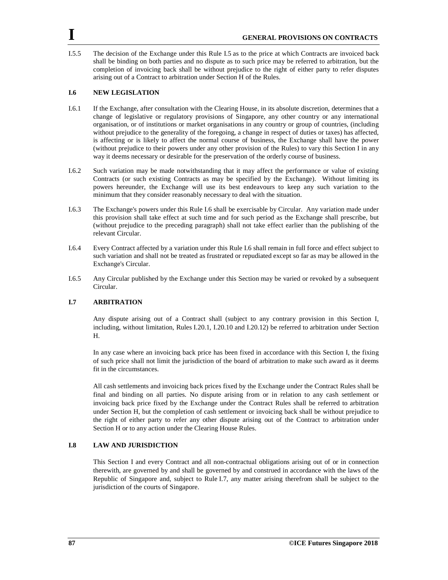I.5.5 The decision of the Exchange under this Rule I.5 as to the price at which Contracts are invoiced back shall be binding on both parties and no dispute as to such price may be referred to arbitration, but the completion of invoicing back shall be without prejudice to the right of either party to refer disputes arising out of a Contract to arbitration under Section H of the Rules.

### **I.6 NEW LEGISLATION**

- I.6.1 If the Exchange, after consultation with the Clearing House, in its absolute discretion, determines that a change of legislative or regulatory provisions of Singapore, any other country or any international organisation, or of institutions or market organisations in any country or group of countries, (including without prejudice to the generality of the foregoing, a change in respect of duties or taxes) has affected, is affecting or is likely to affect the normal course of business, the Exchange shall have the power (without prejudice to their powers under any other provision of the Rules) to vary this Section I in any way it deems necessary or desirable for the preservation of the orderly course of business.
- I.6.2 Such variation may be made notwithstanding that it may affect the performance or value of existing Contracts (or such existing Contracts as may be specified by the Exchange). Without limiting its powers hereunder, the Exchange will use its best endeavours to keep any such variation to the minimum that they consider reasonably necessary to deal with the situation.
- I.6.3 The Exchange's powers under this Rule I.6 shall be exercisable by Circular. Any variation made under this provision shall take effect at such time and for such period as the Exchange shall prescribe, but (without prejudice to the preceding paragraph) shall not take effect earlier than the publishing of the relevant Circular.
- I.6.4 Every Contract affected by a variation under this Rule I.6 shall remain in full force and effect subject to such variation and shall not be treated as frustrated or repudiated except so far as may be allowed in the Exchange's Circular.
- I.6.5 Any Circular published by the Exchange under this Section may be varied or revoked by a subsequent Circular.

## **I.7 ARBITRATION**

Any dispute arising out of a Contract shall (subject to any contrary provision in this Section I, including, without limitation, Rules I.20.1, I.20.10 and I.20.12) be referred to arbitration under Section H.

In any case where an invoicing back price has been fixed in accordance with this Section I, the fixing of such price shall not limit the jurisdiction of the board of arbitration to make such award as it deems fit in the circumstances.

All cash settlements and invoicing back prices fixed by the Exchange under the Contract Rules shall be final and binding on all parties. No dispute arising from or in relation to any cash settlement or invoicing back price fixed by the Exchange under the Contract Rules shall be referred to arbitration under Section H, but the completion of cash settlement or invoicing back shall be without prejudice to the right of either party to refer any other dispute arising out of the Contract to arbitration under Section H or to any action under the Clearing House Rules.

### **I.8 LAW AND JURISDICTION**

This Section I and every Contract and all non-contractual obligations arising out of or in connection therewith, are governed by and shall be governed by and construed in accordance with the laws of the Republic of Singapore and, subject to Rule I.7, any matter arising therefrom shall be subject to the jurisdiction of the courts of Singapore.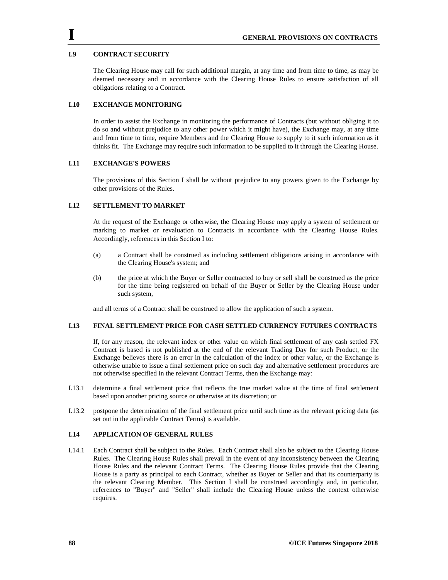### **I.9 CONTRACT SECURITY**

The Clearing House may call for such additional margin, at any time and from time to time, as may be deemed necessary and in accordance with the Clearing House Rules to ensure satisfaction of all obligations relating to a Contract.

## **I.10 EXCHANGE MONITORING**

In order to assist the Exchange in monitoring the performance of Contracts (but without obliging it to do so and without prejudice to any other power which it might have), the Exchange may, at any time and from time to time, require Members and the Clearing House to supply to it such information as it thinks fit. The Exchange may require such information to be supplied to it through the Clearing House.

### **I.11 EXCHANGE'S POWERS**

The provisions of this Section I shall be without prejudice to any powers given to the Exchange by other provisions of the Rules.

### **I.12 SETTLEMENT TO MARKET**

At the request of the Exchange or otherwise, the Clearing House may apply a system of settlement or marking to market or revaluation to Contracts in accordance with the Clearing House Rules. Accordingly, references in this Section I to:

- (a) a Contract shall be construed as including settlement obligations arising in accordance with the Clearing House's system; and
- (b) the price at which the Buyer or Seller contracted to buy or sell shall be construed as the price for the time being registered on behalf of the Buyer or Seller by the Clearing House under such system,

and all terms of a Contract shall be construed to allow the application of such a system.

## **I.13 FINAL SETTLEMENT PRICE FOR CASH SETTLED CURRENCY FUTURES CONTRACTS**

If, for any reason, the relevant index or other value on which final settlement of any cash settled FX Contract is based is not published at the end of the relevant Trading Day for such Product, or the Exchange believes there is an error in the calculation of the index or other value, or the Exchange is otherwise unable to issue a final settlement price on such day and alternative settlement procedures are not otherwise specified in the relevant Contract Terms, then the Exchange may:

- I.13.1 determine a final settlement price that reflects the true market value at the time of final settlement based upon another pricing source or otherwise at its discretion; or
- I.13.2 postpone the determination of the final settlement price until such time as the relevant pricing data (as set out in the applicable Contract Terms) is available.

## **I.14 APPLICATION OF GENERAL RULES**

I.14.1 Each Contract shall be subject to the Rules. Each Contract shall also be subject to the Clearing House Rules. The Clearing House Rules shall prevail in the event of any inconsistency between the Clearing House Rules and the relevant Contract Terms. The Clearing House Rules provide that the Clearing House is a party as principal to each Contract, whether as Buyer or Seller and that its counterparty is the relevant Clearing Member. This Section I shall be construed accordingly and, in particular, references to "Buyer" and "Seller" shall include the Clearing House unless the context otherwise requires.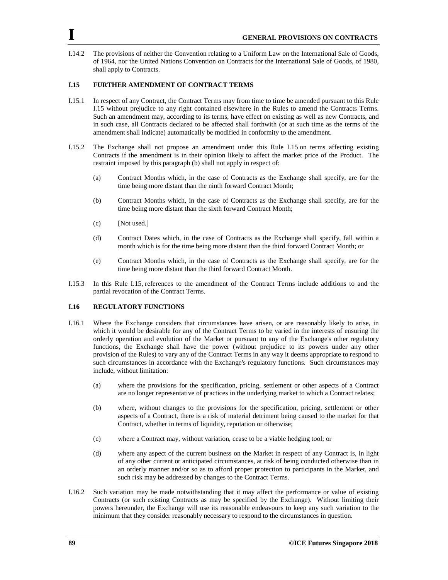

I.14.2 The provisions of neither the Convention relating to a Uniform Law on the International Sale of Goods, of 1964, nor the United Nations Convention on Contracts for the International Sale of Goods, of 1980, shall apply to Contracts.

## **I.15 FURTHER AMENDMENT OF CONTRACT TERMS**

- I.15.1 In respect of any Contract, the Contract Terms may from time to time be amended pursuant to this Rule I.15 without prejudice to any right contained elsewhere in the Rules to amend the Contracts Terms. Such an amendment may, according to its terms, have effect on existing as well as new Contracts, and in such case, all Contracts declared to be affected shall forthwith (or at such time as the terms of the amendment shall indicate) automatically be modified in conformity to the amendment.
- I.15.2 The Exchange shall not propose an amendment under this Rule I.15 on terms affecting existing Contracts if the amendment is in their opinion likely to affect the market price of the Product. The restraint imposed by this paragraph (b) shall not apply in respect of:
	- (a) Contract Months which, in the case of Contracts as the Exchange shall specify, are for the time being more distant than the ninth forward Contract Month;
	- (b) Contract Months which, in the case of Contracts as the Exchange shall specify, are for the time being more distant than the sixth forward Contract Month;
	- (c) [Not used.]
	- (d) Contract Dates which, in the case of Contracts as the Exchange shall specify, fall within a month which is for the time being more distant than the third forward Contract Month; or
	- (e) Contract Months which, in the case of Contracts as the Exchange shall specify, are for the time being more distant than the third forward Contract Month.
- I.15.3 In this Rule I.15, references to the amendment of the Contract Terms include additions to and the partial revocation of the Contract Terms.

### **I.16 REGULATORY FUNCTIONS**

- I.16.1 Where the Exchange considers that circumstances have arisen, or are reasonably likely to arise, in which it would be desirable for any of the Contract Terms to be varied in the interests of ensuring the orderly operation and evolution of the Market or pursuant to any of the Exchange's other regulatory functions, the Exchange shall have the power (without prejudice to its powers under any other provision of the Rules) to vary any of the Contract Terms in any way it deems appropriate to respond to such circumstances in accordance with the Exchange's regulatory functions. Such circumstances may include, without limitation:
	- (a) where the provisions for the specification, pricing, settlement or other aspects of a Contract are no longer representative of practices in the underlying market to which a Contract relates;
	- (b) where, without changes to the provisions for the specification, pricing, settlement or other aspects of a Contract, there is a risk of material detriment being caused to the market for that Contract, whether in terms of liquidity, reputation or otherwise;
	- (c) where a Contract may, without variation, cease to be a viable hedging tool; or
	- (d) where any aspect of the current business on the Market in respect of any Contract is, in light of any other current or anticipated circumstances, at risk of being conducted otherwise than in an orderly manner and/or so as to afford proper protection to participants in the Market, and such risk may be addressed by changes to the Contract Terms.
- I.16.2 Such variation may be made notwithstanding that it may affect the performance or value of existing Contracts (or such existing Contracts as may be specified by the Exchange). Without limiting their powers hereunder, the Exchange will use its reasonable endeavours to keep any such variation to the minimum that they consider reasonably necessary to respond to the circumstances in question.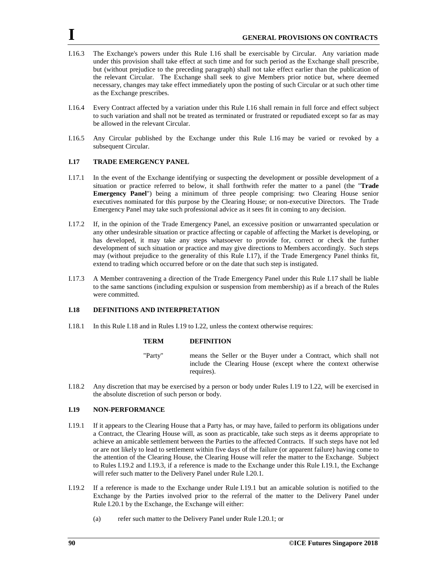- I.16.3 The Exchange's powers under this Rule I.16 shall be exercisable by Circular. Any variation made under this provision shall take effect at such time and for such period as the Exchange shall prescribe, but (without prejudice to the preceding paragraph) shall not take effect earlier than the publication of the relevant Circular. The Exchange shall seek to give Members prior notice but, where deemed necessary, changes may take effect immediately upon the posting of such Circular or at such other time as the Exchange prescribes.
- I.16.4 Every Contract affected by a variation under this Rule I.16 shall remain in full force and effect subject to such variation and shall not be treated as terminated or frustrated or repudiated except so far as may be allowed in the relevant Circular.
- I.16.5 Any Circular published by the Exchange under this Rule I.16 may be varied or revoked by a subsequent Circular.

### **I.17 TRADE EMERGENCY PANEL**

- I.17.1 In the event of the Exchange identifying or suspecting the development or possible development of a situation or practice referred to below, it shall forthwith refer the matter to a panel (the "**Trade Emergency Panel**") being a minimum of three people comprising: two Clearing House senior executives nominated for this purpose by the Clearing House; or non-executive Directors. The Trade Emergency Panel may take such professional advice as it sees fit in coming to any decision.
- I.17.2 If, in the opinion of the Trade Emergency Panel, an excessive position or unwarranted speculation or any other undesirable situation or practice affecting or capable of affecting the Market is developing, or has developed, it may take any steps whatsoever to provide for, correct or check the further development of such situation or practice and may give directions to Members accordingly. Such steps may (without prejudice to the generality of this Rule I.17), if the Trade Emergency Panel thinks fit, extend to trading which occurred before or on the date that such step is instigated.
- I.17.3 A Member contravening a direction of the Trade Emergency Panel under this Rule I.17 shall be liable to the same sanctions (including expulsion or suspension from membership) as if a breach of the Rules were committed.

## **I.18 DEFINITIONS AND INTERPRETATION**

I.18.1 In this Rule I.18 and in Rules I.19 to I.22, unless the context otherwise requires:

#### **TERM DEFINITION**

- "Party" means the Seller or the Buyer under a Contract, which shall not include the Clearing House (except where the context otherwise requires).
- I.18.2 Any discretion that may be exercised by a person or body under Rules I.19 to I.22, will be exercised in the absolute discretion of such person or body.

#### **I.19 NON-PERFORMANCE**

- I.19.1 If it appears to the Clearing House that a Party has, or may have, failed to perform its obligations under a Contract, the Clearing House will, as soon as practicable, take such steps as it deems appropriate to achieve an amicable settlement between the Parties to the affected Contracts. If such steps have not led or are not likely to lead to settlement within five days of the failure (or apparent failure) having come to the attention of the Clearing House, the Clearing House will refer the matter to the Exchange. Subject to Rules I.19.2 and I.19.3, if a reference is made to the Exchange under this Rule I.19.1, the Exchange will refer such matter to the Delivery Panel under Rule I.20.1.
- I.19.2 If a reference is made to the Exchange under Rule I.19.1 but an amicable solution is notified to the Exchange by the Parties involved prior to the referral of the matter to the Delivery Panel under Rule I.20.1 by the Exchange, the Exchange will either:
	- (a) refer such matter to the Delivery Panel under Rule I.20.1; or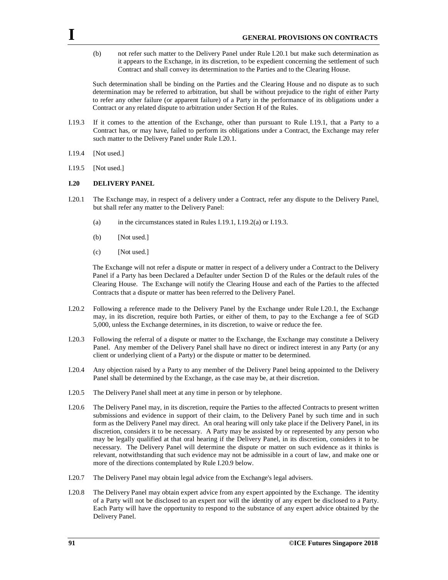(b) not refer such matter to the Delivery Panel under Rule I.20.1 but make such determination as it appears to the Exchange, in its discretion, to be expedient concerning the settlement of such Contract and shall convey its determination to the Parties and to the Clearing House.

Such determination shall be binding on the Parties and the Clearing House and no dispute as to such determination may be referred to arbitration, but shall be without prejudice to the right of either Party to refer any other failure (or apparent failure) of a Party in the performance of its obligations under a Contract or any related dispute to arbitration under Section H of the Rules.

- I.19.3 If it comes to the attention of the Exchange, other than pursuant to Rule I.19.1, that a Party to a Contract has, or may have, failed to perform its obligations under a Contract, the Exchange may refer such matter to the Delivery Panel under Rule I.20.1.
- I.19.4 [Not used.]
- I.19.5 [Not used.]

### **I.20 DELIVERY PANEL**

- I.20.1 The Exchange may, in respect of a delivery under a Contract, refer any dispute to the Delivery Panel, but shall refer any matter to the Delivery Panel:
	- (a) in the circumstances stated in Rules I.19.1, I.19.2(a) or I.19.3.
	- (b) [Not used.]
	- (c) [Not used.]

The Exchange will not refer a dispute or matter in respect of a delivery under a Contract to the Delivery Panel if a Party has been Declared a Defaulter under Section D of the Rules or the default rules of the Clearing House. The Exchange will notify the Clearing House and each of the Parties to the affected Contracts that a dispute or matter has been referred to the Delivery Panel.

- I.20.2 Following a reference made to the Delivery Panel by the Exchange under Rule I.20.1, the Exchange may, in its discretion, require both Parties, or either of them, to pay to the Exchange a fee of SGD 5,000, unless the Exchange determines, in its discretion, to waive or reduce the fee.
- I.20.3 Following the referral of a dispute or matter to the Exchange, the Exchange may constitute a Delivery Panel. Any member of the Delivery Panel shall have no direct or indirect interest in any Party (or any client or underlying client of a Party) or the dispute or matter to be determined.
- I.20.4 Any objection raised by a Party to any member of the Delivery Panel being appointed to the Delivery Panel shall be determined by the Exchange, as the case may be, at their discretion.
- I.20.5 The Delivery Panel shall meet at any time in person or by telephone.
- I.20.6 The Delivery Panel may, in its discretion, require the Parties to the affected Contracts to present written submissions and evidence in support of their claim, to the Delivery Panel by such time and in such form as the Delivery Panel may direct. An oral hearing will only take place if the Delivery Panel, in its discretion, considers it to be necessary. A Party may be assisted by or represented by any person who may be legally qualified at that oral hearing if the Delivery Panel, in its discretion, considers it to be necessary. The Delivery Panel will determine the dispute or matter on such evidence as it thinks is relevant, notwithstanding that such evidence may not be admissible in a court of law, and make one or more of the directions contemplated by Rule I.20.9 below.
- I.20.7 The Delivery Panel may obtain legal advice from the Exchange's legal advisers.
- I.20.8 The Delivery Panel may obtain expert advice from any expert appointed by the Exchange. The identity of a Party will not be disclosed to an expert nor will the identity of any expert be disclosed to a Party. Each Party will have the opportunity to respond to the substance of any expert advice obtained by the Delivery Panel.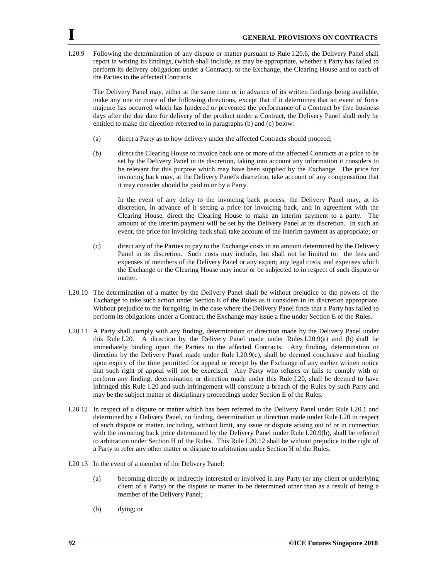I.20.9 Following the determination of any dispute or matter pursuant to Rule I.20.6, the Delivery Panel shall report in writing its findings, (which shall include, as may be appropriate, whether a Party has failed to perform its delivery obligations under a Contract), to the Exchange, the Clearing House and to each of the Parties to the affected Contracts.

The Delivery Panel may, either at the same time or in advance of its written findings being available, make any one or more of the following directions, except that if it determines that an event of force majeure has occurred which has hindered or prevented the performance of a Contract by five business days after the due date for delivery of the product under a Contract, the Delivery Panel shall only be entitled to make the direction referred to in paragraphs (b) and (c) below:

- (a) direct a Party as to how delivery under the affected Contracts should proceed;
- (b) direct the Clearing House to invoice back one or more of the affected Contracts at a price to be set by the Delivery Panel in its discretion, taking into account any information it considers to be relevant for this purpose which may have been supplied by the Exchange. The price for invoicing back may, at the Delivery Panel's discretion, take account of any compensation that it may consider should be paid to or by a Party.

In the event of any delay to the invoicing back process, the Delivery Panel may, at its discretion, in advance of it setting a price for invoicing back, and in agreement with the Clearing House, direct the Clearing House to make an interim payment to a party. The amount of the interim payment will be set by the Delivery Panel at its discretion. In such an event, the price for invoicing back shall take account of the interim payment as appropriate; or

- (c) direct any of the Parties to pay to the Exchange costs in an amount determined by the Delivery Panel in its discretion. Such costs may include, but shall not be limited to: the fees and expenses of members of the Delivery Panel or any expert; any legal costs; and expenses which the Exchange or the Clearing House may incur or be subjected to in respect of such dispute or matter.
- I.20.10 The determination of a matter by the Delivery Panel shall be without prejudice to the powers of the Exchange to take such action under Section E of the Rules as it considers in its discretion appropriate. Without prejudice to the foregoing, in the case where the Delivery Panel finds that a Party has failed to perform its obligations under a Contract, the Exchange may issue a fine under Section E of the Rules.
- I.20.11 A Party shall comply with any finding, determination or direction made by the Delivery Panel under this Rule I.20. A direction by the Delivery Panel made under Rules I.20.9(a) and (b) shall be immediately binding upon the Parties to the affected Contracts. Any finding, determination or direction by the Delivery Panel made under Rule I.20.9(c), shall be deemed conclusive and binding upon expiry of the time permitted for appeal or receipt by the Exchange of any earlier written notice that such right of appeal will not be exercised. Any Party who refuses or fails to comply with or perform any finding, determination or direction made under this Rule I.20, shall be deemed to have infringed this Rule I.20 and such infringement will constitute a breach of the Rules by such Party and may be the subject matter of disciplinary proceedings under Section E of the Rules.
- I.20.12 In respect of a dispute or matter which has been referred to the Delivery Panel under Rule I.20.1 and determined by a Delivery Panel, no finding, determination or direction made under Rule I.20 in respect of such dispute or matter, including, without limit, any issue or dispute arising out of or in connection with the invoicing back price determined by the Delivery Panel under Rule I.20.9(b), shall be referred to arbitration under Section H of the Rules. This Rule I.20.12 shall be without prejudice to the right of a Party to refer any other matter or dispute to arbitration under Section H of the Rules.
- I.20.13 In the event of a member of the Delivery Panel:
	- (a) becoming directly or indirectly interested or involved in any Party (or any client or underlying client of a Party) or the dispute or matter to be determined other than as a result of being a member of the Delivery Panel;
	- (b) dying; or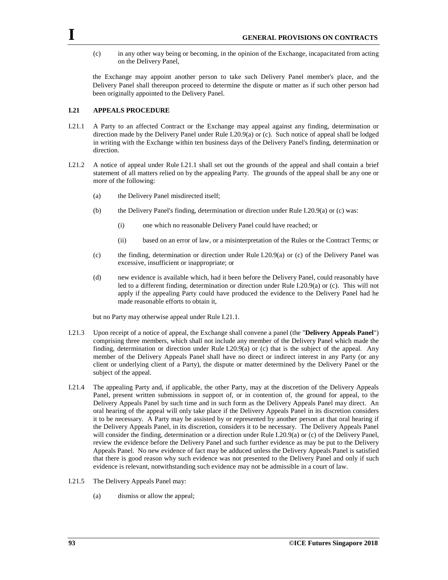(c) in any other way being or becoming, in the opinion of the Exchange, incapacitated from acting on the Delivery Panel,

the Exchange may appoint another person to take such Delivery Panel member's place, and the Delivery Panel shall thereupon proceed to determine the dispute or matter as if such other person had been originally appointed to the Delivery Panel.

### **I.21 APPEALS PROCEDURE**

- I.21.1 A Party to an affected Contract or the Exchange may appeal against any finding, determination or direction made by the Delivery Panel under Rule I.20.9(a) or (c). Such notice of appeal shall be lodged in writing with the Exchange within ten business days of the Delivery Panel's finding, determination or direction.
- I.21.2 A notice of appeal under Rule I.21.1 shall set out the grounds of the appeal and shall contain a brief statement of all matters relied on by the appealing Party. The grounds of the appeal shall be any one or more of the following:
	- (a) the Delivery Panel misdirected itself;
	- (b) the Delivery Panel's finding, determination or direction under Rule I.20.9(a) or (c) was:
		- (i) one which no reasonable Delivery Panel could have reached; or
		- (ii) based on an error of law, or a misinterpretation of the Rules or the Contract Terms; or
	- (c) the finding, determination or direction under Rule I.20.9(a) or (c) of the Delivery Panel was excessive, insufficient or inappropriate; or
	- (d) new evidence is available which, had it been before the Delivery Panel, could reasonably have led to a different finding, determination or direction under Rule I.20.9(a) or (c). This will not apply if the appealing Party could have produced the evidence to the Delivery Panel had he made reasonable efforts to obtain it,

but no Party may otherwise appeal under Rule I.21.1.

- I.21.3 Upon receipt of a notice of appeal, the Exchange shall convene a panel (the "**Delivery Appeals Panel**") comprising three members, which shall not include any member of the Delivery Panel which made the finding, determination or direction under Rule I.20.9(a) or (c) that is the subject of the appeal. Any member of the Delivery Appeals Panel shall have no direct or indirect interest in any Party (or any client or underlying client of a Party), the dispute or matter determined by the Delivery Panel or the subject of the appeal.
- I.21.4 The appealing Party and, if applicable, the other Party, may at the discretion of the Delivery Appeals Panel, present written submissions in support of, or in contention of, the ground for appeal, to the Delivery Appeals Panel by such time and in such form as the Delivery Appeals Panel may direct. An oral hearing of the appeal will only take place if the Delivery Appeals Panel in its discretion considers it to be necessary. A Party may be assisted by or represented by another person at that oral hearing if the Delivery Appeals Panel, in its discretion, considers it to be necessary. The Delivery Appeals Panel will consider the finding, determination or a direction under Rule I.20.9(a) or (c) of the Delivery Panel, review the evidence before the Delivery Panel and such further evidence as may be put to the Delivery Appeals Panel. No new evidence of fact may be adduced unless the Delivery Appeals Panel is satisfied that there is good reason why such evidence was not presented to the Delivery Panel and only if such evidence is relevant, notwithstanding such evidence may not be admissible in a court of law.
- I.21.5 The Delivery Appeals Panel may:
	- (a) dismiss or allow the appeal;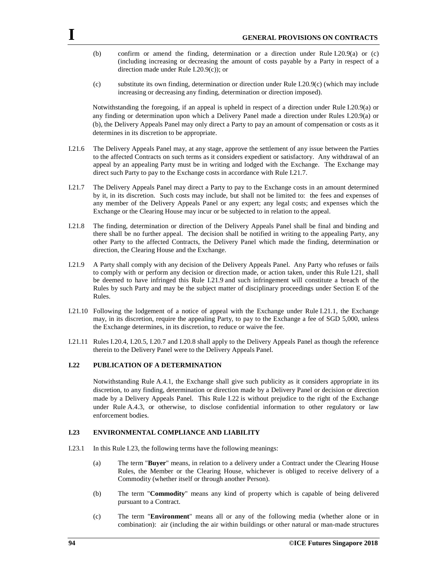- (b) confirm or amend the finding, determination or a direction under Rule I.20.9(a) or (c) (including increasing or decreasing the amount of costs payable by a Party in respect of a direction made under Rule I.20.9(c)); or
- (c) substitute its own finding, determination or direction under Rule I.20.9(c) (which may include increasing or decreasing any finding, determination or direction imposed).

Notwithstanding the foregoing, if an appeal is upheld in respect of a direction under Rule I.20.9(a) or any finding or determination upon which a Delivery Panel made a direction under Rules I.20.9(a) or (b), the Delivery Appeals Panel may only direct a Party to pay an amount of compensation or costs as it determines in its discretion to be appropriate.

- I.21.6 The Delivery Appeals Panel may, at any stage, approve the settlement of any issue between the Parties to the affected Contracts on such terms as it considers expedient or satisfactory. Any withdrawal of an appeal by an appealing Party must be in writing and lodged with the Exchange. The Exchange may direct such Party to pay to the Exchange costs in accordance with Rule I.21.7.
- I.21.7 The Delivery Appeals Panel may direct a Party to pay to the Exchange costs in an amount determined by it, in its discretion. Such costs may include, but shall not be limited to: the fees and expenses of any member of the Delivery Appeals Panel or any expert; any legal costs; and expenses which the Exchange or the Clearing House may incur or be subjected to in relation to the appeal.
- I.21.8 The finding, determination or direction of the Delivery Appeals Panel shall be final and binding and there shall be no further appeal. The decision shall be notified in writing to the appealing Party, any other Party to the affected Contracts, the Delivery Panel which made the finding, determination or direction, the Clearing House and the Exchange.
- I.21.9 A Party shall comply with any decision of the Delivery Appeals Panel. Any Party who refuses or fails to comply with or perform any decision or direction made, or action taken, under this Rule I.21, shall be deemed to have infringed this Rule I.21.9 and such infringement will constitute a breach of the Rules by such Party and may be the subject matter of disciplinary proceedings under Section E of the Rules.
- I.21.10 Following the lodgement of a notice of appeal with the Exchange under Rule I.21.1, the Exchange may, in its discretion, require the appealing Party, to pay to the Exchange a fee of SGD 5,000, unless the Exchange determines, in its discretion, to reduce or waive the fee.
- I.21.11 Rules I.20.4, I.20.5, I.20.7 and I.20.8 shall apply to the Delivery Appeals Panel as though the reference therein to the Delivery Panel were to the Delivery Appeals Panel.

### **I.22 PUBLICATION OF A DETERMINATION**

Notwithstanding Rule A.4.1, the Exchange shall give such publicity as it considers appropriate in its discretion, to any finding, determination or direction made by a Delivery Panel or decision or direction made by a Delivery Appeals Panel. This Rule I.22 is without prejudice to the right of the Exchange under Rule A.4.3, or otherwise, to disclose confidential information to other regulatory or law enforcement bodies.

### **I.23 ENVIRONMENTAL COMPLIANCE AND LIABILITY**

- I.23.1 In this Rule I.23, the following terms have the following meanings:
	- (a) The term "**Buyer**" means, in relation to a delivery under a Contract under the Clearing House Rules, the Member or the Clearing House, whichever is obliged to receive delivery of a Commodity (whether itself or through another Person).
	- (b) The term "**Commodity**" means any kind of property which is capable of being delivered pursuant to a Contract.
	- (c) The term "**Environment**" means all or any of the following media (whether alone or in combination): air (including the air within buildings or other natural or man-made structures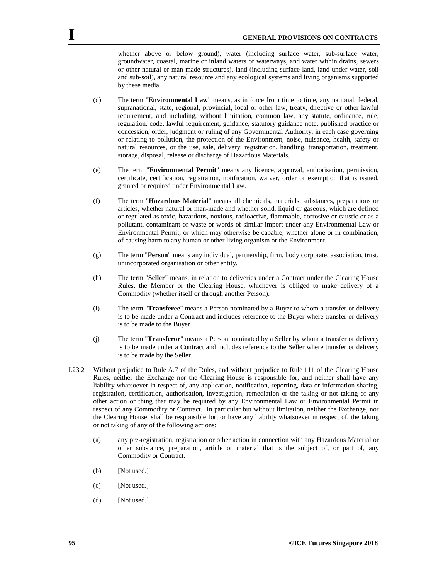whether above or below ground), water (including surface water, sub-surface water, groundwater, coastal, marine or inland waters or waterways, and water within drains, sewers or other natural or man-made structures), land (including surface land, land under water, soil and sub-soil), any natural resource and any ecological systems and living organisms supported by these media.

- (d) The term "**Environmental Law**" means, as in force from time to time, any national, federal, supranational, state, regional, provincial, local or other law, treaty, directive or other lawful requirement, and including, without limitation, common law, any statute, ordinance, rule, regulation, code, lawful requirement, guidance, statutory guidance note, published practice or concession, order, judgment or ruling of any Governmental Authority, in each case governing or relating to pollution, the protection of the Environment, noise, nuisance, health, safety or natural resources, or the use, sale, delivery, registration, handling, transportation, treatment, storage, disposal, release or discharge of Hazardous Materials.
- (e) The term "**Environmental Permit**" means any licence, approval, authorisation, permission, certificate, certification, registration, notification, waiver, order or exemption that is issued, granted or required under Environmental Law.
- (f) The term "**Hazardous Material**" means all chemicals, materials, substances, preparations or articles, whether natural or man-made and whether solid, liquid or gaseous, which are defined or regulated as toxic, hazardous, noxious, radioactive, flammable, corrosive or caustic or as a pollutant, contaminant or waste or words of similar import under any Environmental Law or Environmental Permit, or which may otherwise be capable, whether alone or in combination, of causing harm to any human or other living organism or the Environment.
- (g) The term "**Person**" means any individual, partnership, firm, body corporate, association, trust, unincorporated organisation or other entity.
- (h) The term "**Seller**" means, in relation to deliveries under a Contract under the Clearing House Rules, the Member or the Clearing House, whichever is obliged to make delivery of a Commodity (whether itself or through another Person).
- (i) The term "**Transferee**" means a Person nominated by a Buyer to whom a transfer or delivery is to be made under a Contract and includes reference to the Buyer where transfer or delivery is to be made to the Buyer.
- (j) The term "**Transferor**" means a Person nominated by a Seller by whom a transfer or delivery is to be made under a Contract and includes reference to the Seller where transfer or delivery is to be made by the Seller.
- I.23.2 Without prejudice to Rule A.7 of the Rules, and without prejudice to Rule 111 of the Clearing House Rules, neither the Exchange nor the Clearing House is responsible for, and neither shall have any liability whatsoever in respect of, any application, notification, reporting, data or information sharing, registration, certification, authorisation, investigation, remediation or the taking or not taking of any other action or thing that may be required by any Environmental Law or Environmental Permit in respect of any Commodity or Contract. In particular but without limitation, neither the Exchange, nor the Clearing House, shall be responsible for, or have any liability whatsoever in respect of, the taking or not taking of any of the following actions:
	- (a) any pre-registration, registration or other action in connection with any Hazardous Material or other substance, preparation, article or material that is the subject of, or part of, any Commodity or Contract.
	- (b) [Not used.]
	- (c) [Not used.]
	- (d) [Not used.]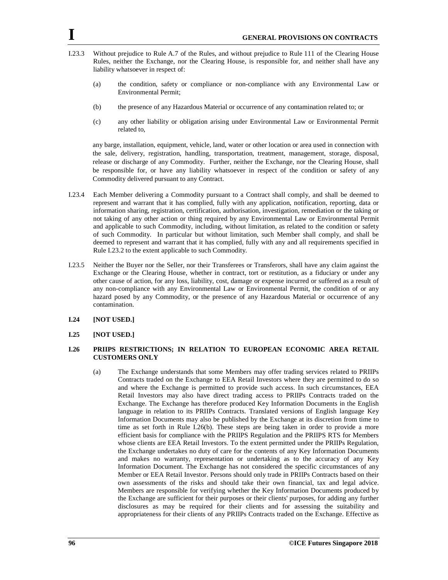

- I.23.3 Without prejudice to Rule A.7 of the Rules, and without prejudice to Rule 111 of the Clearing House Rules, neither the Exchange, nor the Clearing House, is responsible for, and neither shall have any liability whatsoever in respect of:
	- (a) the condition, safety or compliance or non-compliance with any Environmental Law or Environmental Permit;
	- (b) the presence of any Hazardous Material or occurrence of any contamination related to; or
	- (c) any other liability or obligation arising under Environmental Law or Environmental Permit related to,

any barge, installation, equipment, vehicle, land, water or other location or area used in connection with the sale, delivery, registration, handling, transportation, treatment, management, storage, disposal, release or discharge of any Commodity. Further, neither the Exchange, nor the Clearing House, shall be responsible for, or have any liability whatsoever in respect of the condition or safety of any Commodity delivered pursuant to any Contract.

- I.23.4 Each Member delivering a Commodity pursuant to a Contract shall comply, and shall be deemed to represent and warrant that it has complied, fully with any application, notification, reporting, data or information sharing, registration, certification, authorisation, investigation, remediation or the taking or not taking of any other action or thing required by any Environmental Law or Environmental Permit and applicable to such Commodity, including, without limitation, as related to the condition or safety of such Commodity. In particular but without limitation, such Member shall comply, and shall be deemed to represent and warrant that it has complied, fully with any and all requirements specified in Rule I.23.2 to the extent applicable to such Commodity.
- I.23.5 Neither the Buyer nor the Seller, nor their Transferees or Transferors, shall have any claim against the Exchange or the Clearing House, whether in contract, tort or restitution, as a fiduciary or under any other cause of action, for any loss, liability, cost, damage or expense incurred or suffered as a result of any non-compliance with any Environmental Law or Environmental Permit, the condition of or any hazard posed by any Commodity, or the presence of any Hazardous Material or occurrence of any contamination.
- **I.24 [NOT USED.]**
- **I.25 [NOT USED.]**

## **I.26 PRIIPS RESTRICTIONS; IN RELATION TO EUROPEAN ECONOMIC AREA RETAIL CUSTOMERS ONLY**

(a) The Exchange understands that some Members may offer trading services related to PRIIPs Contracts traded on the Exchange to EEA Retail Investors where they are permitted to do so and where the Exchange is permitted to provide such access. In such circumstances, EEA Retail Investors may also have direct trading access to PRIIPs Contracts traded on the Exchange. The Exchange has therefore produced Key Information Documents in the English language in relation to its PRIIPs Contracts. Translated versions of English language Key Information Documents may also be published by the Exchange at its discretion from time to time as set forth in Rule I.26(b). These steps are being taken in order to provide a more efficient basis for compliance with the PRIIPS Regulation and the PRIIPS RTS for Members whose clients are EEA Retail Investors. To the extent permitted under the PRIIPs Regulation, the Exchange undertakes no duty of care for the contents of any Key Information Documents and makes no warranty, representation or undertaking as to the accuracy of any Key Information Document. The Exchange has not considered the specific circumstances of any Member or EEA Retail Investor. Persons should only trade in PRIIPs Contracts based on their own assessments of the risks and should take their own financial, tax and legal advice. Members are responsible for verifying whether the Key Information Documents produced by the Exchange are sufficient for their purposes or their clients' purposes, for adding any further disclosures as may be required for their clients and for assessing the suitability and appropriateness for their clients of any PRIIPs Contracts traded on the Exchange. Effective as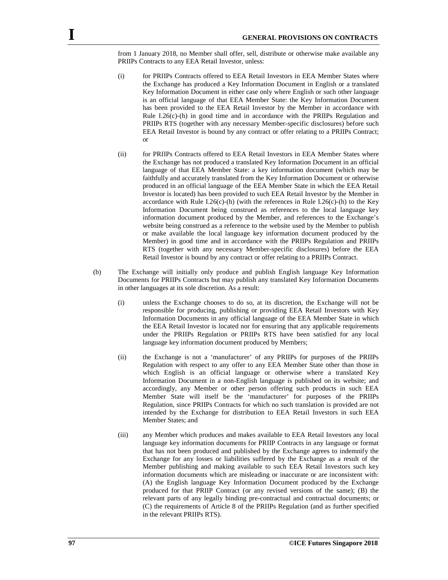from 1 January 2018, no Member shall offer, sell, distribute or otherwise make available any PRIIPs Contracts to any EEA Retail Investor, unless:

- (i) for PRIIPs Contracts offered to EEA Retail Investors in EEA Member States where the Exchange has produced a Key Information Document in English or a translated Key Information Document in either case only where English or such other language is an official language of that EEA Member State: the Key Information Document has been provided to the EEA Retail Investor by the Member in accordance with Rule I.26(c)-(h) in good time and in accordance with the PRIIPs Regulation and PRIIPs RTS (together with any necessary Member-specific disclosures) before such EEA Retail Investor is bound by any contract or offer relating to a PRIIPs Contract; or
- (ii) for PRIIPs Contracts offered to EEA Retail Investors in EEA Member States where the Exchange has not produced a translated Key Information Document in an official language of that EEA Member State: a key information document (which may be faithfully and accurately translated from the Key Information Document or otherwise produced in an official language of the EEA Member State in which the EEA Retail Investor is located) has been provided to such EEA Retail Investor by the Member in accordance with Rule I.26(c)-(h) (with the references in Rule I.26(c)-(h) to the Key Information Document being construed as references to the local language key information document produced by the Member, and references to the Exchange's website being construed as a reference to the website used by the Member to publish or make available the local language key information document produced by the Member) in good time and in accordance with the PRIIPs Regulation and PRIIPs RTS (together with any necessary Member-specific disclosures) before the EEA Retail Investor is bound by any contract or offer relating to a PRIIPs Contract.
- (b) The Exchange will initially only produce and publish English language Key Information Documents for PRIIPs Contracts but may publish any translated Key Information Documents in other languages at its sole discretion. As a result:
	- (i) unless the Exchange chooses to do so, at its discretion, the Exchange will not be responsible for producing, publishing or providing EEA Retail Investors with Key Information Documents in any official language of the EEA Member State in which the EEA Retail Investor is located nor for ensuring that any applicable requirements under the PRIIPs Regulation or PRIIPs RTS have been satisfied for any local language key information document produced by Members;
	- (ii) the Exchange is not a 'manufacturer' of any PRIIPs for purposes of the PRIIPs Regulation with respect to any offer to any EEA Member State other than those in which English is an official language or otherwise where a translated Key Information Document in a non-English language is published on its website; and accordingly, any Member or other person offering such products in such EEA Member State will itself be the 'manufacturer' for purposes of the PRIIPs Regulation, since PRIIPs Contracts for which no such translation is provided are not intended by the Exchange for distribution to EEA Retail Investors in such EEA Member States; and
	- (iii) any Member which produces and makes available to EEA Retail Investors any local language key information documents for PRIIP Contracts in any language or format that has not been produced and published by the Exchange agrees to indemnify the Exchange for any losses or liabilities suffered by the Exchange as a result of the Member publishing and making available to such EEA Retail Investors such key information documents which are misleading or inaccurate or are inconsistent with: (A) the English language Key Information Document produced by the Exchange produced for that PRIIP Contract (or any revised versions of the same); (B) the relevant parts of any legally binding pre-contractual and contractual documents; or (C) the requirements of Article 8 of the PRIIPs Regulation (and as further specified in the relevant PRIIPs RTS).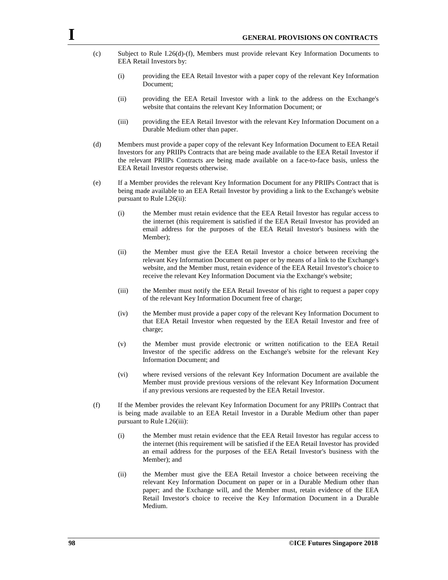- (c) Subject to Rule I.26(d)-(f), Members must provide relevant Key Information Documents to EEA Retail Investors by:
	- (i) providing the EEA Retail Investor with a paper copy of the relevant Key Information Document;
	- (ii) providing the EEA Retail Investor with a link to the address on the Exchange's website that contains the relevant Key Information Document; or
	- (iii) providing the EEA Retail Investor with the relevant Key Information Document on a Durable Medium other than paper.
- (d) Members must provide a paper copy of the relevant Key Information Document to EEA Retail Investors for any PRIIPs Contracts that are being made available to the EEA Retail Investor if the relevant PRIIPs Contracts are being made available on a face-to-face basis, unless the EEA Retail Investor requests otherwise.
- (e) If a Member provides the relevant Key Information Document for any PRIIPs Contract that is being made available to an EEA Retail Investor by providing a link to the Exchange's website pursuant to Rule I.26(ii):
	- (i) the Member must retain evidence that the EEA Retail Investor has regular access to the internet (this requirement is satisfied if the EEA Retail Investor has provided an email address for the purposes of the EEA Retail Investor's business with the Member);
	- (ii) the Member must give the EEA Retail Investor a choice between receiving the relevant Key Information Document on paper or by means of a link to the Exchange's website, and the Member must, retain evidence of the EEA Retail Investor's choice to receive the relevant Key Information Document via the Exchange's website;
	- (iii) the Member must notify the EEA Retail Investor of his right to request a paper copy of the relevant Key Information Document free of charge;
	- (iv) the Member must provide a paper copy of the relevant Key Information Document to that EEA Retail Investor when requested by the EEA Retail Investor and free of charge;
	- (v) the Member must provide electronic or written notification to the EEA Retail Investor of the specific address on the Exchange's website for the relevant Key Information Document; and
	- (vi) where revised versions of the relevant Key Information Document are available the Member must provide previous versions of the relevant Key Information Document if any previous versions are requested by the EEA Retail Investor.
- (f) If the Member provides the relevant Key Information Document for any PRIIPs Contract that is being made available to an EEA Retail Investor in a Durable Medium other than paper pursuant to Rule I.26(iii):
	- (i) the Member must retain evidence that the EEA Retail Investor has regular access to the internet (this requirement will be satisfied if the EEA Retail Investor has provided an email address for the purposes of the EEA Retail Investor's business with the Member); and
	- (ii) the Member must give the EEA Retail Investor a choice between receiving the relevant Key Information Document on paper or in a Durable Medium other than paper; and the Exchange will, and the Member must, retain evidence of the EEA Retail Investor's choice to receive the Key Information Document in a Durable Medium.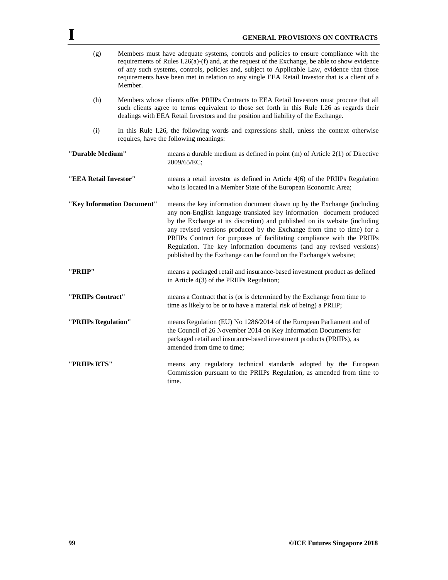|                            |                                                                                                                                                                                                                                                                                                                                                                                                        | <b>GENERAL PROVISIONS ON CONTRACTS</b>                                                                                                                                                                                                                                                                                                                                                                                                                                                                                          |  |
|----------------------------|--------------------------------------------------------------------------------------------------------------------------------------------------------------------------------------------------------------------------------------------------------------------------------------------------------------------------------------------------------------------------------------------------------|---------------------------------------------------------------------------------------------------------------------------------------------------------------------------------------------------------------------------------------------------------------------------------------------------------------------------------------------------------------------------------------------------------------------------------------------------------------------------------------------------------------------------------|--|
| (g)                        | Members must have adequate systems, controls and policies to ensure compliance with the<br>requirements of Rules I.26(a)-(f) and, at the request of the Exchange, be able to show evidence<br>of any such systems, controls, policies and, subject to Applicable Law, evidence that those<br>requirements have been met in relation to any single EEA Retail Investor that is a client of a<br>Member. |                                                                                                                                                                                                                                                                                                                                                                                                                                                                                                                                 |  |
| (h)                        | Members whose clients offer PRIIPs Contracts to EEA Retail Investors must procure that all<br>such clients agree to terms equivalent to those set forth in this Rule I.26 as regards their<br>dealings with EEA Retail Investors and the position and liability of the Exchange.                                                                                                                       |                                                                                                                                                                                                                                                                                                                                                                                                                                                                                                                                 |  |
| (i)                        | In this Rule I.26, the following words and expressions shall, unless the context otherwise<br>requires, have the following meanings:                                                                                                                                                                                                                                                                   |                                                                                                                                                                                                                                                                                                                                                                                                                                                                                                                                 |  |
| "Durable Medium"           |                                                                                                                                                                                                                                                                                                                                                                                                        | means a durable medium as defined in point $(m)$ of Article $2(1)$ of Directive<br>2009/65/EC;                                                                                                                                                                                                                                                                                                                                                                                                                                  |  |
| "EEA Retail Investor"      |                                                                                                                                                                                                                                                                                                                                                                                                        | means a retail investor as defined in Article $4(6)$ of the PRIIPs Regulation<br>who is located in a Member State of the European Economic Area;                                                                                                                                                                                                                                                                                                                                                                                |  |
| "Key Information Document" |                                                                                                                                                                                                                                                                                                                                                                                                        | means the key information document drawn up by the Exchange (including<br>any non-English language translated key information document produced<br>by the Exchange at its discretion) and published on its website (including<br>any revised versions produced by the Exchange from time to time) for a<br>PRIIPs Contract for purposes of facilitating compliance with the PRIIPs<br>Regulation. The key information documents (and any revised versions)<br>published by the Exchange can be found on the Exchange's website; |  |
| "PRIIP"                    |                                                                                                                                                                                                                                                                                                                                                                                                        | means a packaged retail and insurance-based investment product as defined<br>in Article 4(3) of the PRIIPs Regulation;                                                                                                                                                                                                                                                                                                                                                                                                          |  |
| "PRIIPs Contract"          |                                                                                                                                                                                                                                                                                                                                                                                                        | means a Contract that is (or is determined by the Exchange from time to<br>time as likely to be or to have a material risk of being) a PRIIP;                                                                                                                                                                                                                                                                                                                                                                                   |  |
| "PRIIPs Regulation"        |                                                                                                                                                                                                                                                                                                                                                                                                        | means Regulation (EU) No 1286/2014 of the European Parliament and of<br>the Council of 26 November 2014 on Key Information Documents for<br>packaged retail and insurance-based investment products (PRIIPs), as<br>amended from time to time;                                                                                                                                                                                                                                                                                  |  |
| "PRIIPs RTS"               |                                                                                                                                                                                                                                                                                                                                                                                                        | means any regulatory technical standards adopted by the European<br>Commission pursuant to the PRIIPs Regulation, as amended from time to<br>time.                                                                                                                                                                                                                                                                                                                                                                              |  |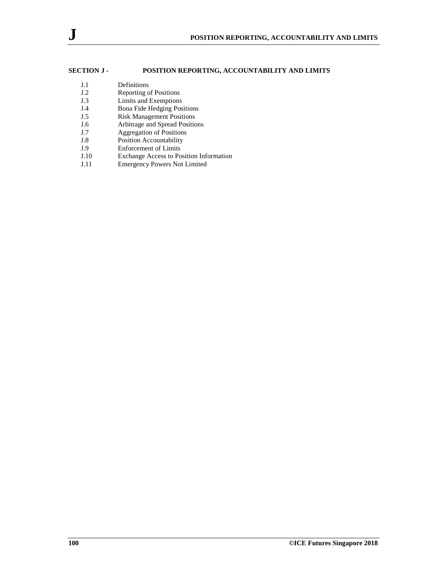## **SECTION J - POSITION REPORTING, ACCOUNTABILITY AND LIMITS**

- J.1 Definitions<br>J.2 Reporting of J.2 Reporting of Positions<br>J.3 Limits and Exemptions
- Limits and Exemptions
- J.4 Bona Fide Hedging Positions<br>
J.5 Risk Management Positions
- Risk Management Positions
- J.6 Arbitrage and Spread Positions<br>J.7 Aggregation of Positions
- Aggregation of Positions
- J.8 Position Accountability
- J.9 Enforcement of Limits<br>J.10 Exchange Access to Po
- Exchange Access to Position Information
- J.11 Emergency Powers Not Limited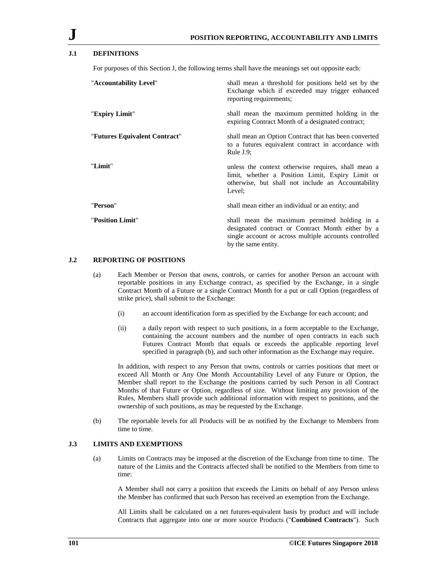### **J.1 DEFINITIONS**

For purposes of this Section J, the following terms shall have the meanings set out opposite each:

| "Accountability Level"        | shall mean a threshold for positions held set by the<br>Exchange which if exceeded may trigger enhanced<br>reporting requirements;                                                 |
|-------------------------------|------------------------------------------------------------------------------------------------------------------------------------------------------------------------------------|
| "Expiry Limit"                | shall mean the maximum permitted holding in the<br>expiring Contract Month of a designated contract;                                                                               |
| "Futures Equivalent Contract" | shall mean an Option Contract that has been converted<br>to a futures equivalent contract in accordance with<br>Rule $J.9$ :                                                       |
| "Limit"                       | unless the context otherwise requires, shall mean a<br>limit, whether a Position Limit, Expiry Limit or<br>otherwise, but shall not include an Accountability<br>Level:            |
| "Person"                      | shall mean either an individual or an entity; and                                                                                                                                  |
| "Position Limit"              | shall mean the maximum permitted holding in a<br>designated contract or Contract Month either by a<br>single account or across multiple accounts controlled<br>by the same entity. |

### **J.2 REPORTING OF POSITIONS**

- (a) Each Member or Person that owns, controls, or carries for another Person an account with reportable positions in any Exchange contract, as specified by the Exchange, in a single Contract Month of a Future or a single Contract Month for a put or call Option (regardless of strike price), shall submit to the Exchange:
	- (i) an account identification form as specified by the Exchange for each account; and
	- (ii) a daily report with respect to such positions, in a form acceptable to the Exchange, containing the account numbers and the number of open contracts in each such Futures Contract Month that equals or exceeds the applicable reporting level specified in paragraph (b), and such other information as the Exchange may require.

In addition, with respect to any Person that owns, controls or carries positions that meet or exceed All Month or Any One Month Accountability Level of any Future or Option, the Member shall report to the Exchange the positions carried by such Person in all Contract Months of that Future or Option, regardless of size. Without limiting any provision of the Rules, Members shall provide such additional information with respect to positions, and the ownership of such positions, as may be requested by the Exchange.

(b) The reportable levels for all Products will be as notified by the Exchange to Members from time to time.

#### **J.3 LIMITS AND EXEMPTIONS**

(a) Limits on Contracts may be imposed at the discretion of the Exchange from time to time. The nature of the Limits and the Contracts affected shall be notified to the Members from time to time:

A Member shall not carry a position that exceeds the Limits on behalf of any Person unless the Member has confirmed that such Person has received an exemption from the Exchange.

All Limits shall be calculated on a net futures-equivalent basis by product and will include Contracts that aggregate into one or more source Products ("**Combined Contracts**"). Such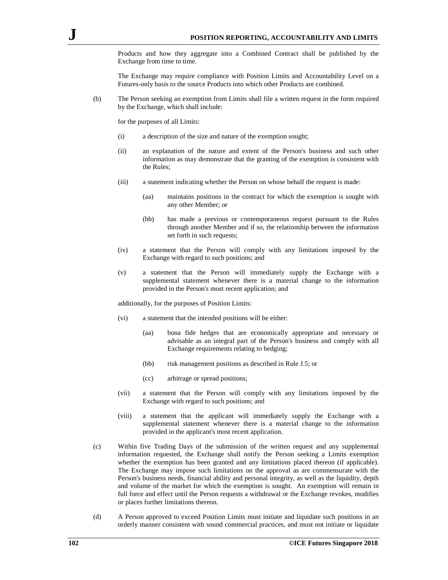Products and how they aggregate into a Combined Contract shall be published by the Exchange from time to time.

The Exchange may require compliance with Position Limits and Accountability Level on a Futures-only basis to the source Products into which other Products are combined.

(b) The Person seeking an exemption from Limits shall file a written request in the form required by the Exchange, which shall include:

for the purposes of all Limits:

- (i) a description of the size and nature of the exemption sought;
- (ii) an explanation of the nature and extent of the Person's business and such other information as may demonstrate that the granting of the exemption is consistent with the Rules;
- (iii) a statement indicating whether the Person on whose behalf the request is made:
	- (aa) maintains positions in the contract for which the exemption is sought with any other Member; or
	- (bb) has made a previous or contemporaneous request pursuant to the Rules through another Member and if so, the relationship between the information set forth in such requests;
- (iv) a statement that the Person will comply with any limitations imposed by the Exchange with regard to such positions; and
- (v) a statement that the Person will immediately supply the Exchange with a supplemental statement whenever there is a material change to the information provided in the Person's most recent application; and

additionally, for the purposes of Position Limits:

- (vi) a statement that the intended positions will be either:
	- (aa) bona fide hedges that are economically appropriate and necessary or advisable as an integral part of the Person's business and comply with all Exchange requirements relating to hedging;
	- (bb) risk management positions as described in Rule J.5; or
	- (cc) arbitrage or spread positions;
- (vii) a statement that the Person will comply with any limitations imposed by the Exchange with regard to such positions; and
- (viii) a statement that the applicant will immediately supply the Exchange with a supplemental statement whenever there is a material change to the information provided in the applicant's most recent application.
- (c) Within five Trading Days of the submission of the written request and any supplemental information requested, the Exchange shall notify the Person seeking a Limits exemption whether the exemption has been granted and any limitations placed thereon (if applicable). The Exchange may impose such limitations on the approval as are commensurate with the Person's business needs, financial ability and personal integrity, as well as the liquidity, depth and volume of the market for which the exemption is sought. An exemption will remain in full force and effect until the Person requests a withdrawal or the Exchange revokes, modifies or places further limitations thereon.
- (d) A Person approved to exceed Position Limits must initiate and liquidate such positions in an orderly manner consistent with sound commercial practices, and must not initiate or liquidate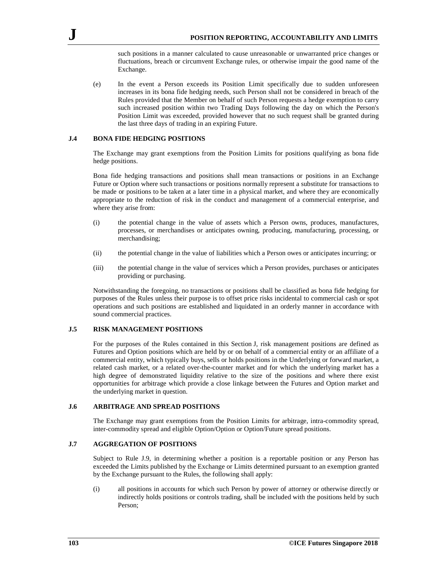such positions in a manner calculated to cause unreasonable or unwarranted price changes or fluctuations, breach or circumvent Exchange rules, or otherwise impair the good name of the Exchange.

(e) In the event a Person exceeds its Position Limit specifically due to sudden unforeseen increases in its bona fide hedging needs, such Person shall not be considered in breach of the Rules provided that the Member on behalf of such Person requests a hedge exemption to carry such increased position within two Trading Days following the day on which the Person's Position Limit was exceeded, provided however that no such request shall be granted during the last three days of trading in an expiring Future.

## **J.4 BONA FIDE HEDGING POSITIONS**

The Exchange may grant exemptions from the Position Limits for positions qualifying as bona fide hedge positions.

Bona fide hedging transactions and positions shall mean transactions or positions in an Exchange Future or Option where such transactions or positions normally represent a substitute for transactions to be made or positions to be taken at a later time in a physical market, and where they are economically appropriate to the reduction of risk in the conduct and management of a commercial enterprise, and where they arise from:

- (i) the potential change in the value of assets which a Person owns, produces, manufactures, processes, or merchandises or anticipates owning, producing, manufacturing, processing, or merchandising;
- (ii) the potential change in the value of liabilities which a Person owes or anticipates incurring; or
- (iii) the potential change in the value of services which a Person provides, purchases or anticipates providing or purchasing.

Notwithstanding the foregoing, no transactions or positions shall be classified as bona fide hedging for purposes of the Rules unless their purpose is to offset price risks incidental to commercial cash or spot operations and such positions are established and liquidated in an orderly manner in accordance with sound commercial practices.

## **J.5 RISK MANAGEMENT POSITIONS**

For the purposes of the Rules contained in this Section J, risk management positions are defined as Futures and Option positions which are held by or on behalf of a commercial entity or an affiliate of a commercial entity, which typically buys, sells or holds positions in the Underlying or forward market, a related cash market, or a related over-the-counter market and for which the underlying market has a high degree of demonstrated liquidity relative to the size of the positions and where there exist opportunities for arbitrage which provide a close linkage between the Futures and Option market and the underlying market in question.

## **J.6 ARBITRAGE AND SPREAD POSITIONS**

The Exchange may grant exemptions from the Position Limits for arbitrage, intra-commodity spread, inter-commodity spread and eligible Option/Option or Option/Future spread positions.

## **J.7 AGGREGATION OF POSITIONS**

Subject to Rule J.9, in determining whether a position is a reportable position or any Person has exceeded the Limits published by the Exchange or Limits determined pursuant to an exemption granted by the Exchange pursuant to the Rules, the following shall apply:

(i) all positions in accounts for which such Person by power of attorney or otherwise directly or indirectly holds positions or controls trading, shall be included with the positions held by such Person;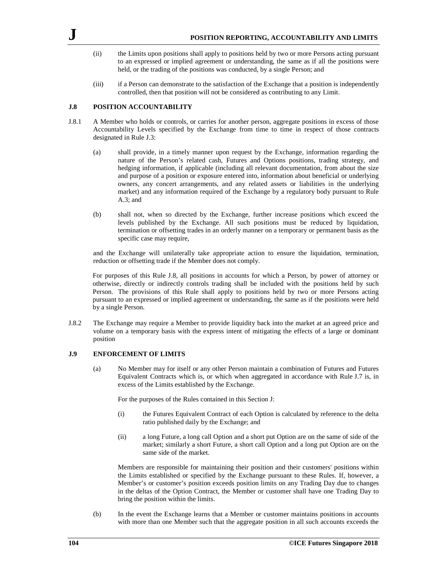- (ii) the Limits upon positions shall apply to positions held by two or more Persons acting pursuant to an expressed or implied agreement or understanding, the same as if all the positions were held, or the trading of the positions was conducted, by a single Person; and
- (iii) if a Person can demonstrate to the satisfaction of the Exchange that a position is independently controlled, then that position will not be considered as contributing to any Limit.

#### **J.8 POSITION ACCOUNTABILITY**

- J.8.1 A Member who holds or controls, or carries for another person, aggregate positions in excess of those Accountability Levels specified by the Exchange from time to time in respect of those contracts designated in Rule J.3:
	- (a) shall provide, in a timely manner upon request by the Exchange, information regarding the nature of the Person's related cash, Futures and Options positions, trading strategy, and hedging information, if applicable (including all relevant documentation, from about the size and purpose of a position or exposure entered into, information about beneficial or underlying owners, any concert arrangements, and any related assets or liabilities in the underlying market) and any information required of the Exchange by a regulatory body pursuant to Rule A.3; and
	- (b) shall not, when so directed by the Exchange, further increase positions which exceed the levels published by the Exchange. All such positions must be reduced by liquidation, termination or offsetting trades in an orderly manner on a temporary or permanent basis as the specific case may require,

and the Exchange will unilaterally take appropriate action to ensure the liquidation, termination, reduction or offsetting trade if the Member does not comply.

For purposes of this Rule J.8, all positions in accounts for which a Person, by power of attorney or otherwise, directly or indirectly controls trading shall be included with the positions held by such Person. The provisions of this Rule shall apply to positions held by two or more Persons acting pursuant to an expressed or implied agreement or understanding, the same as if the positions were held by a single Person.

J.8.2 The Exchange may require a Member to provide liquidity back into the market at an agreed price and volume on a temporary basis with the express intent of mitigating the effects of a large or dominant position

#### **J.9 ENFORCEMENT OF LIMITS**

(a) No Member may for itself or any other Person maintain a combination of Futures and Futures Equivalent Contracts which is, or which when aggregated in accordance with Rule J.7 is, in excess of the Limits established by the Exchange.

For the purposes of the Rules contained in this Section J:

- (i) the Futures Equivalent Contract of each Option is calculated by reference to the delta ratio published daily by the Exchange; and
- (ii) a long Future, a long call Option and a short put Option are on the same of side of the market; similarly a short Future, a short call Option and a long put Option are on the same side of the market.

Members are responsible for maintaining their position and their customers' positions within the Limits established or specified by the Exchange pursuant to these Rules. If, however, a Member's or customer's position exceeds position limits on any Trading Day due to changes in the deltas of the Option Contract, the Member or customer shall have one Trading Day to bring the position within the limits.

(b) In the event the Exchange learns that a Member or customer maintains positions in accounts with more than one Member such that the aggregate position in all such accounts exceeds the